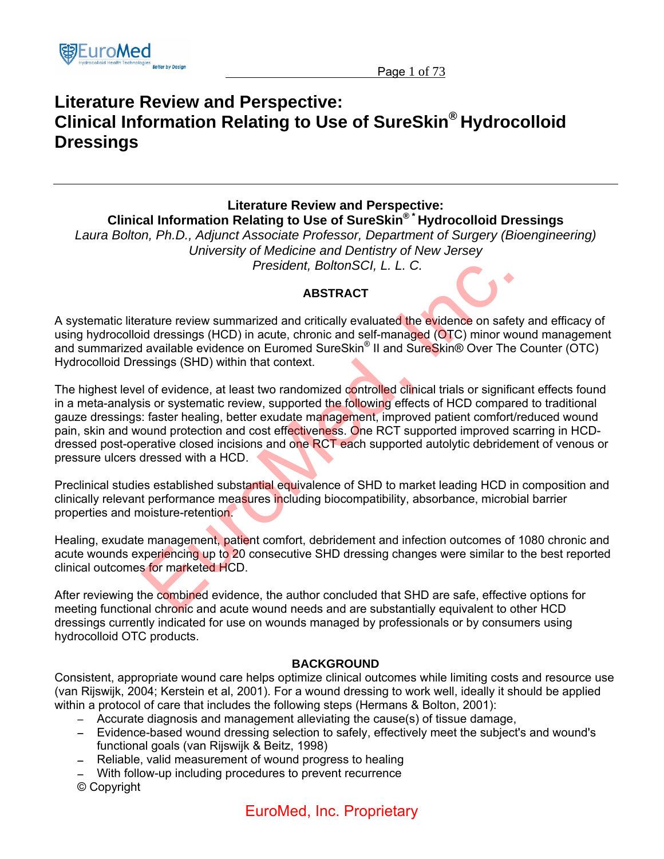

## **Literature Review and Perspective: Clinical Information Relating to Use of SureSkin® Hydrocolloid Dressings**

**Literature Review and Perspective: Clinical Information Relating to Use of SureSkin® \* Hydrocolloid Dressings**  *Laura Bolton, Ph.D., Adjunct Associate Professor, Department of Surgery (Bioengineering) University of Medicine and Dentistry of New Jersey* 

 *President, BoltonSCI, L. L. C.*

## **ABSTRACT**

A systematic literature review summarized and critically evaluated the evidence on safety and efficacy of using hydrocolloid dressings (HCD) in acute, chronic and self-managed (OTC) minor wound management and summarized available evidence on Euromed SureSkin® II and SureSkin® Over The Counter (OTC) Hydrocolloid Dressings (SHD) within that context.

The highest level of evidence, at least two randomized controlled clinical trials or significant effects found in a meta-analysis or systematic review, supported the following effects of HCD compared to traditional gauze dressings: faster healing, better exudate management, improved patient comfort/reduced wound pain, skin and wound protection and cost effectiveness. One RCT supported improved scarring in HCDdressed post-operative closed incisions and one RCT each supported autolytic debridement of venous or pressure ulcers dressed with a HCD. **Example 12 The Schema Alternative Controllering and Controllering Controllering Controllering (Hotel and Controllering Controllering Controllering Controllering Controllering Controllering (SHD) within that context.<br>
In d** 

Preclinical studies established substantial equivalence of SHD to market leading HCD in composition and clinically relevant performance measures including biocompatibility, absorbance, microbial barrier properties and moisture-retention.

Healing, exudate management, patient comfort, debridement and infection outcomes of 1080 chronic and acute wounds experiencing up to 20 consecutive SHD dressing changes were similar to the best reported clinical outcomes for marketed HCD.

After reviewing the combined evidence, the author concluded that SHD are safe, effective options for meeting functional chronic and acute wound needs and are substantially equivalent to other HCD dressings currently indicated for use on wounds managed by professionals or by consumers using hydrocolloid OTC products.

## **BACKGROUND**

Consistent, appropriate wound care helps optimize clinical outcomes while limiting costs and resource use (van Rijswijk, 2004; Kerstein et al, 2001). For a wound dressing to work well, ideally it should be applied within a protocol of care that includes the following steps (Hermans & Bolton, 2001):

- − Accurate diagnosis and management alleviating the cause(s) of tissue damage,
- − Evidence-based wound dressing selection to safely, effectively meet the subject's and wound's functional goals (van Rijswijk & Beitz, 1998)
- − Reliable, valid measurement of wound progress to healing
- − With follow-up including procedures to prevent recurrence
- © Copyright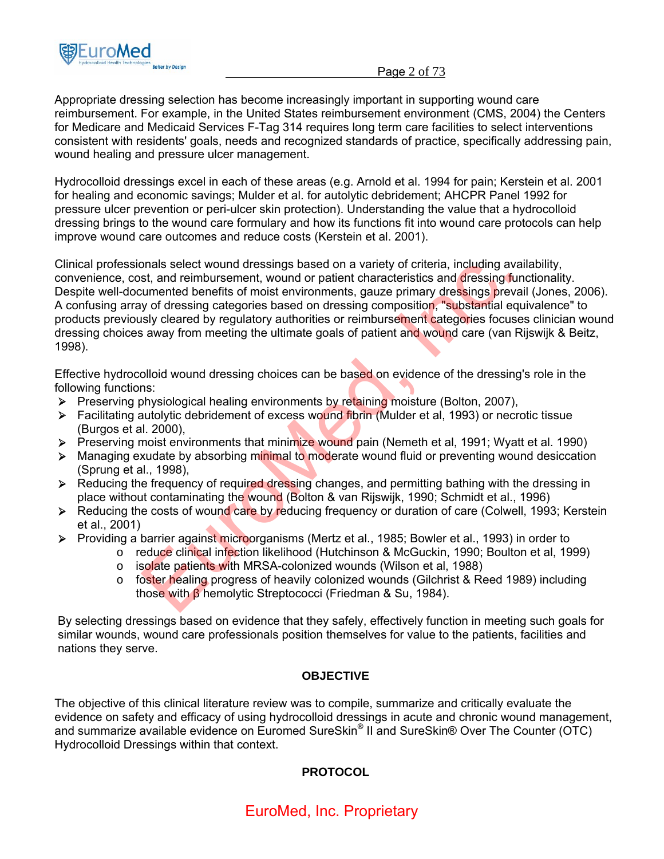

Page 2 of 73

Appropriate dressing selection has become increasingly important in supporting wound care reimbursement. For example, in the United States reimbursement environment (CMS, 2004) the Centers for Medicare and Medicaid Services F-Tag 314 requires long term care facilities to select interventions consistent with residents' goals, needs and recognized standards of practice, specifically addressing pain, wound healing and pressure ulcer management.

Hydrocolloid dressings excel in each of these areas (e.g. Arnold et al. 1994 for pain; Kerstein et al. 2001 for healing and economic savings; Mulder et al. for autolytic debridement; AHCPR Panel 1992 for pressure ulcer prevention or peri-ulcer skin protection). Understanding the value that a hydrocolloid dressing brings to the wound care formulary and how its functions fit into wound care protocols can help improve wound care outcomes and reduce costs (Kerstein et al. 2001).

Clinical professionals select wound dressings based on a variety of criteria, including availability, convenience, cost, and reimbursement, wound or patient characteristics and dressing functionality. Despite well-documented benefits of moist environments, gauze primary dressings prevail (Jones, 2006). A confusing array of dressing categories based on dressing composition, "substantial equivalence" to products previously cleared by regulatory authorities or reimbursement categories focuses clinician wound dressing choices away from meeting the ultimate goals of patient and wound care (van Rijswijk & Beitz, 1998). brand reinbursement, wound or patient characteristics and dressings based on a variety of criteria, including avait<br>st, and reinbursement, wound or patient characteristics and dressing fun<br>sumented benefits of moist enviro

Effective hydrocolloid wound dressing choices can be based on evidence of the dressing's role in the following functions:

- **►** Preserving physiological healing environments by retaining moisture (Bolton, 2007),
- ¾ Facilitating autolytic debridement of excess wound fibrin (Mulder et al, 1993) or necrotic tissue (Burgos et al. 2000),
- ¾ Preserving moist environments that minimize wound pain (Nemeth et al, 1991; Wyatt et al. 1990)
- $\triangleright$  Managing exudate by absorbing minimal to moderate wound fluid or preventing wound desiccation (Sprung et al., 1998),
- $\triangleright$  Reducing the frequency of required dressing changes, and permitting bathing with the dressing in place without contaminating the wound (Bolton & van Rijswijk, 1990; Schmidt et al., 1996)
- $\triangleright$  Reducing the costs of wound care by reducing frequency or duration of care (Colwell, 1993; Kerstein et al., 2001)
- ¾ Providing a barrier against microorganisms (Mertz et al., 1985; Bowler et al., 1993) in order to
	- o reduce clinical infection likelihood (Hutchinson & McGuckin, 1990; Boulton et al, 1999)
	- o isolate patients with MRSA-colonized wounds (Wilson et al, 1988)
	- o foster healing progress of heavily colonized wounds (Gilchrist & Reed 1989) including those with β hemolytic Streptococci (Friedman & Su, 1984).

By selecting dressings based on evidence that they safely, effectively function in meeting such goals for similar wounds, wound care professionals position themselves for value to the patients, facilities and nations they serve.

## **OBJECTIVE**

The objective of this clinical literature review was to compile, summarize and critically evaluate the evidence on safety and efficacy of using hydrocolloid dressings in acute and chronic wound management, and summarize available evidence on Euromed SureSkin® II and SureSkin® Over The Counter (OTC) Hydrocolloid Dressings within that context.

## **PROTOCOL**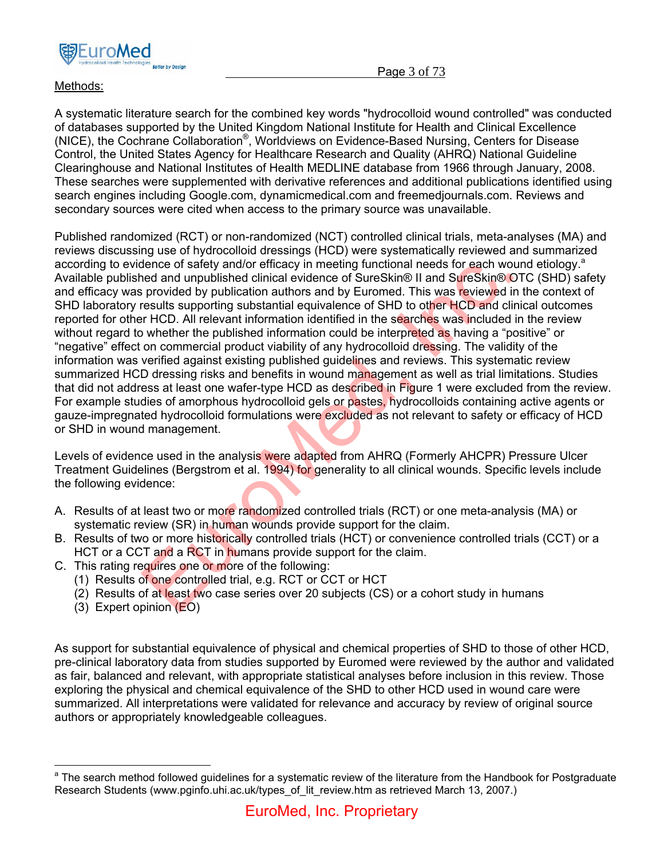

## Methods:

A systematic literature search for the combined key words "hydrocolloid wound controlled" was conducted of databases supported by the United Kingdom National Institute for Health and Clinical Excellence (NICE), the Cochrane Collaboration®, Worldviews on Evidence-Based Nursing, Centers for Disease Control, the United States Agency for Healthcare Research and Quality (AHRQ) National Guideline Clearinghouse and National Institutes of Health MEDLINE database from 1966 through January, 2008. These searches were supplemented with derivative references and additional publications identified using search engines including Google.com, dynamicmedical.com and freemedjournals.com. Reviews and secondary sources were cited when access to the primary source was unavailable.

Published randomized (RCT) or non-randomized (NCT) controlled clinical trials, meta-analyses (MA) and reviews discussing use of hydrocolloid dressings (HCD) were systematically reviewed and summarized according to evidence of safety and/or efficacy in meeting functional needs for each wound etiology.<sup>a</sup> Available published and unpublished clinical evidence of SureSkin® II and SureSkin® OTC (SHD) safety and efficacy was provided by publication authors and by Euromed. This was reviewed in the context of SHD laboratory results supporting substantial equivalence of SHD to other HCD and clinical outcomes reported for other HCD. All relevant information identified in the searches was included in the review without regard to whether the published information could be interpreted as having a "positive" or "negative" effect on commercial product viability of any hydrocolloid dressing. The validity of the information was verified against existing published guidelines and reviews. This systematic review summarized HCD dressing risks and benefits in wound management as well as trial limitations. Studies that did not address at least one wafer-type HCD as described in Figure 1 were excluded from the review. For example studies of amorphous hydrocolloid gels or pastes, hydrocolloids containing active agents or gauze-impregnated hydrocolloid formulations were excluded as not relevant to safety or efficacy of HCD or SHD in wound management. dence of safety and/or efficacy in meeting functional needs for each wount<br>each and unpublished clinical evidence of SureSkin® II and SureSkin® OT<br>provided by publication authors and by Euromed. This was reviewed in the<br>r

Levels of evidence used in the analysis were adapted from AHRQ (Formerly AHCPR) Pressure Ulcer Treatment Guidelines (Bergstrom et al. 1994) for generality to all clinical wounds. Specific levels include the following evidence:

- A. Results of at least two or more randomized controlled trials (RCT) or one meta-analysis (MA) or systematic review (SR) in human wounds provide support for the claim.
- B. Results of two or more historically controlled trials (HCT) or convenience controlled trials (CCT) or a HCT or a CCT and a RCT in humans provide support for the claim.
- C. This rating requires one or more of the following:
	- (1) Results of one controlled trial, e.g. RCT or CCT or HCT
	- (2) Results of at least two case series over 20 subjects (CS) or a cohort study in humans
	- (3) Expert opinion (EO)

 $\overline{a}$ 

As support for substantial equivalence of physical and chemical properties of SHD to those of other HCD, pre-clinical laboratory data from studies supported by Euromed were reviewed by the author and validated as fair, balanced and relevant, with appropriate statistical analyses before inclusion in this review. Those exploring the physical and chemical equivalence of the SHD to other HCD used in wound care were summarized. All interpretations were validated for relevance and accuracy by review of original source authors or appropriately knowledgeable colleagues.

<sup>&</sup>lt;sup>a</sup> The search method followed guidelines for a systematic review of the literature from the Handbook for Postgraduate Research Students (www.pginfo.uhi.ac.uk/types\_of\_lit\_review.htm as retrieved March 13, 2007.)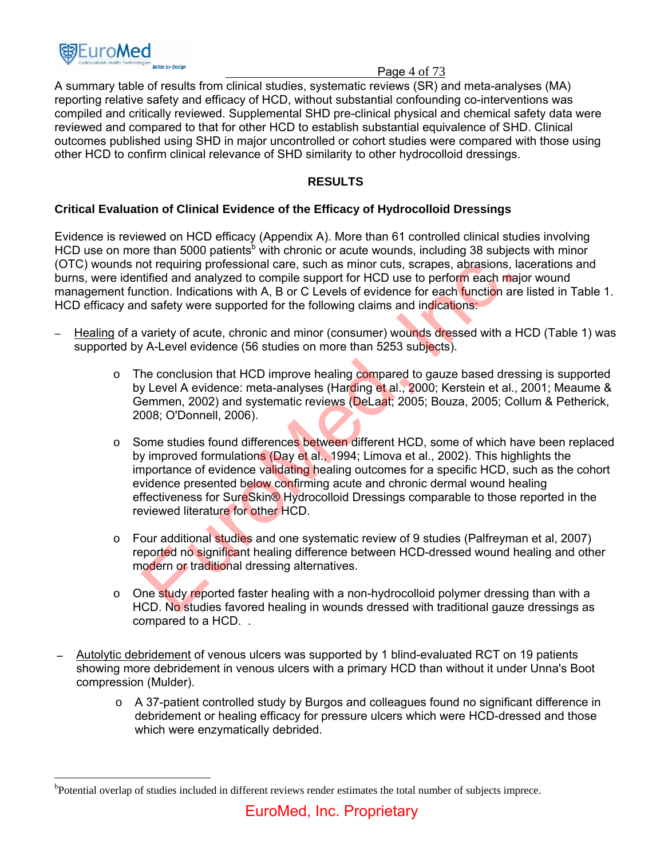

### Page 4 of 73

A summary table of results from clinical studies, systematic reviews (SR) and meta-analyses (MA) reporting relative safety and efficacy of HCD, without substantial confounding co-interventions was compiled and critically reviewed. Supplemental SHD pre-clinical physical and chemical safety data were reviewed and compared to that for other HCD to establish substantial equivalence of SHD. Clinical outcomes published using SHD in major uncontrolled or cohort studies were compared with those using other HCD to confirm clinical relevance of SHD similarity to other hydrocolloid dressings.

## **RESULTS**

## **Critical Evaluation of Clinical Evidence of the Efficacy of Hydrocolloid Dressings**

Evidence is reviewed on HCD efficacy (Appendix A). More than 61 controlled clinical studies involving HCD use on more than 5000 patients<sup>b</sup> with chronic or acute wounds, including 38 subjects with minor (OTC) wounds not requiring professional care, such as minor cuts, scrapes, abrasions, lacerations and burns, were identified and analyzed to compile support for HCD use to perform each major wound management function. Indications with A, B or C Levels of evidence for each function are listed in Table 1. HCD efficacy and safety were supported for the following claims and indications:

- − Healing of a variety of acute, chronic and minor (consumer) wounds dressed with a HCD (Table 1) was supported by A-Level evidence (56 studies on more than 5253 subjects).
	- $\circ$  The conclusion that HCD improve healing compared to gauze based dressing is supported by Level A evidence: meta-analyses (Harding et al., 2000; Kerstein et al., 2001; Meaume & Gemmen, 2002) and systematic reviews (DeLaat; 2005; Bouza, 2005; Collum & Petherick, 2008; O'Donnell, 2006).
- o Some studies found differences between different HCD, some of which have been replaced by improved formulations (Day et al., 1994; Limova et al., 2002). This highlights the importance of evidence validating healing outcomes for a specific HCD, such as the cohort evidence presented below confirming acute and chronic dermal wound healing effectiveness for SureSkin® Hydrocolloid Dressings comparable to those reported in the reviewed literature for other HCD. of requiring professional care, such as minor cuts, scrapes, abrasions, late<br>intriged and analyzed to compile support for HCD use to perform each maic<br>incition. Indications with A, B or C Levels of evidence for each functi
	- $\circ$  Four additional studies and one systematic review of 9 studies (Palfreyman et al, 2007) reported no significant healing difference between HCD-dressed wound healing and other modern or traditional dressing alternatives.
	- $\circ$  One study reported faster healing with a non-hydrocolloid polymer dressing than with a HCD. No studies favored healing in wounds dressed with traditional gauze dressings as compared to a HCD. .
- − Autolytic debridement of venous ulcers was supported by 1 blind-evaluated RCT on 19 patients showing more debridement in venous ulcers with a primary HCD than without it under Unna's Boot compression (Mulder).
	- o A 37-patient controlled study by Burgos and colleagues found no significant difference in debridement or healing efficacy for pressure ulcers which were HCD-dressed and those which were enzymatically debrided.

 $\overline{a}$ <sup>b</sup>Potential overlap of studies included in different reviews render estimates the total number of subjects imprece.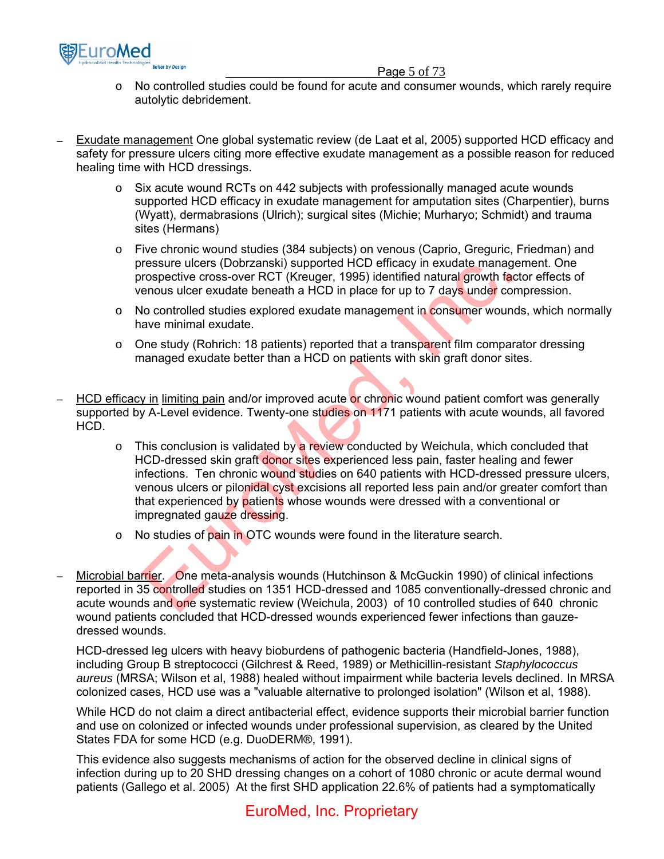

#### Page 5 of 73

- o No controlled studies could be found for acute and consumer wounds, which rarely require autolytic debridement.
- − Exudate management One global systematic review (de Laat et al, 2005) supported HCD efficacy and safety for pressure ulcers citing more effective exudate management as a possible reason for reduced healing time with HCD dressings.
	- $\circ$  Six acute wound RCTs on 442 subjects with professionally managed acute wounds supported HCD efficacy in exudate management for amputation sites (Charpentier), burns (Wyatt), dermabrasions (Ulrich); surgical sites (Michie; Murharyo; Schmidt) and trauma sites (Hermans)
	- o Five chronic wound studies (384 subjects) on venous (Caprio, Greguric, Friedman) and pressure ulcers (Dobrzanski) supported HCD efficacy in exudate management. One prospective cross-over RCT (Kreuger, 1995) identified natural growth factor effects of venous ulcer exudate beneath a HCD in place for up to 7 days under compression.
	- $\circ$  No controlled studies explored exudate management in consumer wounds, which normally have minimal exudate.
	- $\circ$  One study (Rohrich: 18 patients) reported that a transparent film comparator dressing managed exudate better than a HCD on patients with skin graft donor sites.
- HCD efficacy in limiting pain and/or improved acute or chronic wound patient comfort was generally supported by A-Level evidence. Twenty-one studies on 1171 patients with acute wounds, all favored HCD.
- $\circ$  This conclusion is validated by a review conducted by Weichula, which concluded that HCD-dressed skin graft donor sites experienced less pain, faster healing and fewer infections. Ten chronic wound studies on 640 patients with HCD-dressed pressure ulcers, venous ulcers or pilonidal cyst excisions all reported less pain and/or greater comfort than that experienced by patients whose wounds were dressed with a conventional or impregnated gauze dressing. ressure ulcers (Uobrzanski) supported HCU efficezy in exudate manager<br>rospective cross-over RCT (Kreuger, 1995) identified natural growth facterous ulcer exudate beneath a HCD in place for up to 7 days under comple<br>about c
	- o No studies of pain in OTC wounds were found in the literature search.
- Microbial barrier. One meta-analysis wounds (Hutchinson & McGuckin 1990) of clinical infections reported in 35 controlled studies on 1351 HCD-dressed and 1085 conventionally-dressed chronic and acute wounds and one systematic review (Weichula, 2003) of 10 controlled studies of 640 chronic wound patients concluded that HCD-dressed wounds experienced fewer infections than gauzedressed wounds.

HCD-dressed leg ulcers with heavy bioburdens of pathogenic bacteria (Handfield-Jones, 1988), including Group B streptococci (Gilchrest & Reed, 1989) or Methicillin-resistant *Staphylococcus aureus* (MRSA; Wilson et al, 1988) healed without impairment while bacteria levels declined. In MRSA colonized cases, HCD use was a "valuable alternative to prolonged isolation" (Wilson et al, 1988).

While HCD do not claim a direct antibacterial effect, evidence supports their microbial barrier function and use on colonized or infected wounds under professional supervision, as cleared by the United States FDA for some HCD (e.g. DuoDERM®, 1991).

This evidence also suggests mechanisms of action for the observed decline in clinical signs of infection during up to 20 SHD dressing changes on a cohort of 1080 chronic or acute dermal wound patients (Gallego et al. 2005) At the first SHD application 22.6% of patients had a symptomatically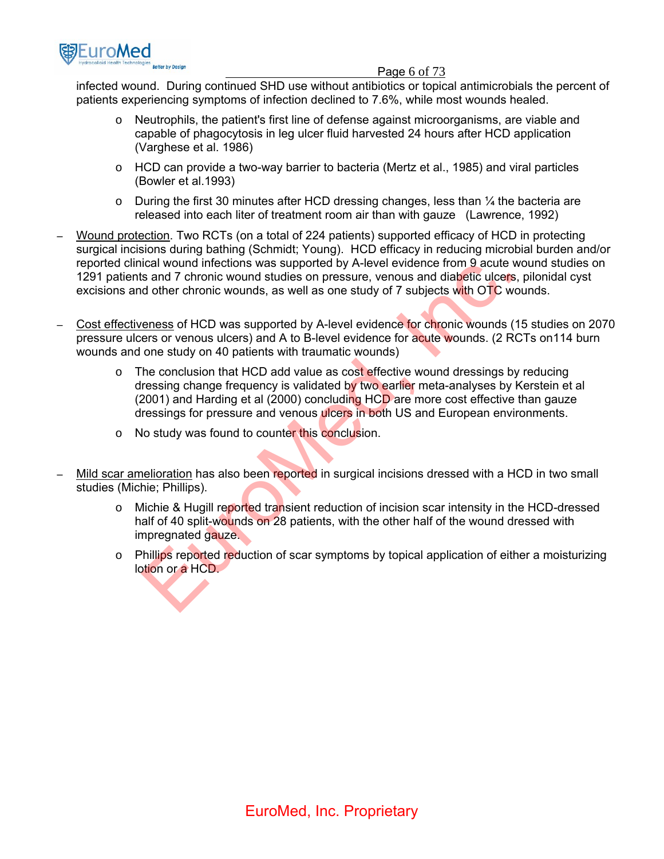

#### Page 6 of 73

infected wound. During continued SHD use without antibiotics or topical antimicrobials the percent of patients experiencing symptoms of infection declined to 7.6%, while most wounds healed.

- o Neutrophils, the patient's first line of defense against microorganisms, are viable and capable of phagocytosis in leg ulcer fluid harvested 24 hours after HCD application (Varghese et al. 1986)
- $\circ$  HCD can provide a two-way barrier to bacteria (Mertz et al., 1985) and viral particles (Bowler et al.1993)
- $\circ$  During the first 30 minutes after HCD dressing changes, less than  $\frac{1}{4}$  the bacteria are released into each liter of treatment room air than with gauze (Lawrence, 1992)
- − Wound protection. Two RCTs (on a total of 224 patients) supported efficacy of HCD in protecting surgical incisions during bathing (Schmidt; Young). HCD efficacy in reducing microbial burden and/or reported clinical wound infections was supported by A-level evidence from 9 acute wound studies on 1291 patients and 7 chronic wound studies on pressure, venous and diabetic ulcers, pilonidal cyst excisions and other chronic wounds, as well as one study of 7 subjects with OTC wounds.
- − Cost effectiveness of HCD was supported by A-level evidence for chronic wounds (15 studies on 2070 pressure ulcers or venous ulcers) and A to B-level evidence for acute wounds. (2 RCTs on 114 burn wounds and one study on 40 patients with traumatic wounds)
- $\circ$  The conclusion that HCD add value as cost effective wound dressings by reducing dressing change frequency is validated by two earlier meta-analyses by Kerstein et al (2001) and Harding et al (2000) concluding HCD are more cost effective than gauze dressings for pressure and venous ulcers in both US and European environments. ical wound intections was supported by A-level evidence from 9 active we<br>is and 7 chronic wound studies on pressure, venous and diabetic ulcers, is<br>d other chronic wounds, as well as one study of 7 subjects with OTC wou<br>en
	- o No study was found to counter this conclusion.
- Mild scar amelioration has also been reported in surgical incisions dressed with a HCD in two small studies (Michie; Phillips).
	- $\circ$  Michie & Hugill reported transient reduction of incision scar intensity in the HCD-dressed half of 40 split-wounds on 28 patients, with the other half of the wound dressed with impregnated gauze.
	- $\circ$  Phillips reported reduction of scar symptoms by topical application of either a moisturizing lotion or a HCD.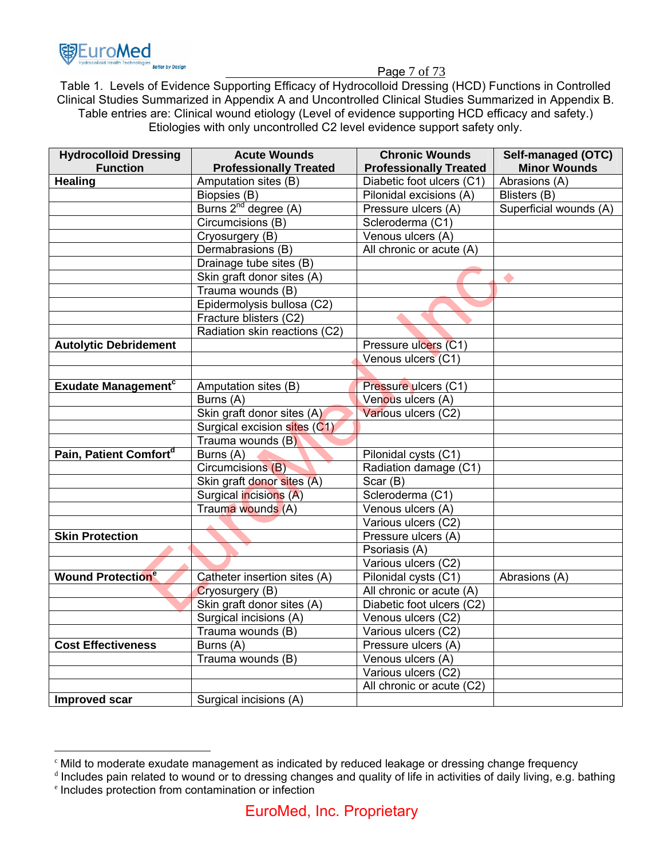

 $\overline{a}$ 

Page 7 of 73

Table 1. Levels of Evidence Supporting Efficacy of Hydrocolloid Dressing (HCD) Functions in Controlled Clinical Studies Summarized in Appendix A and Uncontrolled Clinical Studies Summarized in Appendix B. Table entries are: Clinical wound etiology (Level of evidence supporting HCD efficacy and safety.) Etiologies with only uncontrolled C2 level evidence support safety only.

| <b>Hydrocolloid Dressing</b>          | <b>Acute Wounds</b>              | <b>Chronic Wounds</b>         | Self-managed (OTC)     |
|---------------------------------------|----------------------------------|-------------------------------|------------------------|
| <b>Function</b>                       | <b>Professionally Treated</b>    | <b>Professionally Treated</b> | <b>Minor Wounds</b>    |
| <b>Healing</b>                        | Amputation sites (B)             | Diabetic foot ulcers (C1)     | Abrasions (A)          |
|                                       | Biopsies (B)                     | Pilonidal excisions (A)       | Blisters (B)           |
|                                       | Burns 2 <sup>nd</sup> degree (A) | Pressure ulcers (A)           | Superficial wounds (A) |
|                                       | Circumcisions (B)                | Scleroderma (C1)              |                        |
|                                       | Cryosurgery (B)                  | Venous ulcers (A)             |                        |
|                                       | Dermabrasions (B)                | All chronic or acute (A)      |                        |
|                                       | Drainage tube sites (B)          |                               |                        |
|                                       | Skin graft donor sites (A)       |                               |                        |
|                                       | Trauma wounds (B)                |                               |                        |
|                                       | Epidermolysis bullosa (C2)       |                               |                        |
|                                       | Fracture blisters (C2)           |                               |                        |
|                                       | Radiation skin reactions (C2)    |                               |                        |
| <b>Autolytic Debridement</b>          |                                  | Pressure ulcers (C1)          |                        |
|                                       |                                  | Venous ulcers (C1)            |                        |
|                                       |                                  |                               |                        |
| <b>Exudate Management<sup>c</sup></b> | Amputation sites (B)             | Pressure ulcers (C1)          |                        |
|                                       | Burns (A)                        | Venous ulcers (A)             |                        |
|                                       | Skin graft donor sites (A)       | Various ulcers (C2)           |                        |
|                                       | Surgical excision sites (C1)     |                               |                        |
|                                       | Trauma wounds (B)                |                               |                        |
| Pain, Patient Comfort <sup>d</sup>    | Burns (A)                        | Pilonidal cysts (C1)          |                        |
|                                       | Circumcisions (B)                | Radiation damage (C1)         |                        |
|                                       | Skin graft donor sites (A)       | Scar (B)                      |                        |
|                                       | Surgical incisions (A)           | Scleroderma (C1)              |                        |
|                                       | Trauma wounds (A)                | Venous ulcers (A)             |                        |
|                                       |                                  | Various ulcers (C2)           |                        |
| <b>Skin Protection</b>                |                                  | Pressure ulcers (A)           |                        |
|                                       |                                  | Psoriasis (A)                 |                        |
|                                       |                                  | Various ulcers (C2)           |                        |
| <b>Wound Protection<sup>e</sup></b>   | Catheter insertion sites (A)     | Pilonidal cysts (C1)          | Abrasions (A)          |
|                                       | Cryosurgery (B)                  | All chronic or acute (A)      |                        |
|                                       | Skin graft donor sites (A)       | Diabetic foot ulcers (C2)     |                        |
|                                       | Surgical incisions (A)           | Venous ulcers (C2)            |                        |
|                                       | Trauma wounds (B)                | Various ulcers (C2)           |                        |
| <b>Cost Effectiveness</b>             | Burns (A)                        | Pressure ulcers (A)           |                        |
|                                       | Trauma wounds (B)                | Venous ulcers (A)             |                        |
|                                       |                                  | Various ulcers (C2)           |                        |
|                                       |                                  | All chronic or acute (C2)     |                        |
| <b>Improved scar</b>                  | Surgical incisions (A)           |                               |                        |

<sup>c</sup> Mild to moderate exudate management as indicated by reduced leakage or dressing change frequency

d Includes pain related to wound or to dressing changes and quality of life in activities of daily living, e.g. bathing <sup>e</sup> Includes protection from contamination or infection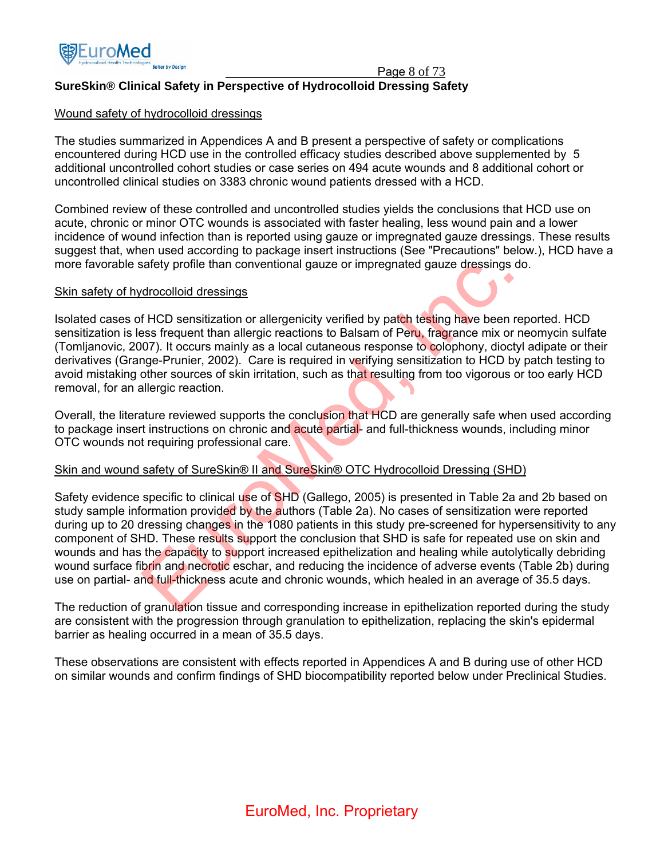

Page 8 of 73

## **SureSkin® Clinical Safety in Perspective of Hydrocolloid Dressing Safety**

#### Wound safety of hydrocolloid dressings

The studies summarized in Appendices A and B present a perspective of safety or complications encountered during HCD use in the controlled efficacy studies described above supplemented by 5 additional uncontrolled cohort studies or case series on 494 acute wounds and 8 additional cohort or uncontrolled clinical studies on 3383 chronic wound patients dressed with a HCD.

Combined review of these controlled and uncontrolled studies yields the conclusions that HCD use on acute, chronic or minor OTC wounds is associated with faster healing, less wound pain and a lower incidence of wound infection than is reported using gauze or impregnated gauze dressings. These results suggest that, when used according to package insert instructions (See "Precautions" below.), HCD have a more favorable safety profile than conventional gauze or impregnated gauze dressings do.

#### Skin safety of hydrocolloid dressings

Isolated cases of HCD sensitization or allergenicity verified by patch testing have been reported. HCD sensitization is less frequent than allergic reactions to Balsam of Peru, fragrance mix or neomycin sulfate (Tomljanovic, 2007). It occurs mainly as a local cutaneous response to colophony, dioctyl adipate or their derivatives (Grange-Prunier, 2002). Care is required in verifying sensitization to HCD by patch testing to avoid mistaking other sources of skin irritation, such as that resulting from too vigorous or too early HCD removal, for an allergic reaction.

Overall, the literature reviewed supports the conclusion that HCD are generally safe when used according to package insert instructions on chronic and acute partial- and full-thickness wounds, including minor OTC wounds not requiring professional care.

#### Skin and wound safety of SureSkin® II and SureSkin® OTC Hydrocolloid Dressing (SHD)

Safety evidence specific to clinical use of SHD (Gallego, 2005) is presented in Table 2a and 2b based on study sample information provided by the authors (Table 2a). No cases of sensitization were reported during up to 20 dressing changes in the 1080 patients in this study pre-screened for hypersensitivity to any component of SHD. These results support the conclusion that SHD is safe for repeated use on skin and wounds and has the capacity to support increased epithelization and healing while autolytically debriding wound surface fibrin and necrotic eschar, and reducing the incidence of adverse events (Table 2b) during use on partial- and full-thickness acute and chronic wounds, which healed in an average of 35.5 days. afety profile than conventional gauze or impregnated gauze dressings do<br>drocolloid dressings<br>f HCD sensitization or allergenicity verified by patch testing have been rel<br>ses frequent than allergic reactions to Balsam of Pe

The reduction of granulation tissue and corresponding increase in epithelization reported during the study are consistent with the progression through granulation to epithelization, replacing the skin's epidermal barrier as healing occurred in a mean of 35.5 days.

These observations are consistent with effects reported in Appendices A and B during use of other HCD on similar wounds and confirm findings of SHD biocompatibility reported below under Preclinical Studies.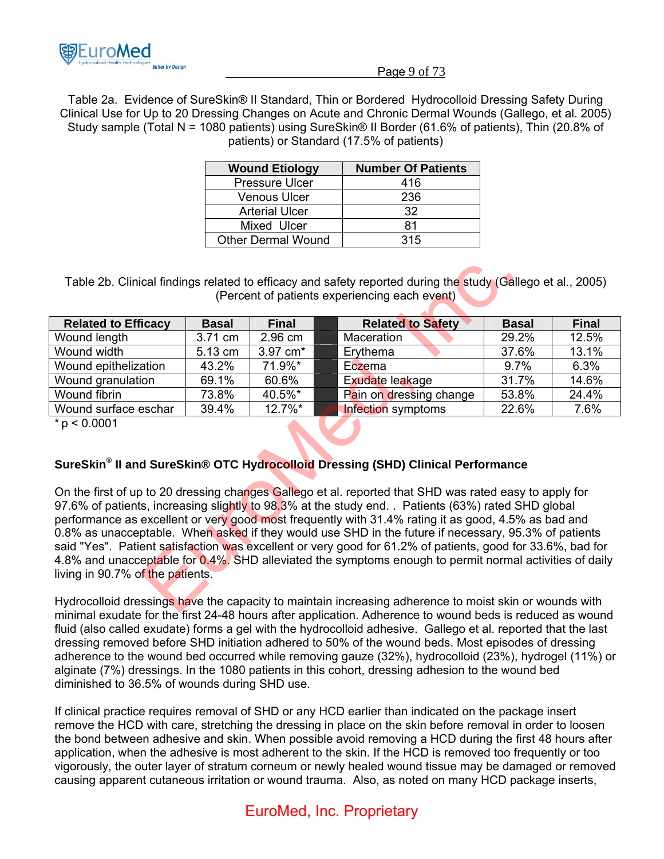

#### Page 9 of 73

Table 2a. Evidence of SureSkin® II Standard, Thin or Bordered Hydrocolloid Dressing Safety During Clinical Use for Up to 20 Dressing Changes on Acute and Chronic Dermal Wounds (Gallego, et al. 2005) Study sample (Total N = 1080 patients) using SureSkin® II Border (61.6% of patients), Thin (20.8% of patients) or Standard (17.5% of patients)

| <b>Wound Etiology</b>     | <b>Number Of Patients</b> |
|---------------------------|---------------------------|
| <b>Pressure Ulcer</b>     | 416                       |
| <b>Venous Ulcer</b>       | 236                       |
| <b>Arterial Ulcer</b>     | 32                        |
| Mixed Ulcer               | 81                        |
| <b>Other Dermal Wound</b> | 315                       |

| Table 2b. Clinical findings related to efficacy and safety reported during the study (Gallego et al., 2005)                                                                                                                                                                                                                                                                                                                                                                                                                                                                                                                                                                               |              |              |  |                                                                                             |              |              |
|-------------------------------------------------------------------------------------------------------------------------------------------------------------------------------------------------------------------------------------------------------------------------------------------------------------------------------------------------------------------------------------------------------------------------------------------------------------------------------------------------------------------------------------------------------------------------------------------------------------------------------------------------------------------------------------------|--------------|--------------|--|---------------------------------------------------------------------------------------------|--------------|--------------|
| (Percent of patients experiencing each event)                                                                                                                                                                                                                                                                                                                                                                                                                                                                                                                                                                                                                                             |              |              |  |                                                                                             |              |              |
| <b>Related to Efficacy</b>                                                                                                                                                                                                                                                                                                                                                                                                                                                                                                                                                                                                                                                                | <b>Basal</b> | <b>Final</b> |  | <b>Related to Safety</b>                                                                    | <b>Basal</b> | <b>Final</b> |
| Wound length                                                                                                                                                                                                                                                                                                                                                                                                                                                                                                                                                                                                                                                                              | 3.71 cm      | 2.96 cm      |  | Maceration                                                                                  | 29.2%        | 12.5%        |
| Wound width                                                                                                                                                                                                                                                                                                                                                                                                                                                                                                                                                                                                                                                                               | 5.13 cm      | 3.97 cm*     |  | Erythema                                                                                    | 37.6%        | 13.1%        |
| Wound epithelization                                                                                                                                                                                                                                                                                                                                                                                                                                                                                                                                                                                                                                                                      | 43.2%        | 71.9%*       |  | Eczema                                                                                      | 9.7%         | 6.3%         |
| Wound granulation                                                                                                                                                                                                                                                                                                                                                                                                                                                                                                                                                                                                                                                                         | 69.1%        | 60.6%        |  | Exudate leakage                                                                             | 31.7%        | 14.6%        |
| Wound fibrin                                                                                                                                                                                                                                                                                                                                                                                                                                                                                                                                                                                                                                                                              | 73.8%        | 40.5%*       |  | Pain on dressing change                                                                     | 53.8%        | 24.4%        |
| Wound surface eschar                                                                                                                                                                                                                                                                                                                                                                                                                                                                                                                                                                                                                                                                      | 39.4%        | 12.7%*       |  | <b>Infection</b> symptoms                                                                   | 22.6%        | 7.6%         |
| $* p < 0.0001$                                                                                                                                                                                                                                                                                                                                                                                                                                                                                                                                                                                                                                                                            |              |              |  |                                                                                             |              |              |
|                                                                                                                                                                                                                                                                                                                                                                                                                                                                                                                                                                                                                                                                                           |              |              |  | SureSkin <sup>®</sup> II and SureSkin® OTC Hydrocolloid Dressing (SHD) Clinical Performance |              |              |
| On the first of up to 20 dressing changes Gallego et al. reported that SHD was rated easy to apply for<br>97.6% of patients, increasing slightly to 98.3% at the study end. . Patients (63%) rated SHD global<br>performance as excellent or very good most frequently with 31.4% rating it as good, 4.5% as bad and<br>0.8% as unacceptable. When asked if they would use SHD in the future if necessary, 95.3% of patients<br>said "Yes". Patient satisfaction was excellent or very good for 61.2% of patients, good for 33.6%, bad for<br>4.8% and unacceptable for 0.4%. SHD alleviated the symptoms enough to permit normal activities of daily<br>living in 90.7% of the patients. |              |              |  |                                                                                             |              |              |
| Hydrocolloid dressings have the capacity to maintain increasing adherence to moist skin or wounds with<br>$\epsilon$ , and $\epsilon$ and $\epsilon$ and $\epsilon$ and $\epsilon$ and $\epsilon$ and $\epsilon$ and $\epsilon$ and $\epsilon$ and $\epsilon$ and $\epsilon$ and $\epsilon$ and $\epsilon$ and $\epsilon$ and $\epsilon$ and $\epsilon$ and $\epsilon$ and $\epsilon$ and $\epsilon$ and $\epsilon$ and $\epsilon$ and $\epsilon$ and $\epsilon$ and $\epsilon$ and $\epsilon$                                                                                                                                                                                            |              |              |  |                                                                                             |              |              |

## **SureSkin® II and SureSkin® OTC Hydrocolloid Dressing (SHD) Clinical Performance**

Hydrocolloid dressings have the capacity to maintain increasing adherence to moist skin or wounds with minimal exudate for the first 24-48 hours after application. Adherence to wound beds is reduced as wound fluid (also called exudate) forms a gel with the hydrocolloid adhesive. Gallego et al. reported that the last dressing removed before SHD initiation adhered to 50% of the wound beds. Most episodes of dressing adherence to the wound bed occurred while removing gauze (32%), hydrocolloid (23%), hydrogel (11%) or alginate (7%) dressings. In the 1080 patients in this cohort, dressing adhesion to the wound bed diminished to 36.5% of wounds during SHD use.

If clinical practice requires removal of SHD or any HCD earlier than indicated on the package insert remove the HCD with care, stretching the dressing in place on the skin before removal in order to loosen the bond between adhesive and skin. When possible avoid removing a HCD during the first 48 hours after application, when the adhesive is most adherent to the skin. If the HCD is removed too frequently or too vigorously, the outer layer of stratum corneum or newly healed wound tissue may be damaged or removed causing apparent cutaneous irritation or wound trauma. Also, as noted on many HCD package inserts,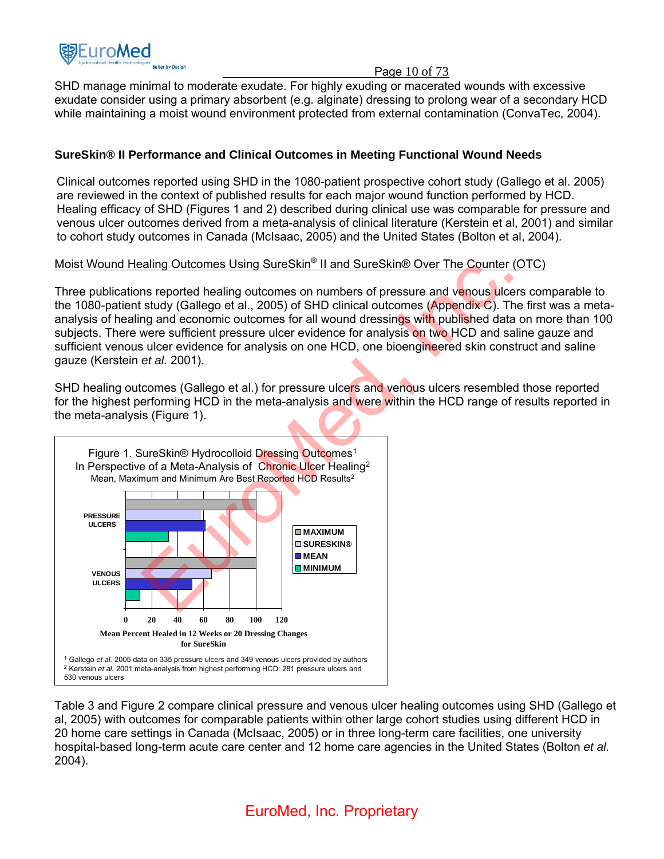

### Page 10 of 73

SHD manage minimal to moderate exudate. For highly exuding or macerated wounds with excessive exudate consider using a primary absorbent (e.g. alginate) dressing to prolong wear of a secondary HCD while maintaining a moist wound environment protected from external contamination (ConvaTec, 2004).

## **SureSkin® II Performance and Clinical Outcomes in Meeting Functional Wound Needs**

Clinical outcomes reported using SHD in the 1080-patient prospective cohort study (Gallego et al. 2005) are reviewed in the context of published results for each major wound function performed by HCD. Healing efficacy of SHD (Figures 1 and 2) described during clinical use was comparable for pressure and venous ulcer outcomes derived from a meta-analysis of clinical literature (Kerstein et al, 2001) and similar to cohort study outcomes in Canada (McIsaac, 2005) and the United States (Bolton et al, 2004).

## Moist Wound Healing Outcomes Using SureSkin® II and SureSkin® Over The Counter (OTC)

Three publications reported healing outcomes on numbers of pressure and venous ulcers comparable to the 1080-patient study (Gallego et al., 2005) of SHD clinical outcomes (Appendix C). The first was a metaanalysis of healing and economic outcomes for all wound dressings with published data on more than 100 subjects. There were sufficient pressure ulcer evidence for analysis on two HCD and saline gauze and sufficient venous ulcer evidence for analysis on one HCD, one bioengineered skin construct and saline gauze (Kerstein *et al.* 2001).

SHD healing outcomes (Gallego et al.) for pressure ulcers and venous ulcers resembled those reported for the highest performing HCD in the meta-analysis and were within the HCD range of results reported in the meta-analysis (Figure 1).



Table 3 and Figure 2 compare clinical pressure and venous ulcer healing outcomes using SHD (Gallego et al, 2005) with outcomes for comparable patients within other large cohort studies using different HCD in 20 home care settings in Canada (McIsaac, 2005) or in three long-term care facilities, one university hospital-based long-term acute care center and 12 home care agencies in the United States (Bolton *et al.* 2004).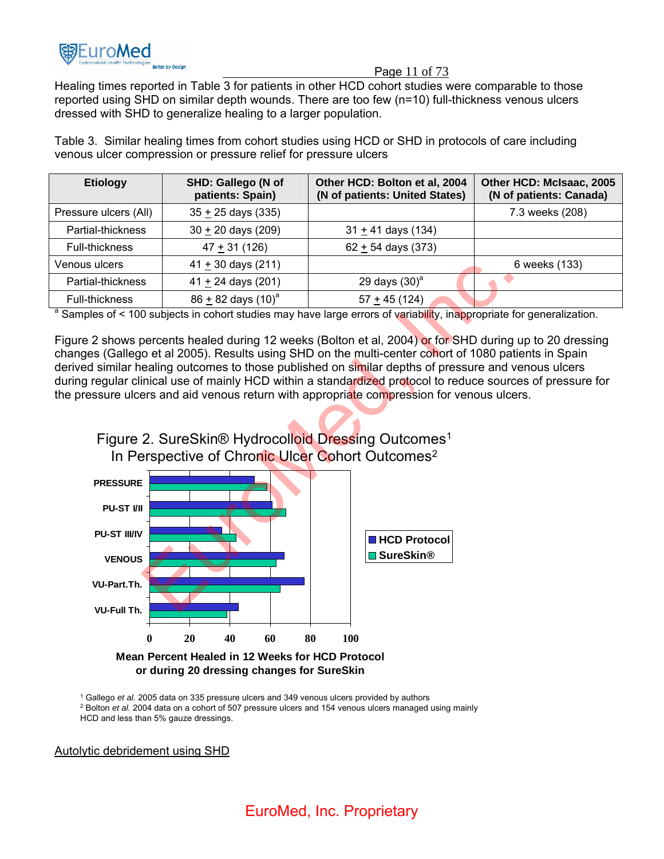

#### Page 11 of 73

Healing times reported in Table 3 for patients in other HCD cohort studies were comparable to those reported using SHD on similar depth wounds. There are too few (n=10) full-thickness venous ulcers dressed with SHD to generalize healing to a larger population.

Table 3. Similar healing times from cohort studies using HCD or SHD in protocols of care including venous ulcer compression or pressure relief for pressure ulcers

| <b>Etiology</b>                                                                                                                  | SHD: Gallego (N of<br>patients: Spain) | Other HCD: Bolton et al, 2004<br>(N of patients: United States) | Other HCD: McIsaac, 2005<br>(N of patients: Canada) |  |  |
|----------------------------------------------------------------------------------------------------------------------------------|----------------------------------------|-----------------------------------------------------------------|-----------------------------------------------------|--|--|
| Pressure ulcers (All)                                                                                                            | $35 + 25$ days (335)                   |                                                                 | 7.3 weeks (208)                                     |  |  |
| Partial-thickness                                                                                                                | $30 \pm 20$ days (209)                 | $31 \pm 41$ days (134)                                          |                                                     |  |  |
| Full-thickness                                                                                                                   | $47 + 31(126)$                         | $62 + 54$ days (373)                                            |                                                     |  |  |
| Venous ulcers                                                                                                                    | $41 + 30$ days (211)                   |                                                                 | 6 weeks (133)                                       |  |  |
| Partial-thickness                                                                                                                | 41 $\pm$ 24 days (201)                 | 29 days $(30)^a$                                                |                                                     |  |  |
| Full-thickness                                                                                                                   | $86 + 82$ days $(10)^a$                | $57 + 45(124)$                                                  |                                                     |  |  |
| <sup>a</sup> Samples of < 100 subjects in cohort studies may have large errors of variability, inappropriate for generalization. |                                        |                                                                 |                                                     |  |  |

Figure 2 shows percents healed during 12 weeks (Bolton et al, 2004) or for SHD during up to 20 dressing changes (Gallego et al 2005). Results using SHD on the multi-center cohort of 1080 patients in Spain derived similar healing outcomes to those published on similar depths of pressure and venous ulcers during regular clinical use of mainly HCD within a standardized protocol to reduce sources of pressure for the pressure ulcers and aid venous return with appropriate compression for venous ulcers.





**Mean Percent Healed in 12 Weeks for HCD Protocol or during 20 dressing changes for SureSkin**

<sup>1</sup> Gallego *et al.* 2005 data on 335 pressure ulcers and 349 venous ulcers provided by authors

<sup>2</sup> Bolton *et al.* 2004 data on a cohort of 507 pressure ulcers and 154 venous ulcers managed using mainly HCD and less than 5% gauze dressings.

Autolytic debridement using SHD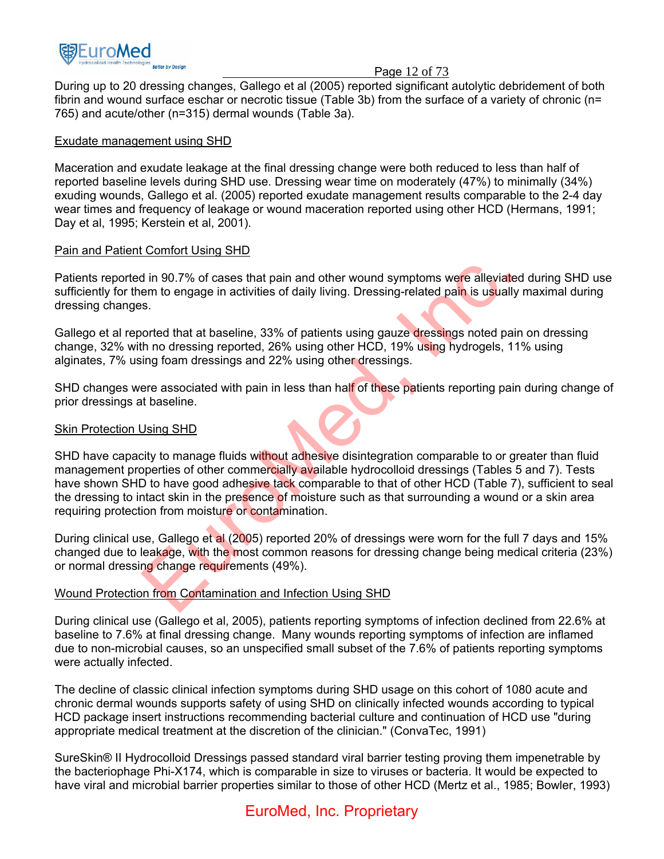

#### Page 12 of 73

During up to 20 dressing changes, Gallego et al (2005) reported significant autolytic debridement of both fibrin and wound surface eschar or necrotic tissue (Table 3b) from the surface of a variety of chronic (n= 765) and acute/other (n=315) dermal wounds (Table 3a).

#### Exudate management using SHD

Maceration and exudate leakage at the final dressing change were both reduced to less than half of reported baseline levels during SHD use. Dressing wear time on moderately (47%) to minimally (34%) exuding wounds, Gallego et al. (2005) reported exudate management results comparable to the 2-4 day wear times and frequency of leakage or wound maceration reported using other HCD (Hermans, 1991; Day et al, 1995; Kerstein et al, 2001).

### Pain and Patient Comfort Using SHD

Patients reported in 90.7% of cases that pain and other wound symptoms were alleviated during SHD use sufficiently for them to engage in activities of daily living. Dressing-related pain is usually maximal during dressing changes.

Gallego et al reported that at baseline, 33% of patients using gauze dressings noted pain on dressing change, 32% with no dressing reported, 26% using other HCD, 19% using hydrogels, 11% using alginates, 7% using foam dressings and 22% using other dressings.

SHD changes were associated with pain in less than half of these patients reporting pain during change of prior dressings at baseline.

#### Skin Protection Using SHD

SHD have capacity to manage fluids without adhesive disintegration comparable to or greater than fluid management properties of other commercially available hydrocolloid dressings (Tables 5 and 7). Tests have shown SHD to have good adhesive tack comparable to that of other HCD (Table 7), sufficient to seal the dressing to intact skin in the presence of moisture such as that surrounding a wound or a skin area requiring protection from moisture or contamination. d in 90.7% of cases that pain and other wound symptoms were alleviated<br>em to engage in activities of daily living. Dressing-related pain is usually r<br>s.<br>orted that at baseline, 33% of patients using gauze dressings noted p

During clinical use, Gallego et al (2005) reported 20% of dressings were worn for the full 7 days and 15% changed due to leakage, with the most common reasons for dressing change being medical criteria (23%) or normal dressing change requirements (49%).

## Wound Protection from Contamination and Infection Using SHD

During clinical use (Gallego et al, 2005), patients reporting symptoms of infection declined from 22.6% at baseline to 7.6% at final dressing change. Many wounds reporting symptoms of infection are inflamed due to non-microbial causes, so an unspecified small subset of the 7.6% of patients reporting symptoms were actually infected.

The decline of classic clinical infection symptoms during SHD usage on this cohort of 1080 acute and chronic dermal wounds supports safety of using SHD on clinically infected wounds according to typical HCD package insert instructions recommending bacterial culture and continuation of HCD use "during appropriate medical treatment at the discretion of the clinician." (ConvaTec, 1991)

SureSkin® II Hydrocolloid Dressings passed standard viral barrier testing proving them impenetrable by the bacteriophage Phi-X174, which is comparable in size to viruses or bacteria. It would be expected to have viral and microbial barrier properties similar to those of other HCD (Mertz et al., 1985; Bowler, 1993)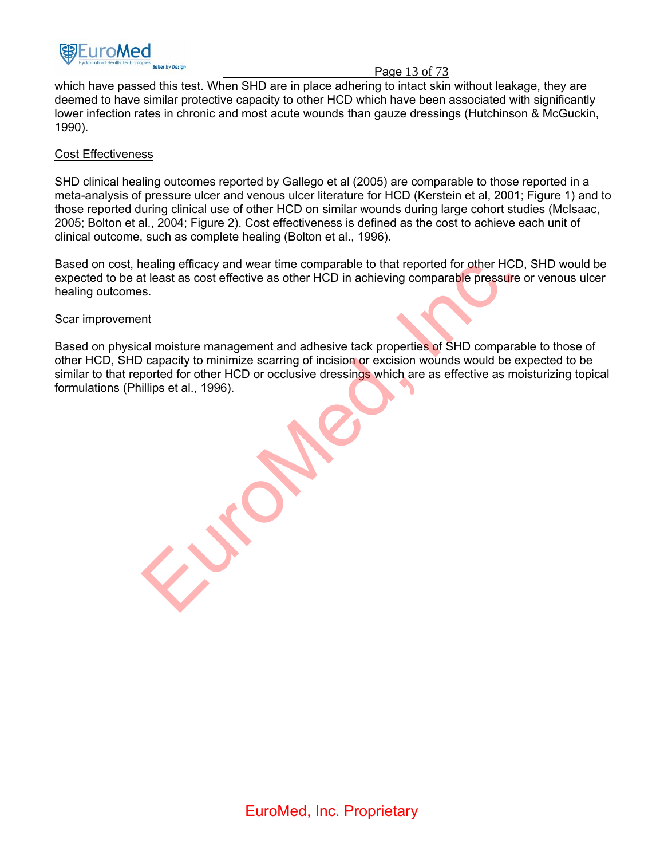

#### Page 13 of 73

which have passed this test. When SHD are in place adhering to intact skin without leakage, they are deemed to have similar protective capacity to other HCD which have been associated with significantly lower infection rates in chronic and most acute wounds than gauze dressings (Hutchinson & McGuckin, 1990).

#### Cost Effectiveness

SHD clinical healing outcomes reported by Gallego et al (2005) are comparable to those reported in a meta-analysis of pressure ulcer and venous ulcer literature for HCD (Kerstein et al, 2001; Figure 1) and to those reported during clinical use of other HCD on similar wounds during large cohort studies (McIsaac, 2005; Bolton et al., 2004; Figure 2). Cost effectiveness is defined as the cost to achieve each unit of clinical outcome, such as complete healing (Bolton et al., 1996).

Based on cost, healing efficacy and wear time comparable to that reported for other HCD, SHD would be expected to be at least as cost effective as other HCD in achieving comparable pressure or venous ulcer healing outcomes.

#### Scar improvement

Based on physical moisture management and adhesive tack properties of SHD comparable to those of other HCD, SHD capacity to minimize scarring of incision or excision wounds would be expected to be similar to that reported for other HCD or occlusive dressings which are as effective as moisturizing topical formulations (Phillips et al., 1996). ealing efficacy and wear time comparable to that reported for other HCD.<br>It least as cost effective as other HCD in achieving comparable pressure<br>s.<br>s.<br>capacity to minimize scaring of incision or excision wounds would be e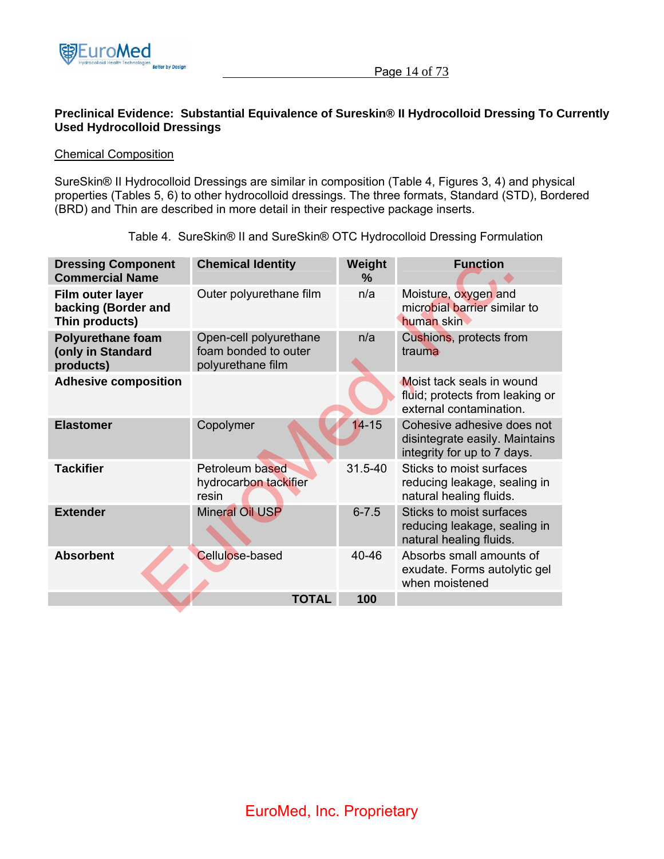

## **Preclinical Evidence: Substantial Equivalence of Sureskin® II Hydrocolloid Dressing To Currently Used Hydrocolloid Dressings**

#### Chemical Composition

SureSkin® II Hydrocolloid Dressings are similar in composition (Table 4, Figures 3, 4) and physical properties (Tables 5, 6) to other hydrocolloid dressings. The three formats, Standard (STD), Bordered (BRD) and Thin are described in more detail in their respective package inserts.

| <b>Dressing Component</b><br><b>Commercial Name</b>        | <b>Chemical Identity</b>                                            | Weight<br>% | <b>Function</b>                                                                             |
|------------------------------------------------------------|---------------------------------------------------------------------|-------------|---------------------------------------------------------------------------------------------|
| Film outer layer<br>backing (Border and<br>Thin products)  | Outer polyurethane film                                             | n/a         | Moisture, oxygen and<br>microbial barrier similar to<br>human skin                          |
| <b>Polyurethane foam</b><br>(only in Standard<br>products) | Open-cell polyurethane<br>foam bonded to outer<br>polyurethane film | n/a         | Cushions, protects from<br>trauma                                                           |
| <b>Adhesive composition</b>                                |                                                                     |             | Moist tack seals in wound<br>fluid; protects from leaking or<br>external contamination.     |
| <b>Elastomer</b>                                           | Copolymer                                                           | $14 - 15$   | Cohesive adhesive does not<br>disintegrate easily. Maintains<br>integrity for up to 7 days. |
| <b>Tackifier</b>                                           | Petroleum based<br>hydrocarbon tackifier<br>resin                   | 31.5-40     | Sticks to moist surfaces<br>reducing leakage, sealing in<br>natural healing fluids.         |
| <b>Extender</b>                                            | Mineral Oil USP                                                     | $6 - 7.5$   | Sticks to moist surfaces<br>reducing leakage, sealing in<br>natural healing fluids.         |
| <b>Absorbent</b>                                           | <b>Cellulose-based</b>                                              | 40-46       | Absorbs small amounts of<br>exudate. Forms autolytic gel<br>when moistened                  |
|                                                            | <b>TOTAL</b>                                                        | 100         |                                                                                             |

Table 4. SureSkin® II and SureSkin® OTC Hydrocolloid Dressing Formulation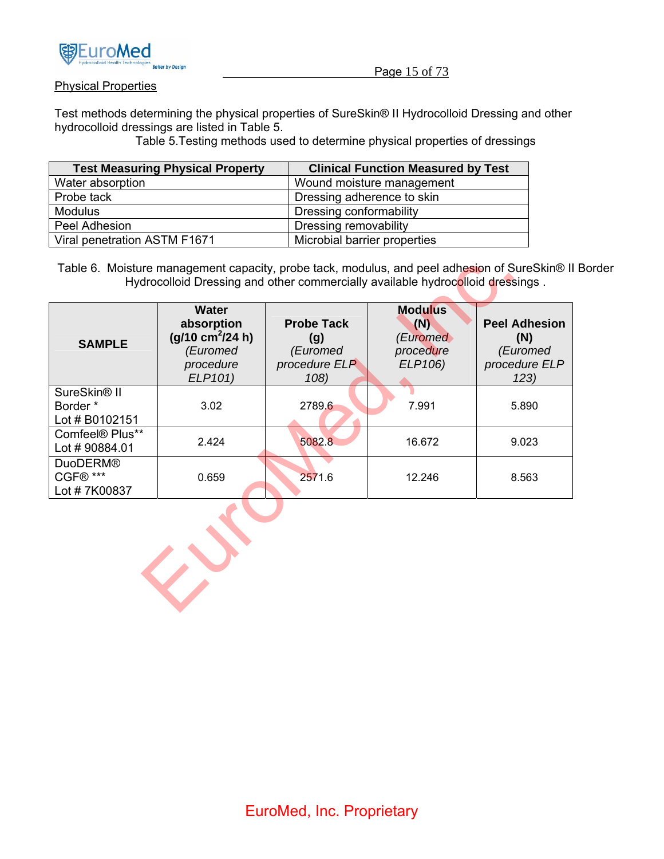

### Physical Properties

Test methods determining the physical properties of SureSkin® II Hydrocolloid Dressing and other hydrocolloid dressings are listed in Table 5.

Table 5.Testing methods used to determine physical properties of dressings

| <b>Test Measuring Physical Property</b> | <b>Clinical Function Measured by Test</b> |
|-----------------------------------------|-------------------------------------------|
| Water absorption                        | Wound moisture management                 |
| Probe tack                              | Dressing adherence to skin                |
| <b>Modulus</b>                          | Dressing conformability                   |
| Peel Adhesion                           | Dressing removability                     |
| Viral penetration ASTM F1671            | Microbial barrier properties              |

Table 6. Moisture management capacity, probe tack, modulus, and peel adhesion of SureSkin® II Border Hydrocolloid Dressing and other commercially available hydrocolloid dressings .

| <b>SAMPLE</b>                                          | <b>Water</b><br>absorption<br>$(g/10 \text{ cm}^2/24 \text{ h})$<br>(Euromed<br>procedure<br>ELP101) | <b>Probe Tack</b><br>(g)<br>(Euromed<br>procedure ELP<br>108) | <b>Modulus</b><br>(N)<br>(Euromed<br>procedure<br>ELP106) | <b>Peel Adhesion</b><br>(N)<br>(Euromed<br>procedure ELP<br>123) |
|--------------------------------------------------------|------------------------------------------------------------------------------------------------------|---------------------------------------------------------------|-----------------------------------------------------------|------------------------------------------------------------------|
| SureSkin <sup>®</sup> II<br>Border *<br>Lot # B0102151 | 3.02                                                                                                 | 2789.6                                                        | 7.991                                                     | 5.890                                                            |
| Comfeel <sup>®</sup> Plus**<br>Lot #90884.01           | 2.424                                                                                                | 5082.8                                                        | 16.672                                                    | 9.023                                                            |
| <b>DuoDERM®</b><br>CGF® ***<br>Lot #7K00837            | 0.659                                                                                                | 2571.6                                                        | 12.246                                                    | 8.563                                                            |

EuroMed, Inc.

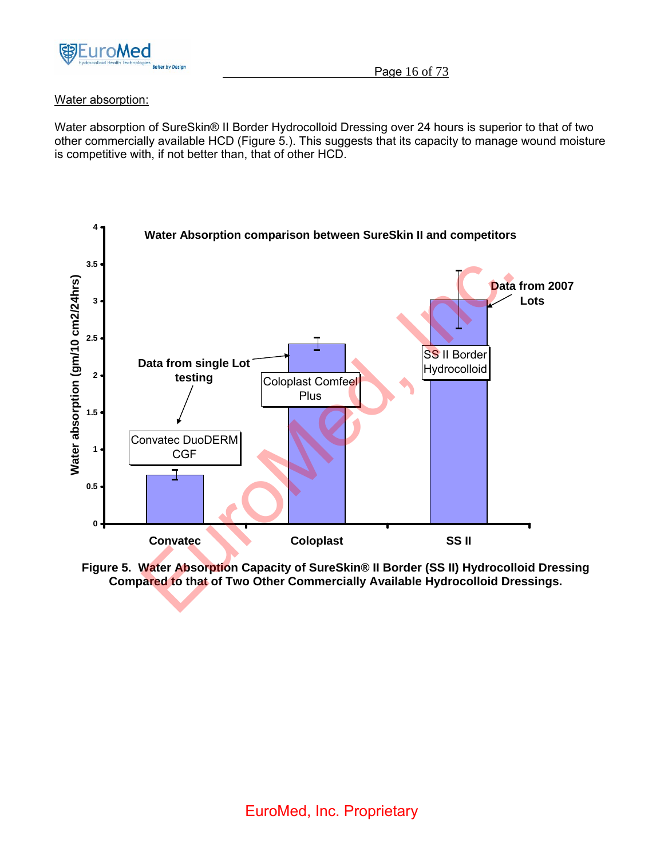

## Water absorption:

Water absorption of SureSkin® II Border Hydrocolloid Dressing over 24 hours is superior to that of two other commercially available HCD (Figure 5.). This suggests that its capacity to manage wound moisture is competitive with, if not better than, that of other HCD.



**Figure 5. Water Absorption Capacity of SureSkin® II Border (SS II) Hydrocolloid Dressing Compared to that of Two Other Commercially Available Hydrocolloid Dressings.**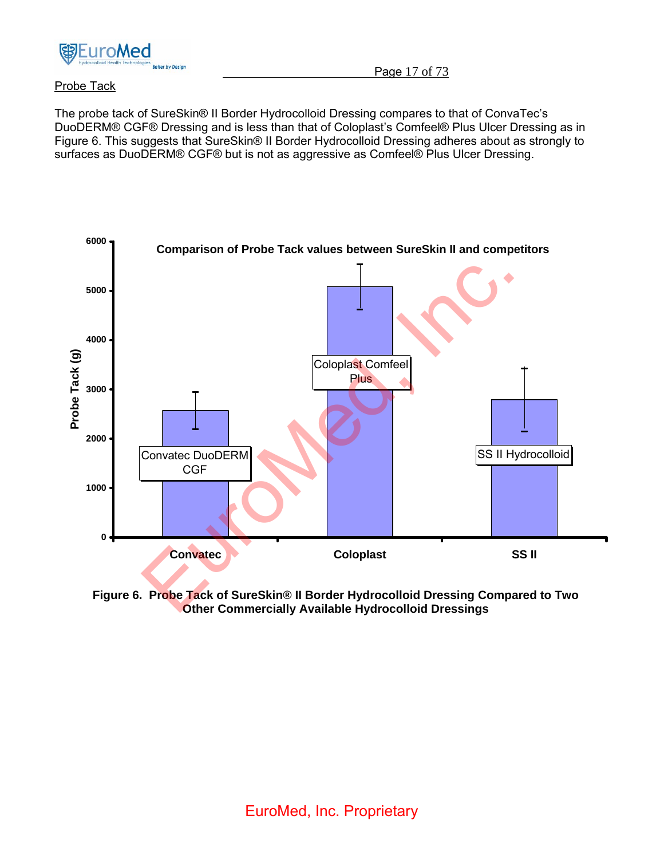

## Probe Tack

The probe tack of SureSkin® II Border Hydrocolloid Dressing compares to that of ConvaTec's DuoDERM® CGF® Dressing and is less than that of Coloplast's Comfeel® Plus Ulcer Dressing as in Figure 6. This suggests that SureSkin® II Border Hydrocolloid Dressing adheres about as strongly to surfaces as DuoDERM® CGF® but is not as aggressive as Comfeel® Plus Ulcer Dressing.



**Figure 6. Probe Tack of SureSkin® II Border Hydrocolloid Dressing Compared to Two Other Commercially Available Hydrocolloid Dressings**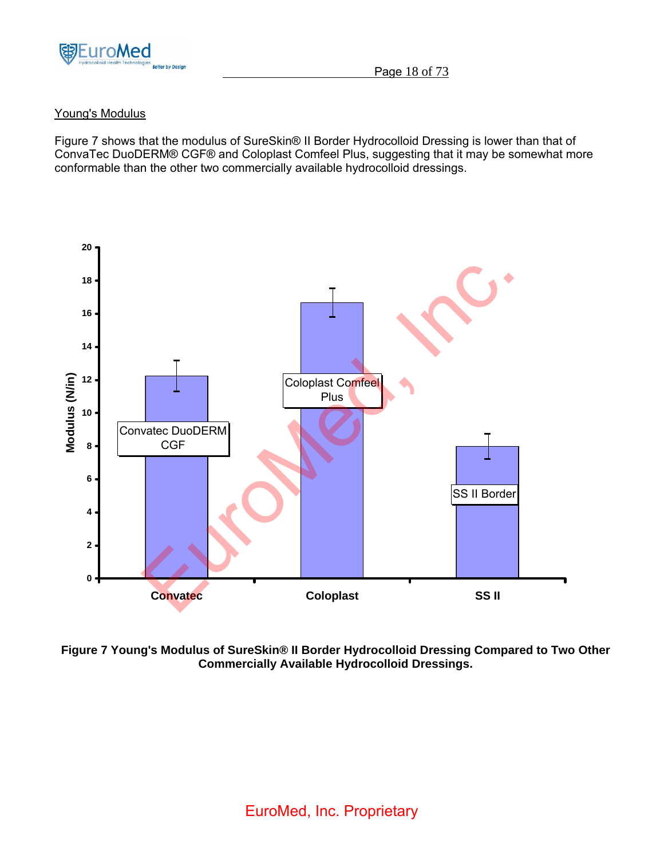

## Young's Modulus

Figure 7 shows that the modulus of SureSkin® II Border Hydrocolloid Dressing is lower than that of ConvaTec DuoDERM® CGF® and Coloplast Comfeel Plus, suggesting that it may be somewhat more conformable than the other two commercially available hydrocolloid dressings.



**Figure 7 Young's Modulus of SureSkin® II Border Hydrocolloid Dressing Compared to Two Other Commercially Available Hydrocolloid Dressings.**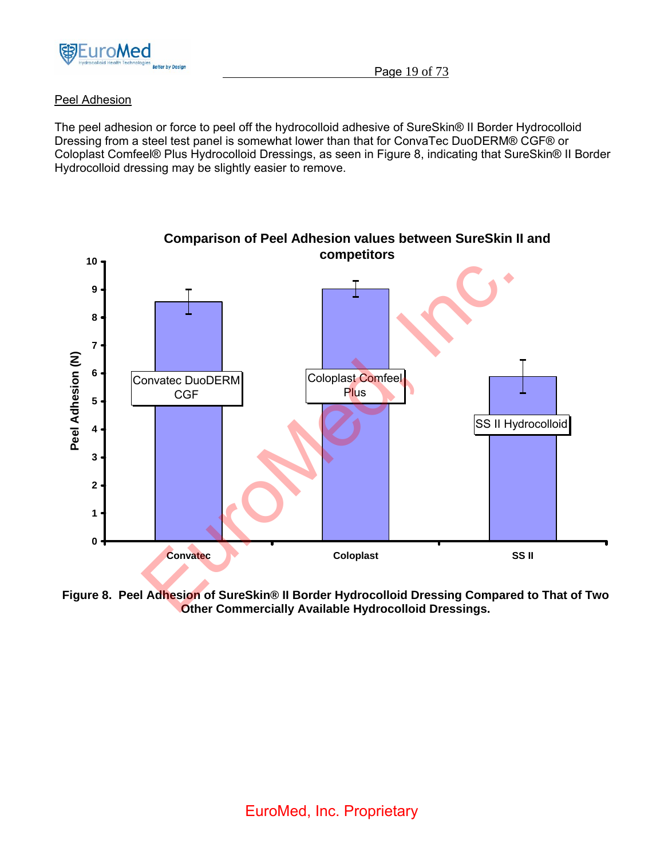

## Peel Adhesion

The peel adhesion or force to peel off the hydrocolloid adhesive of SureSkin® II Border Hydrocolloid Dressing from a steel test panel is somewhat lower than that for ConvaTec DuoDERM® CGF® or Coloplast Comfeel® Plus Hydrocolloid Dressings, as seen in Figure 8, indicating that SureSkin® II Border Hydrocolloid dressing may be slightly easier to remove.



**Figure 8. Peel Adhesion of SureSkin® II Border Hydrocolloid Dressing Compared to That of Two Other Commercially Available Hydrocolloid Dressings.**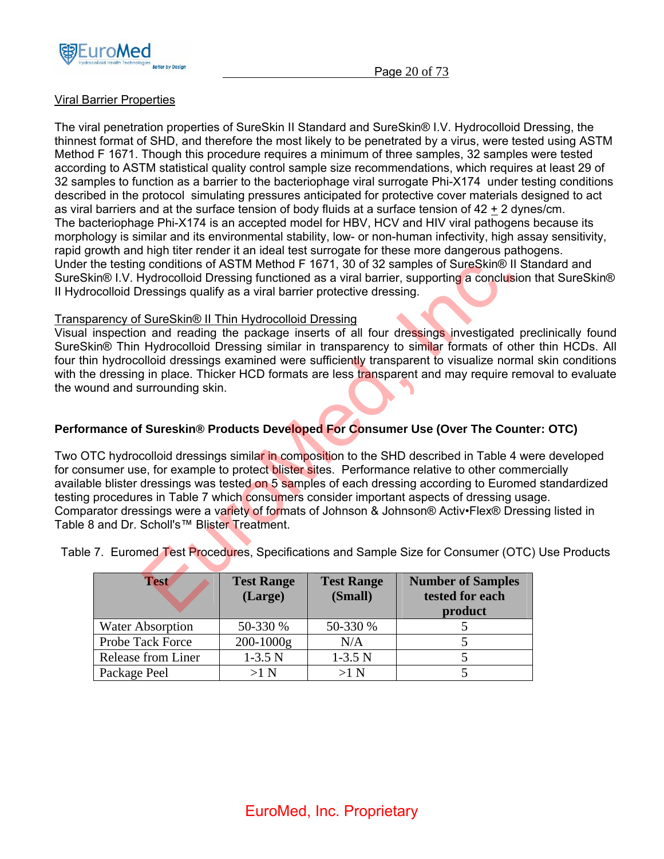

## Viral Barrier Properties

The viral penetration properties of SureSkin II Standard and SureSkin® I.V. Hydrocolloid Dressing, the thinnest format of SHD, and therefore the most likely to be penetrated by a virus, were tested using ASTM Method F 1671. Though this procedure requires a minimum of three samples, 32 samples were tested according to ASTM statistical quality control sample size recommendations, which requires at least 29 of 32 samples to function as a barrier to the bacteriophage viral surrogate Phi-X174 under testing conditions described in the protocol simulating pressures anticipated for protective cover materials designed to act as viral barriers and at the surface tension of body fluids at a surface tension of 42 + 2 dynes/cm. The bacteriophage Phi-X174 is an accepted model for HBV, HCV and HIV viral pathogens because its morphology is similar and its environmental stability, low- or non-human infectivity, high assay sensitivity, rapid growth and high titer render it an ideal test surrogate for these more dangerous pathogens. Under the testing conditions of ASTM Method F 1671, 30 of 32 samples of SureSkin® II Standard and SureSkin® I.V. Hydrocolloid Dressing functioned as a viral barrier, supporting a conclusion that SureSkin® II Hydrocolloid Dressings qualify as a viral barrier protective dressing.

## Transparency of SureSkin® II Thin Hydrocolloid Dressing

Visual inspection and reading the package inserts of all four dressings investigated preclinically found SureSkin® Thin Hydrocolloid Dressing similar in transparency to similar formats of other thin HCDs. All four thin hydrocolloid dressings examined were sufficiently transparent to visualize normal skin conditions with the dressing in place. Thicker HCD formats are less transparent and may require removal to evaluate the wound and surrounding skin.

## **Performance of Sureskin® Products Developed For Consumer Use (Over The Counter: OTC)**

Two OTC hydrocolloid dressings similar in composition to the SHD described in Table 4 were developed for consumer use, for example to protect blister sites. Performance relative to other commercially available blister dressings was tested on 5 samples of each dressing according to Euromed standardized testing procedures in Table 7 which consumers consider important aspects of dressing usage. Comparator dressings were a variety of formats of Johnson & Johnson® Activ•Flex® Dressing listed in Table 8 and Dr. Scholl's™ Blister Treatment. g conditions of ASTM Method F 1671, 30 of 32 samples of SureSkin® II Syddicoloid Dressing functioned as a viral barrier, supporting a conclusion constrained and and the proceding functioned as a viral barrier protective d

Table 7. Euromed Test Procedures, Specifications and Sample Size for Consumer (OTC) Use Products

| <b>Test</b>             | <b>Test Range</b><br>(Large) | <b>Test Range</b><br>(Small) | <b>Number of Samples</b><br>tested for each<br>product |
|-------------------------|------------------------------|------------------------------|--------------------------------------------------------|
| <b>Water Absorption</b> | 50-330 %                     | 50-330 %                     |                                                        |
| <b>Probe Tack Force</b> | 200-1000g                    | N/A                          |                                                        |
| Release from Liner      | $1-3.5N$                     | $1-3.5N$                     |                                                        |
| Package Peel            | >1 N                         | $>1$ N                       |                                                        |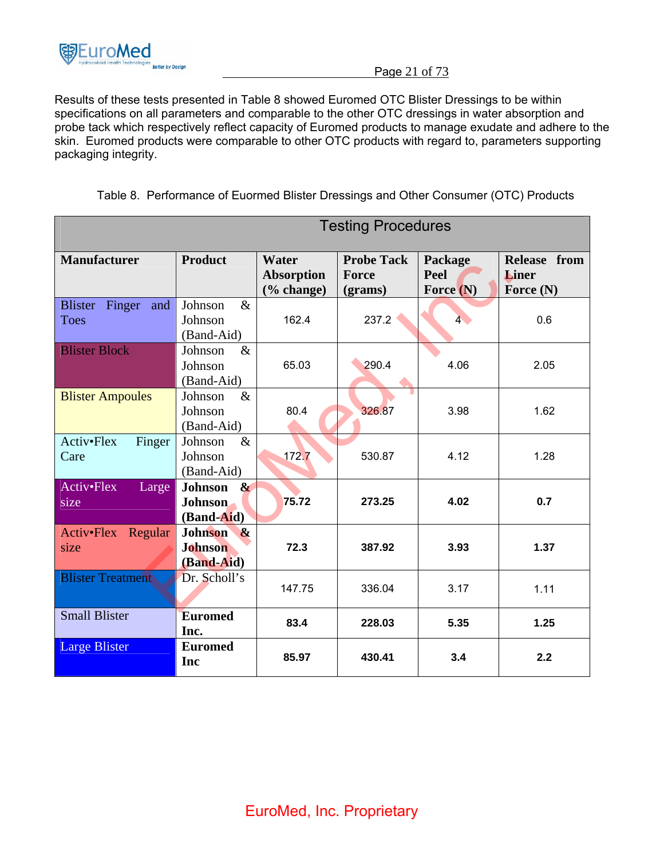

Page 21 of 73

Results of these tests presented in Table 8 showed Euromed OTC Blister Dressings to be within specifications on all parameters and comparable to the other OTC dressings in water absorption and probe tack which respectively reflect capacity of Euromed products to manage exudate and adhere to the skin. Euromed products were comparable to other OTC products with regard to, parameters supporting packaging integrity.

| Table 8. Performance of Euormed Blister Dressings and Other Consumer (OTC) Products |  |
|-------------------------------------------------------------------------------------|--|
|                                                                                     |  |

|                                                | <b>Testing Procedures</b>                                               |                                             |                                       |                                |                                             |  |
|------------------------------------------------|-------------------------------------------------------------------------|---------------------------------------------|---------------------------------------|--------------------------------|---------------------------------------------|--|
| <b>Manufacturer</b>                            | <b>Product</b>                                                          | Water<br><b>Absorption</b><br>$(\%$ change) | <b>Probe Tack</b><br>Force<br>(grams) | Package<br>Peel<br>Force $(N)$ | Release from<br><b>Liner</b><br>Force $(N)$ |  |
| <b>Blister</b><br>Finger<br>and<br><b>Toes</b> | Johnson<br>$\&$<br>Johnson<br>(Band-Aid)                                | 162.4                                       | 237.2                                 | 4 <sup>1</sup>                 | 0.6                                         |  |
| <b>Blister Block</b>                           | Johnson<br>$\&$<br>Johnson<br>(Band-Aid)                                | 65.03                                       | 290.4                                 | 4.06                           | 2.05                                        |  |
| <b>Blister Ampoules</b>                        | Johnson<br>$\&$<br>Johnson<br>(Band-Aid)                                | 80.4                                        | 326.87                                | 3.98                           | 1.62                                        |  |
| Activ•Flex<br>Finger<br>Care                   | Johnson<br>$\&$<br>Johnson<br>(Band-Aid)                                | 172.7                                       | 530.87                                | 4.12                           | 1.28                                        |  |
| Activ•Flex<br>Large<br>size                    | <b>Johnson</b><br>$\boldsymbol{\alpha}$<br><b>Johnson</b><br>(Band-Aid) | 75.72                                       | 273.25                                | 4.02                           | 0.7                                         |  |
| Activ•Flex Regular<br>size                     | <b>Johnson</b><br>$\alpha$<br><b>Johnson</b><br>(Band-Aid)              | 72.3                                        | 387.92                                | 3.93                           | 1.37                                        |  |
| <b>Blister Treatment</b>                       | Dr. Scholl's                                                            | 147.75                                      | 336.04                                | 3.17                           | 1.11                                        |  |
| <b>Small Blister</b>                           | <b>Euromed</b><br>Inc.                                                  | 83.4                                        | 228.03                                | 5.35                           | 1.25                                        |  |
| <b>Large Blister</b>                           | <b>Euromed</b><br>Inc                                                   | 85.97                                       | 430.41                                | 3.4                            | 2.2                                         |  |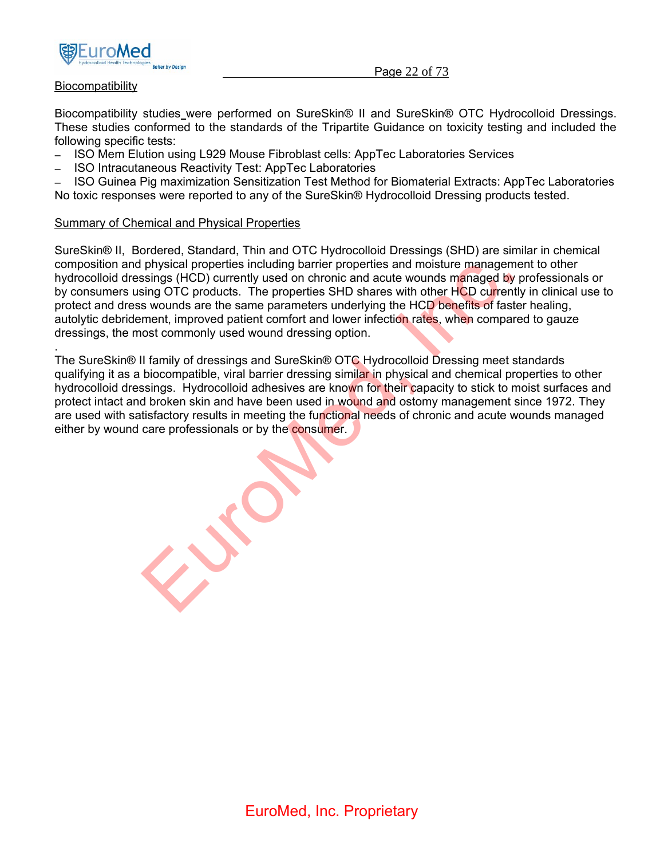

### Page 22 of 73

### **Biocompatibility**

.

Biocompatibility studies were performed on SureSkin® II and SureSkin® OTC Hydrocolloid Dressings. These studies conformed to the standards of the Tripartite Guidance on toxicity testing and included the following specific tests:

- − ISO Mem Elution using L929 Mouse Fibroblast cells: AppTec Laboratories Services
- − ISO Intracutaneous Reactivity Test: AppTec Laboratories

− ISO Guinea Pig maximization Sensitization Test Method for Biomaterial Extracts: AppTec Laboratories No toxic responses were reported to any of the SureSkin® Hydrocolloid Dressing products tested.

#### Summary of Chemical and Physical Properties

SureSkin® II, Bordered, Standard, Thin and OTC Hydrocolloid Dressings (SHD) are similar in chemical composition and physical properties including barrier properties and moisture management to other hydrocolloid dressings (HCD) currently used on chronic and acute wounds managed by professionals or by consumers using OTC products. The properties SHD shares with other HCD currently in clinical use to protect and dress wounds are the same parameters underlying the HCD benefits of faster healing, autolytic debridement, improved patient comfort and lower infection rates, when compared to gauze dressings, the most commonly used wound dressing option.

The SureSkin® II family of dressings and SureSkin® OTC Hydrocolloid Dressing meet standards qualifying it as a biocompatible, viral barrier dressing similar in physical and chemical properties to other hydrocolloid dressings. Hydrocolloid adhesives are known for their capacity to stick to moist surfaces and protect intact and broken skin and have been used in wound and ostomy management since 1972. They are used with satisfactory results in meeting the functional needs of chronic and acute wounds managed either by wound care professionals or by the consumer. physical properties including barrier properties and moisture management<br>sings (HCD) currently used on chronic and actue wounds managed by p<br>sing OTC products. The properties SHD shares with other HCD currently<br>swounds are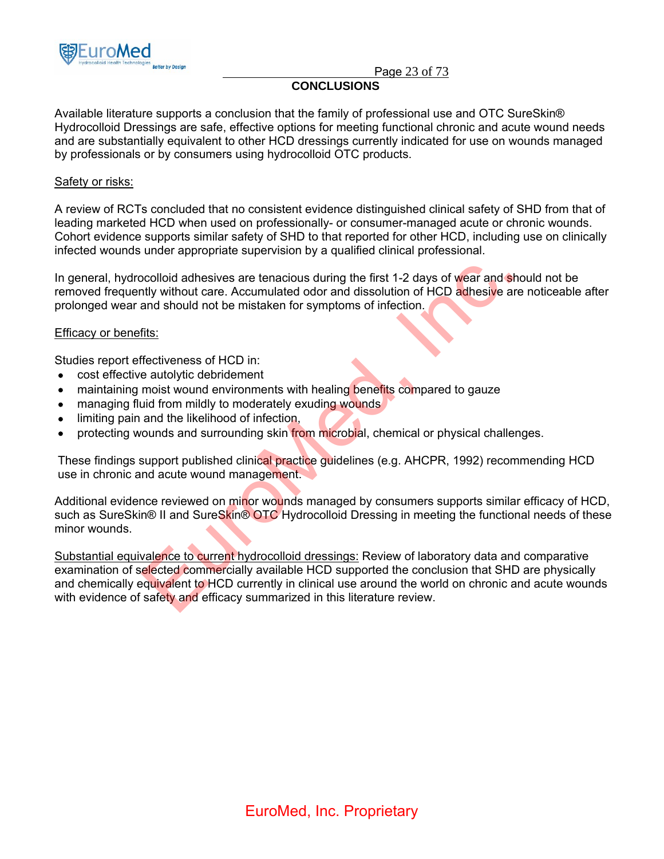

Page 23 of 73

## **CONCLUSIONS**

Available literature supports a conclusion that the family of professional use and OTC SureSkin® Hydrocolloid Dressings are safe, effective options for meeting functional chronic and acute wound needs and are substantially equivalent to other HCD dressings currently indicated for use on wounds managed by professionals or by consumers using hydrocolloid OTC products.

### Safety or risks:

A review of RCTs concluded that no consistent evidence distinguished clinical safety of SHD from that of leading marketed HCD when used on professionally- or consumer-managed acute or chronic wounds. Cohort evidence supports similar safety of SHD to that reported for other HCD, including use on clinically infected wounds under appropriate supervision by a qualified clinical professional.

In general, hydrocolloid adhesives are tenacious during the first 1-2 days of wear and should not be removed frequently without care. Accumulated odor and dissolution of HCD adhesive are noticeable after prolonged wear and should not be mistaken for symptoms of infection.

### Efficacy or benefits:

Studies report effectiveness of HCD in:

- cost effective autolytic debridement
- maintaining moist wound environments with healing benefits compared to gauze
- managing fluid from mildly to moderately exuding wounds
- limiting pain and the likelihood of infection,
- protecting wounds and surrounding skin from microbial, chemical or physical challenges.

These findings support published clinical practice quidelines (e.g. AHCPR, 1992) recommending HCD use in chronic and acute wound management.

Additional evidence reviewed on minor wounds managed by consumers supports similar efficacy of HCD, such as SureSkin® II and SureSkin® OTC Hydrocolloid Dressing in meeting the functional needs of these minor wounds.

Substantial equivalence to current hydrocolloid dressings: Review of laboratory data and comparative examination of selected commercially available HCD supported the conclusion that SHD are physically and chemically equivalent to HCD currently in clinical use around the world on chronic and acute wounds with evidence of safety and efficacy summarized in this literature review. probloid adhesives are tenacious during the first 1-2 days of wear and shotly without care. Accumulated odor and dissolution of HCD adhesive are<br>and should not be mistaken for symptoms of infection.<br><u>fits:</u><br>Frectiveness of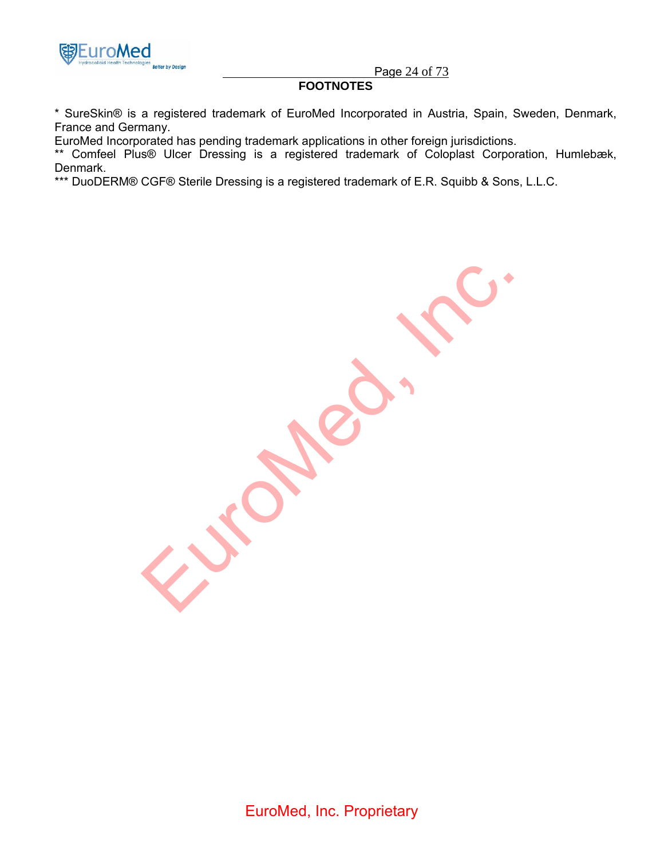

Page 24 of 73

## **FOOTNOTES**

\* SureSkin® is a registered trademark of EuroMed Incorporated in Austria, Spain, Sweden, Denmark, France and Germany.

EuroMed Incorporated has pending trademark applications in other foreign jurisdictions.

\*\* Comfeel Plus® Ulcer Dressing is a registered trademark of Coloplast Corporation, Humlebæk, Denmark.

\*\*\* DuoDERM® CGF® Sterile Dressing is a registered trademark of E.R. Squibb & Sons, L.L.C.

Europee. Inc.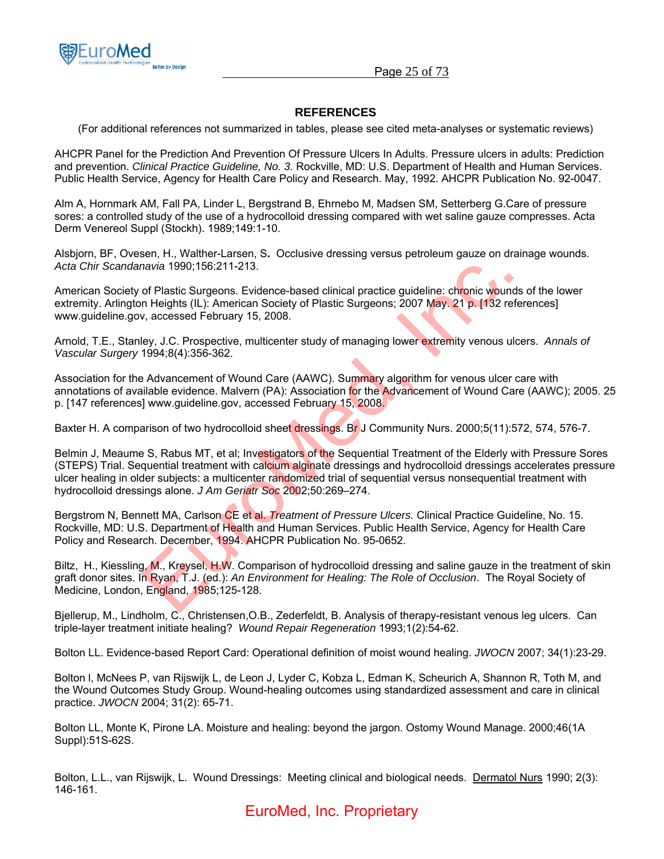

Page 25 of 73

### **REFERENCES**

(For additional references not summarized in tables, please see cited meta-analyses or systematic reviews)

AHCPR Panel for the Prediction And Prevention Of Pressure Ulcers In Adults. Pressure ulcers in adults: Prediction and prevention. *Clinical Practice Guideline, No. 3.* Rockville, MD: U.S. Department of Health and Human Services. Public Health Service, Agency for Health Care Policy and Research. May, 1992. AHCPR Publication No. 92-0047.

Alm A, Hornmark AM, Fall PA, Linder L, Bergstrand B, Ehrnebo M, Madsen SM, Setterberg G.Care of pressure sores: a controlled study of the use of a hydrocolloid dressing compared with wet saline gauze compresses. Acta Derm Venereol Suppl (Stockh). 1989;149:1-10.

Alsbjorn, BF, Ovesen, H., Walther-Larsen, S**.** Occlusive dressing versus petroleum gauze on drainage wounds. *Acta Chir Scandanavia* 1990;156:211-213.

American Society of Plastic Surgeons. Evidence-based clinical practice guideline: chronic wounds of the lower extremity. Arlington Heights (IL): American Society of Plastic Surgeons; 2007 May. 21 p. [132 references] www.guideline.gov, accessed February 15, 2008.

Arnold, T.E., Stanley, J.C. Prospective, multicenter study of managing lower extremity venous ulcers. *Annals of Vascular Surgery* 1994;8(4):356-362.

Association for the Advancement of Wound Care (AAWC). Summary algorithm for venous ulcer care with annotations of available evidence. Malvern (PA): Association for the Advancement of Wound Care (AAWC); 2005. 25 p. [147 references] www.guideline.gov, accessed February 15, 2008.

Baxter H. A comparison of two hydrocolloid sheet dressings. Br J Community Nurs. 2000;5(11):572, 574, 576-7.

Belmin J, Meaume S, Rabus MT, et al; Investigators of the Sequential Treatment of the Elderly with Pressure Sores (STEPS) Trial. Sequential treatment with calcium alginate dressings and hydrocolloid dressings accelerates pressure ulcer healing in older subjects: a multicenter randomized trial of sequential versus nonsequential treatment with hydrocolloid dressings alone. *J Am Geriatr Soc* 2002;50:269–274. mavia 1990;156:211-213.<br>
of Plastic Surgeons. Evidence-based clinical practice guideline: chronic wounds<br>
In Heights (IL): American Society of Plastic Surgeons; 2007 May. 21 p. [132 refer<br>
v, accessed February 15, 2008.<br>
H

Bergstrom N, Bennett MA, Carlson CE et al. *Treatment of Pressure Ulcers.* Clinical Practice Guideline, No. 15. Rockville, MD: U.S. Department of Health and Human Services. Public Health Service, Agency for Health Care Policy and Research. December, 1994. AHCPR Publication No. 95-0652.

Biltz, H., Kiessling, M., Kreysel, H.W. Comparison of hydrocolloid dressing and saline gauze in the treatment of skin graft donor sites. In Ryan, T.J. (ed.): *An Environment for Healing: The Role of Occlusion*. The Royal Society of Medicine, London, England, 1985;125-128.

Bjellerup, M., Lindholm, C., Christensen,O.B., Zederfeldt, B. Analysis of therapy-resistant venous leg ulcers. Can triple-layer treatment initiate healing? *Wound Repair Regeneration* 1993;1(2):54-62.

Bolton LL. Evidence-based Report Card: Operational definition of moist wound healing. *JWOCN* 2007; 34(1):23-29.

Bolton l, McNees P, van Rijswijk L, de Leon J, Lyder C, Kobza L, Edman K, Scheurich A, Shannon R, Toth M, and the Wound Outcomes Study Group. Wound-healing outcomes using standardized assessment and care in clinical practice. *JWOCN* 2004; 31(2): 65-71.

Bolton LL, Monte K, Pirone LA. Moisture and healing: beyond the jargon. Ostomy Wound Manage. 2000;46(1A Suppl):51S-62S.

Bolton, L.L., van Rijswijk, L. Wound Dressings: Meeting clinical and biological needs. Dermatol Nurs 1990; 2(3): 146-161.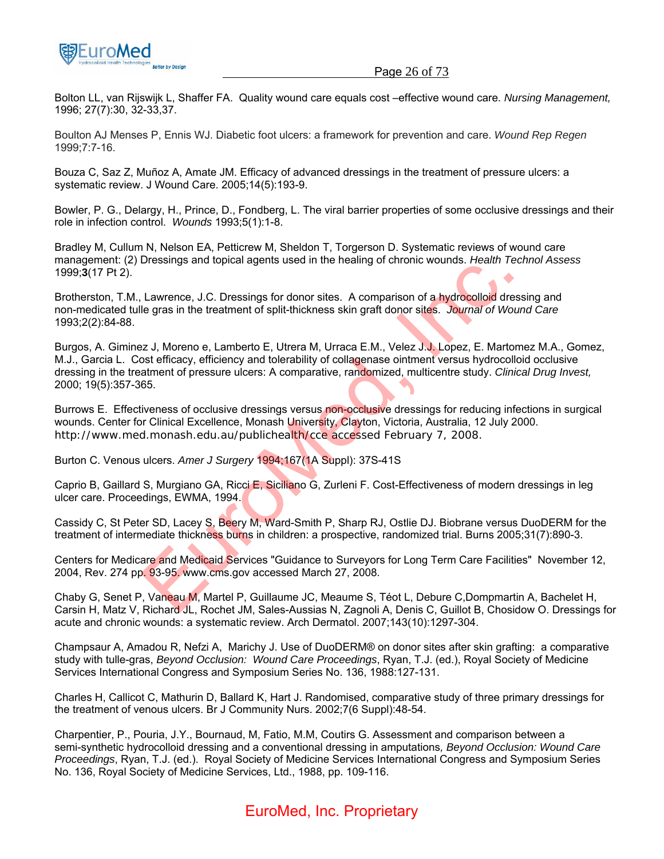

Bolton LL, van Rijswijk L, Shaffer FA. Quality wound care equals cost –effective wound care. *Nursing Management,*  1996; 27(7):30, 32-33,37.

Boulton AJ Menses P, Ennis WJ. Diabetic foot ulcers: a framework for prevention and care. *Wound Rep Regen* 1999;7:7-16.

Bouza C, Saz Z, Muñoz A, Amate JM. Efficacy of advanced dressings in the treatment of pressure ulcers: a systematic review. J Wound Care. 2005;14(5):193-9.

Bowler, P. G., Delargy, H., Prince, D., Fondberg, L. The viral barrier properties of some occlusive dressings and their role in infection control. *Wounds* 1993;5(1):1-8.

Bradley M, Cullum N, Nelson EA, Petticrew M, Sheldon T, Torgerson D. Systematic reviews of wound care management: (2) Dressings and topical agents used in the healing of chronic wounds. *Health Technol Assess*  1999;**3**(17 Pt 2).

Brotherston, T.M., Lawrence, J.C. Dressings for donor sites. A comparison of a hydrocolloid dressing and non-medicated tulle gras in the treatment of split-thickness skin graft donor sites. *Journal of Wound Care* 1993;2(2):84-88.

Burgos, A. Giminez J, Moreno e, Lamberto E, Utrera M, Urraca E.M., Velez J.J. Lopez, E. Martomez M.A., Gomez, M.J., Garcia L. Cost efficacy, efficiency and tolerability of collagenase ointment versus hydrocolloid occlusive dressing in the treatment of pressure ulcers: A comparative, randomized, multicentre study. *Clinical Drug Invest,* 2000; 19(5):357-365. Dressings and topicar agents used in the heating of chronic wounds. Treath Tech<br>Lawrence, J.C. Dressings for donor sites. A comparison of a hydrocolloid dress<br>le gras in the treatment of split-thickness skin graft donor si

Burrows E. Effectiveness of occlusive dressings versus non-occlusive dressings for reducing infections in surgical wounds. Center for Clinical Excellence, Monash University, Clayton, Victoria, Australia, 12 July 2000. http://www.med.monash.edu.au/publichealth/cce accessed February 7, 2008.

Burton C. Venous ulcers. *Amer J Surgery* 1994;167(1A Suppl): 37S-41S

Caprio B, Gaillard S, Murgiano GA, Ricci E, Siciliano G, Zurleni F. Cost-Effectiveness of modern dressings in leg ulcer care. Proceedings, EWMA, 1994.

Cassidy C, St Peter SD, Lacey S, Beery M, Ward-Smith P, Sharp RJ, Ostlie DJ. Biobrane versus DuoDERM for the treatment of intermediate thickness burns in children: a prospective, randomized trial. Burns 2005;31(7):890-3.

Centers for Medicare and Medicaid Services "Guidance to Surveyors for Long Term Care Facilities" November 12, 2004, Rev. 274 pp. 93-95. www.cms.gov accessed March 27, 2008.

Chaby G, Senet P, Vaneau M, Martel P, Guillaume JC, Meaume S, Téot L, Debure C,Dompmartin A, Bachelet H, Carsin H, Matz V, Richard JL, Rochet JM, Sales-Aussias N, Zagnoli A, Denis C, Guillot B, Chosidow O. Dressings for acute and chronic wounds: a systematic review. Arch Dermatol. 2007;143(10):1297-304.

Champsaur A, Amadou R, Nefzi A, Marichy J. Use of DuoDERM® on donor sites after skin grafting: a comparative study with tulle-gras, *Beyond Occlusion: Wound Care Proceedings*, Ryan, T.J. (ed.), Royal Society of Medicine Services International Congress and Symposium Series No. 136, 1988:127-131.

Charles H, Callicot C, Mathurin D, Ballard K, Hart J. Randomised, comparative study of three primary dressings for the treatment of venous ulcers. Br J Community Nurs. 2002;7(6 Suppl):48-54.

Charpentier, P., Pouria, J.Y., Bournaud, M, Fatio, M.M, Coutirs G. Assessment and comparison between a semi-synthetic hydrocolloid dressing and a conventional dressing in amputations*, Beyond Occlusion: Wound Care Proceedings*, Ryan, T.J. (ed.). Royal Society of Medicine Services International Congress and Symposium Series No. 136, Royal Society of Medicine Services, Ltd., 1988, pp. 109-116.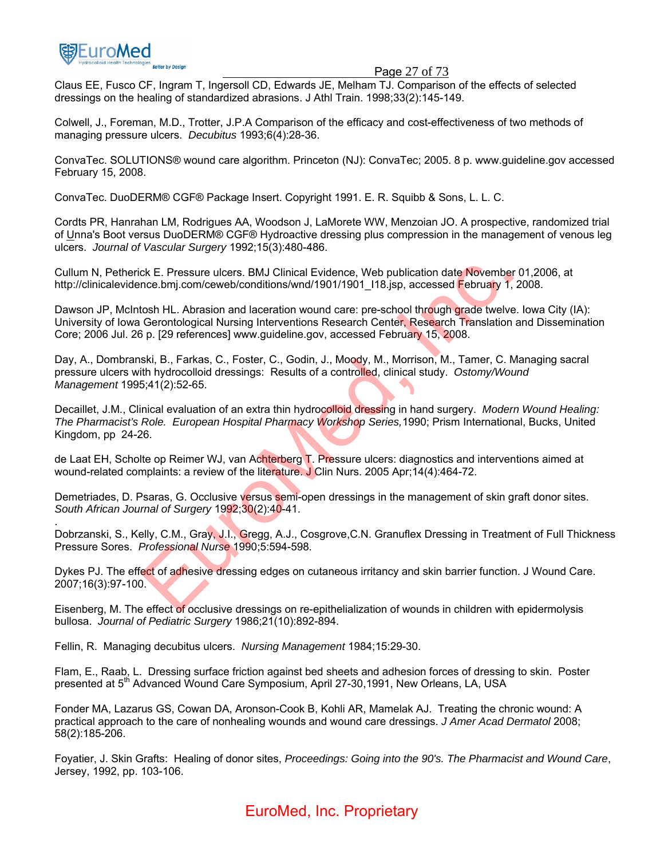

#### Page 27 of 73

Claus EE, Fusco CF, Ingram T, Ingersoll CD, Edwards JE, Melham TJ. Comparison of the effects of selected dressings on the healing of standardized abrasions. J Athl Train. 1998;33(2):145-149.

Colwell, J., Foreman, M.D., Trotter, J.P.A Comparison of the efficacy and cost-effectiveness of two methods of managing pressure ulcers. *Decubitus* 1993;6(4):28-36.

ConvaTec. SOLUTIONS® wound care algorithm. Princeton (NJ): ConvaTec; 2005. 8 p. www.guideline.gov accessed February 15, 2008.

ConvaTec. DuoDERM® CGF® Package Insert. Copyright 1991. E. R. Squibb & Sons, L. L. C.

Cordts PR, Hanrahan LM, Rodrigues AA, Woodson J, LaMorete WW, Menzoian JO. A prospective, randomized trial of Unna's Boot versus DuoDERM® CGF® Hydroactive dressing plus compression in the management of venous leg ulcers. *Journal of Vascular Surgery* 1992;15(3):480-486.

Cullum N, Petherick E. Pressure ulcers. BMJ Clinical Evidence, Web publication date November 01,2006, at http://clinicalevidence.bmj.com/ceweb/conditions/wnd/1901/1901 l18.jsp, accessed February 1, 2008.

Dawson JP, McIntosh HL. Abrasion and laceration wound care: pre-school through grade twelve. Iowa City (IA): University of Iowa Gerontological Nursing Interventions Research Center, Research Translation and Dissemination Core; 2006 Jul. 26 p. [29 references] www.guideline.gov, accessed February 15, 2008. ck E. Pressure ulcers. BMJ Clinical Evidence, Web publication date November 0<br>
once.bmj.com/ceweb/conditions/wnd/19011/1901\_118.jsp, accessed February 1, 20<br>
closh HL. Abrasion and laceration wound care: pre-school through

Day, A., Dombranski, B., Farkas, C., Foster, C., Godin, J., Moody, M., Morrison, M., Tamer, C. Managing sacral pressure ulcers with hydrocolloid dressings: Results of a controlled, clinical study. *Ostomy/Wound Management* 1995;41(2):52-65.

Decaillet, J.M., Clinical evaluation of an extra thin hydrocolloid dressing in hand surgery. *Modern Wound Healing: The Pharmacist's Role. European Hospital Pharmacy Workshop Series,*1990; Prism International, Bucks, United Kingdom, pp 24-26.

de Laat EH, Scholte op Reimer WJ, van Achterberg T. Pressure ulcers: diagnostics and interventions aimed at wound-related complaints: a review of the literature. J Clin Nurs. 2005 Apr;14(4):464-72.

Demetriades, D. Psaras, G. Occlusive versus semi-open dressings in the management of skin graft donor sites. *South African Journal of Surgery* 1992;30(2):40-41.

. Dobrzanski, S., Kelly, C.M., Gray, J.I., Gregg, A.J., Cosgrove,C.N. Granuflex Dressing in Treatment of Full Thickness Pressure Sores. *Professional Nurse* 1990;5:594-598.

Dykes PJ. The effect of adhesive dressing edges on cutaneous irritancy and skin barrier function. J Wound Care. 2007;16(3):97-100.

Eisenberg, M. The effect of occlusive dressings on re-epithelialization of wounds in children with epidermolysis bullosa. *Journal of Pediatric Surgery* 1986;21(10):892-894.

Fellin, R. Managing decubitus ulcers. *Nursing Management* 1984;15:29-30.

Flam, E., Raab, L. Dressing surface friction against bed sheets and adhesion forces of dressing to skin. Poster presented at 5<sup>th</sup> Advanced Wound Care Symposium, April 27-30,1991, New Orleans, LA, USA

Fonder MA, Lazarus GS, Cowan DA, Aronson-Cook B, Kohli AR, Mamelak AJ. Treating the chronic wound: A practical approach to the care of nonhealing wounds and wound care dressings. *J Amer Acad Dermatol* 2008; 58(2):185-206.

Foyatier, J. Skin Grafts: Healing of donor sites, *Proceedings: Going into the 90's. The Pharmacist and Wound Care*, Jersey, 1992, pp. 103-106.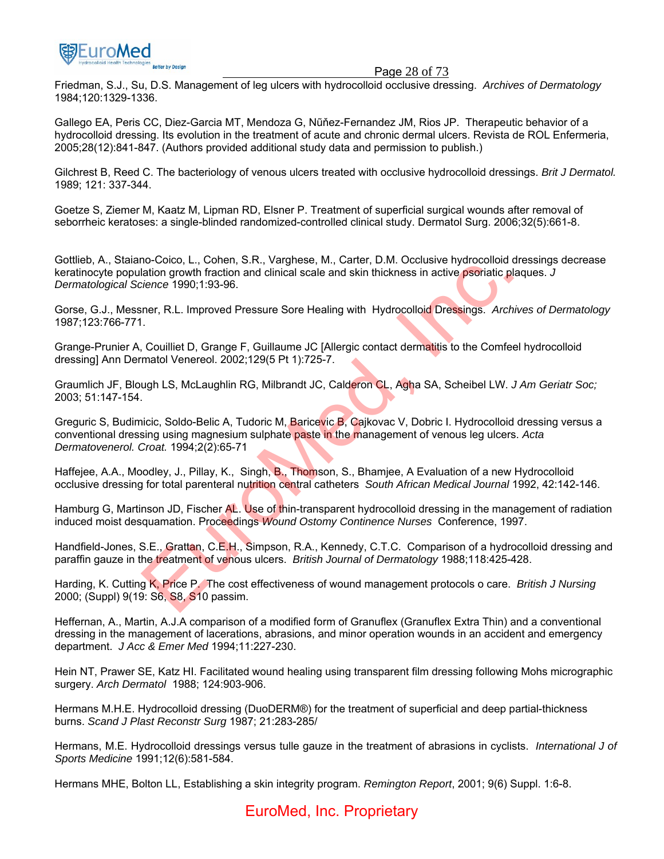

#### Page 28 of 73

Friedman, S.J., Su, D.S. Management of leg ulcers with hydrocolloid occlusive dressing. *Archives of Dermatology* 1984;120:1329-1336.

Gallego EA, Peris CC, Diez-Garcia MT, Mendoza G, Nũňez-Fernandez JM, Rios JP. Therapeutic behavior of a hydrocolloid dressing. Its evolution in the treatment of acute and chronic dermal ulcers. Revista de ROL Enfermeria, 2005;28(12):841-847. (Authors provided additional study data and permission to publish.)

Gilchrest B, Reed C. The bacteriology of venous ulcers treated with occlusive hydrocolloid dressings. *Brit J Dermatol.*  1989; 121: 337-344.

Goetze S, Ziemer M, Kaatz M, Lipman RD, Elsner P. Treatment of superficial surgical wounds after removal of seborrheic keratoses: a single-blinded randomized-controlled clinical study. Dermatol Surg. 2006;32(5):661-8.

Gottlieb, A., Staiano-Coico, L., Cohen, S.R., Varghese, M., Carter, D.M. Occlusive hydrocolloid dressings decrease keratinocyte population growth fraction and clinical scale and skin thickness in active psoriatic plaques. *J Dermatological Science* 1990;1:93-96.

Gorse, G.J., Messner, R.L. Improved Pressure Sore Healing with Hydrocolloid Dressings. *Archives of Dermatology* 1987;123:766-771.

Grange-Prunier A, Couilliet D, Grange F, Guillaume JC [Allergic contact dermatitis to the Comfeel hydrocolloid dressing] Ann Dermatol Venereol. 2002;129(5 Pt 1):725-7.

Graumlich JF, Blough LS, McLaughlin RG, Milbrandt JC, Calderon CL, Agha SA, Scheibel LW. *J Am Geriatr Soc;*  2003; 51:147-154.

Greguric S, Budimicic, Soldo-Belic A, Tudoric M, Baricevic B, Cajkovac V, Dobric I. Hydrocolloid dressing versus a conventional dressing using magnesium sulphate paste in the management of venous leg ulcers. *Acta Dermatovenerol. Croat.* 1994;2(2):65-71 no-cond, E., Colleti, 3.K., wagitese, iwi., cater, D.M. Codasse invention growth fraction and clinical scale and skin thickness in active psoriatic plaquement P. R.L. Improved Pressure Sore Healing with Hydrocolloid Dressi

Haffejee, A.A., Moodley, J., Pillay, K., Singh, B., Thomson, S., Bhamjee, A Evaluation of a new Hydrocolloid occlusive dressing for total parenteral nutrition central catheters *South African Medical Journal* 1992, 42:142-146.

Hamburg G, Martinson JD, Fischer AL, Use of thin-transparent hydrocolloid dressing in the management of radiation induced moist desquamation. Proceedings *Wound Ostomy Continence Nurses* Conference, 1997.

Handfield-Jones, S.E., Grattan, C.E.H., Simpson, R.A., Kennedy, C.T.C. Comparison of a hydrocolloid dressing and paraffin gauze in the treatment of venous ulcers. *British Journal of Dermatology* 1988;118:425-428.

Harding, K. Cutting K, Price P. The cost effectiveness of wound management protocols o care. *British J Nursing* 2000; (Suppl) 9(19: S6, S8, S10 passim.

Heffernan, A., Martin, A.J.A comparison of a modified form of Granuflex (Granuflex Extra Thin) and a conventional dressing in the management of lacerations, abrasions, and minor operation wounds in an accident and emergency department. *J Acc & Emer Med* 1994;11:227-230.

Hein NT, Prawer SE, Katz HI. Facilitated wound healing using transparent film dressing following Mohs micrographic surgery. *Arch Dermatol* 1988; 124:903-906.

Hermans M.H.E. Hydrocolloid dressing (DuoDERM®) for the treatment of superficial and deep partial-thickness burns. *Scand J Plast Reconstr Surg* 1987; 21:283-285/

Hermans, M.E. Hydrocolloid dressings versus tulle gauze in the treatment of abrasions in cyclists. *International J of Sports Medicine* 1991;12(6):581-584.

Hermans MHE, Bolton LL, Establishing a skin integrity program. *Remington Report*, 2001; 9(6) Suppl. 1:6-8.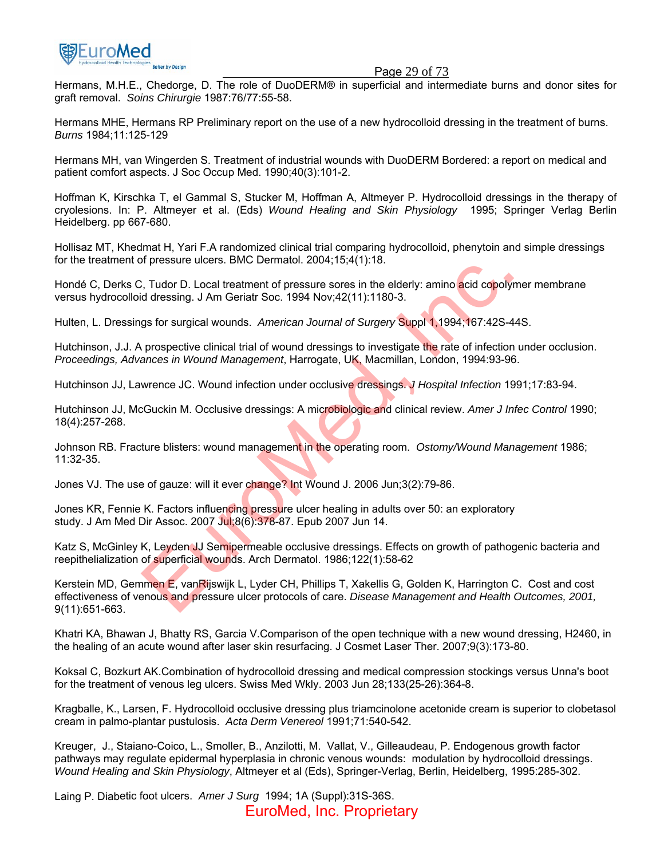

#### Page 29 of 73

Hermans, M.H.E., Chedorge, D. The role of DuoDERM® in superficial and intermediate burns and donor sites for graft removal. *Soins Chirurgie* 1987:76/77:55-58.

Hermans MHE, Hermans RP Preliminary report on the use of a new hydrocolloid dressing in the treatment of burns. *Burns* 1984;11:125-129

Hermans MH, van Wingerden S. Treatment of industrial wounds with DuoDERM Bordered: a report on medical and patient comfort aspects. J Soc Occup Med. 1990;40(3):101-2.

Hoffman K, Kirschka T, el Gammal S, Stucker M, Hoffman A, Altmeyer P. Hydrocolloid dressings in the therapy of cryolesions. In: P. Altmeyer et al. (Eds) *Wound Healing and Skin Physiology* 1995; Springer Verlag Berlin Heidelberg. pp 667-680.

Hollisaz MT, Khedmat H, Yari F.A randomized clinical trial comparing hydrocolloid, phenytoin and simple dressings for the treatment of pressure ulcers. BMC Dermatol. 2004;15;4(1):18.

Hondé C, Derks C, Tudor D. Local treatment of pressure sores in the elderly: amino acid copolymer membrane versus hydrocolloid dressing. J Am Geriatr Soc. 1994 Nov;42(11):1180-3.

Hulten, L. Dressings for surgical wounds. *American Journal of Surgery* Suppl 1,1994;167:42S-44S.

Hutchinson, J.J. A prospective clinical trial of wound dressings to investigate the rate of infection under occlusion. *Proceedings, Advances in Wound Management*, Harrogate, UK, Macmillan, London, 1994:93-96.

Hutchinson JJ, Lawrence JC. Wound infection under occlusive dressings. *J Hospital Infection* 1991;17:83-94.

Hutchinson JJ, McGuckin M. Occlusive dressings: A microbiologic and clinical review. *Amer J Infec Control* 1990; 18(4):257-268.

Johnson RB. Fracture blisters: wound management in the operating room. *Ostomy/Wound Management* 1986; 11:32-35.

Jones VJ. The use of gauze: will it ever change? Int Wound J. 2006 Jun;3(2):79-86.

Jones KR, Fennie K. Factors influencing pressure ulcer healing in adults over 50: an exploratory study. J Am Med Dir Assoc. 2007 Jul;8(6):378-87. Epub 2007 Jun 14.

Katz S, McGinley K, Leyden JJ Semipermeable occlusive dressings. Effects on growth of pathogenic bacteria and reepithelialization of superficial wounds. Arch Dermatol. 1986;122(1):58-62

Kerstein MD, Gemmen E, vanRijswijk L, Lyder CH, Phillips T, Xakellis G, Golden K, Harrington C. Cost and cost effectiveness of venous and pressure ulcer protocols of care. *Disease Management and Health Outcomes, 2001,*  9(11):651-663. r, Tudor D. Local treatment for ressure sores in the elderty: amino acid copolymed dressing. J Am Geriatr Soc. 1994 Nov,42(11):1180-3.<br>
gs for surgical wounds. American Journal of Surgery Suppl 1,1994;167:42S-448<br>
gs for s

Khatri KA, Bhawan J, Bhatty RS, Garcia V.Comparison of the open technique with a new wound dressing, H2460, in the healing of an acute wound after laser skin resurfacing. J Cosmet Laser Ther. 2007;9(3):173-80.

Koksal C, Bozkurt AK.Combination of hydrocolloid dressing and medical compression stockings versus Unna's boot for the treatment of venous leg ulcers. Swiss Med Wkly. 2003 Jun 28;133(25-26):364-8.

Kragballe, K., Larsen, F. Hydrocolloid occlusive dressing plus triamcinolone acetonide cream is superior to clobetasol cream in palmo-plantar pustulosis. *Acta Derm Venereol* 1991;71:540-542.

Kreuger, J., Staiano-Coico, L., Smoller, B., Anzilotti, M. Vallat, V., Gilleaudeau, P. Endogenous growth factor pathways may regulate epidermal hyperplasia in chronic venous wounds: modulation by hydrocolloid dressings. *Wound Healing and Skin Physiology*, Altmeyer et al (Eds), Springer-Verlag, Berlin, Heidelberg, 1995:285-302.

Laing P. Diabetic foot ulcers. *Amer J Surg* 1994; 1A (Suppl):31S-36S. EuroMed, Inc. Proprietary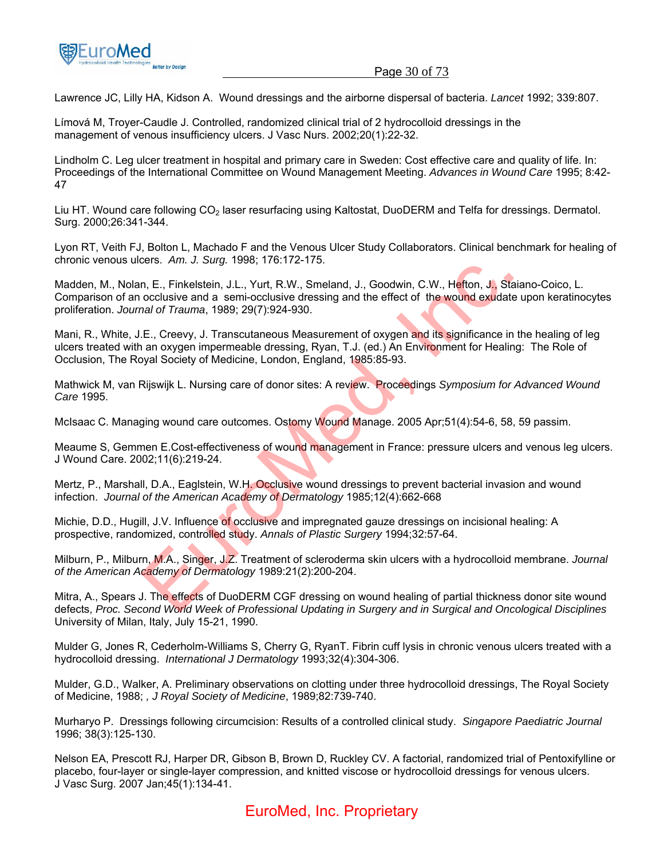

Lawrence JC, Lilly HA, Kidson A. Wound dressings and the airborne dispersal of bacteria. *Lancet* 1992; 339:807.

Límová M, Troyer-Caudle J. Controlled, randomized clinical trial of 2 hydrocolloid dressings in the management of venous insufficiency ulcers. J Vasc Nurs. 2002;20(1):22-32.

Lindholm C. Leg ulcer treatment in hospital and primary care in Sweden: Cost effective care and quality of life. In: Proceedings of the International Committee on Wound Management Meeting. *Advances in Wound Care* 1995; 8:42- 47

Liu HT. Wound care following CO<sub>2</sub> laser resurfacing using Kaltostat, DuoDERM and Telfa for dressings. Dermatol. Surg. 2000;26:341-344.

Lyon RT, Veith FJ, Bolton L, Machado F and the Venous Ulcer Study Collaborators. Clinical benchmark for healing of chronic venous ulcers. *Am. J. Surg.* 1998; 176:172-175.

Madden, M., Nolan, E., Finkelstein, J.L., Yurt, R.W., Smeland, J., Goodwin, C.W., Hefton, J., Staiano-Coico, L. Comparison of an occlusive and a semi-occlusive dressing and the effect of the wound exudate upon keratinocytes proliferation. *Journal of Trauma*, 1989; 29(7):924-930.

Mani, R., White, J.E., Creevy, J. Transcutaneous Measurement of oxygen and its significance in the healing of leg ulcers treated with an oxygen impermeable dressing, Ryan, T.J. (ed.) An Environment for Healing: The Role of Occlusion, The Royal Society of Medicine, London, England, 1985:85-93. Let S. Ann. J. Sung. 1998, 170.172-175.<br>
The R. Finkelstein, J.L., Yurt, R.W., Smeland, J., Goodwin, C.W., Hefton, J., Staia<br>
occlusive and a semi-occlusive dressing and the effect of the wound exudate u<br>
and of Trauma, 19

Mathwick M, van Rijswijk L. Nursing care of donor sites: A review. Proceedings *Symposium for Advanced Wound Care* 1995.

McIsaac C. Managing wound care outcomes. Ostomy Wound Manage. 2005 Apr;51(4):54-6, 58, 59 passim.

Meaume S, Gemmen E.Cost-effectiveness of wound management in France: pressure ulcers and venous leg ulcers. J Wound Care. 2002;11(6):219-24.

Mertz, P., Marshall, D.A., Eaglstein, W.H. Occlusive wound dressings to prevent bacterial invasion and wound infection. *Journal of the American Academy of Dermatology* 1985;12(4):662-668

Michie, D.D., Hugill, J.V. Influence of occlusive and impregnated gauze dressings on incisional healing: A prospective, randomized, controlled study. *Annals of Plastic Surgery* 1994;32:57-64.

Milburn, P., Milburn, M.A., Singer, J.Z. Treatment of scleroderma skin ulcers with a hydrocolloid membrane. *Journal of the American Academy of Dermatology* 1989:21(2):200-204.

Mitra, A., Spears J. The effects of DuoDERM CGF dressing on wound healing of partial thickness donor site wound defects, *Proc. Second World Week of Professional Updating in Surgery and in Surgical and Oncological Disciplines* University of Milan, Italy, July 15-21, 1990.

Mulder G, Jones R, Cederholm-Williams S, Cherry G, RyanT. Fibrin cuff lysis in chronic venous ulcers treated with a hydrocolloid dressing. *International J Dermatology* 1993;32(4):304-306.

Mulder, G.D., Walker, A. Preliminary observations on clotting under three hydrocolloid dressings, The Royal Society of Medicine, 1988; *, J Royal Society of Medicine*, 1989;82:739-740.

Murharyo P. Dressings following circumcision: Results of a controlled clinical study. *Singapore Paediatric Journal* 1996; 38(3):125-130.

Nelson EA, Prescott RJ, Harper DR, Gibson B, Brown D, Ruckley CV. A factorial, randomized trial of Pentoxifylline or placebo, four-layer or single-layer compression, and knitted viscose or hydrocolloid dressings for venous ulcers. J Vasc Surg. 2007 Jan;45(1):134-41.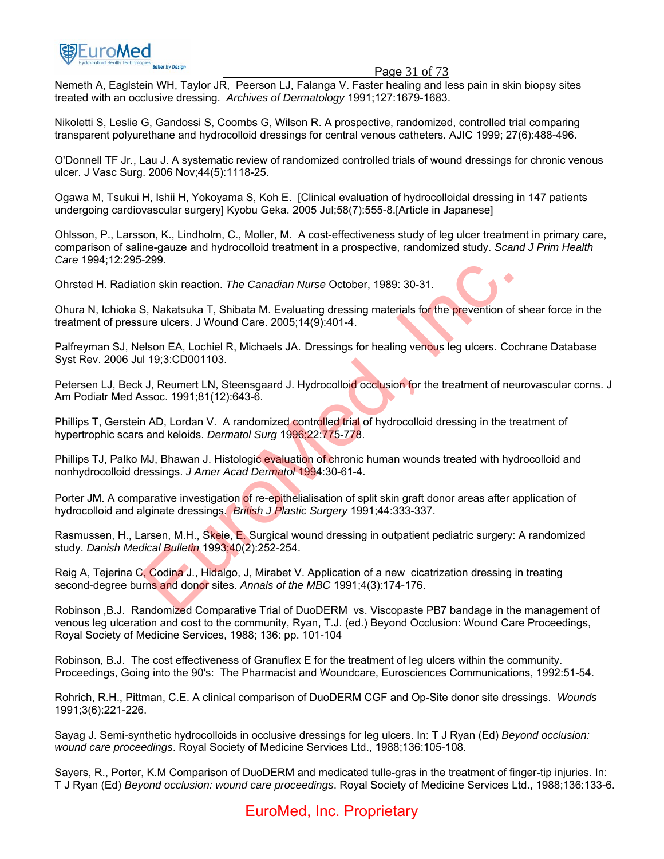

#### Page 31 of 73

Nemeth A, Eaglstein WH, Taylor JR, Peerson LJ, Falanga V. Faster healing and less pain in skin biopsy sites treated with an occlusive dressing. *Archives of Dermatology* 1991;127:1679-1683.

Nikoletti S, Leslie G, Gandossi S, Coombs G, Wilson R. A prospective, randomized, controlled trial comparing transparent polyurethane and hydrocolloid dressings for central venous catheters. AJIC 1999; 27(6):488-496.

O'Donnell TF Jr., Lau J. A systematic review of randomized controlled trials of wound dressings for chronic venous ulcer. J Vasc Surg. 2006 Nov;44(5):1118-25.

Ogawa M, Tsukui H, Ishii H, Yokoyama S, Koh E. [Clinical evaluation of hydrocolloidal dressing in 147 patients undergoing cardiovascular surgery] Kyobu Geka. 2005 Jul;58(7):555-8.[Article in Japanese]

Ohlsson, P., Larsson, K., Lindholm, C., Moller, M. A cost-effectiveness study of leg ulcer treatment in primary care, comparison of saline-gauze and hydrocolloid treatment in a prospective, randomized study. *Scand J Prim Health Care* 1994;12:295-299.

Ohrsted H. Radiation skin reaction. *The Canadian Nurse* October, 1989: 30-31.

Ohura N, Ichioka S, Nakatsuka T, Shibata M. Evaluating dressing materials for the prevention of shear force in the treatment of pressure ulcers. J Wound Care. 2005;14(9):401-4.

Palfreyman SJ, Nelson EA, Lochiel R, Michaels JA. Dressings for healing venous leg ulcers. Cochrane Database Syst Rev. 2006 Jul 19;3:CD001103.

Petersen LJ, Beck J, Reumert LN, Steensgaard J. Hydrocolloid occlusion for the treatment of neurovascular corns. J Am Podiatr Med Assoc. 1991;81(12):643-6.

Phillips T, Gerstein AD, Lordan V. A randomized controlled trial of hydrocolloid dressing in the treatment of hypertrophic scars and keloids. *Dermatol Surg* 1996;22:775-778. 259.<br>
S. Nakatsuka T, Shibata M. Evaluating dressing materials for the prevention of st<br>
S. Nakatsuka T, Shibata M. Evaluating dressing materials for the prevention of st<br>
sure ulcers. J Wound Care. 2005;14(9):401-4.<br>
Elso

Phillips TJ, Palko MJ, Bhawan J. Histologic evaluation of chronic human wounds treated with hydrocolloid and nonhydrocolloid dressings. *J Amer Acad Dermatol* 1994:30-61-4.

Porter JM. A comparative investigation of re-epithelialisation of split skin graft donor areas after application of hydrocolloid and alginate dressings. *British J Plastic Surgery* 1991;44:333-337.

Rasmussen, H., Larsen, M.H., Skeie, E. Surgical wound dressing in outpatient pediatric surgery: A randomized study. *Danish Medical Bulletin* 1993;40(2):252-254.

Reig A, Tejerina C, Codina J., Hidalgo, J, Mirabet V. Application of a new cicatrization dressing in treating second-degree burns and donor sites. *Annals of the MBC* 1991;4(3):174-176.

Robinson ,B.J. Randomized Comparative Trial of DuoDERM vs. Viscopaste PB7 bandage in the management of venous leg ulceration and cost to the community, Ryan, T.J. (ed.) Beyond Occlusion: Wound Care Proceedings, Royal Society of Medicine Services, 1988; 136: pp. 101-104

Robinson, B.J. The cost effectiveness of Granuflex E for the treatment of leg ulcers within the community. Proceedings, Going into the 90's: The Pharmacist and Woundcare, Eurosciences Communications, 1992:51-54.

Rohrich, R.H., Pittman, C.E. A clinical comparison of DuoDERM CGF and Op-Site donor site dressings. *Wounds*  1991;3(6):221-226.

Sayag J. Semi-synthetic hydrocolloids in occlusive dressings for leg ulcers. In: T J Ryan (Ed) *Beyond occlusion: wound care proceedings*. Royal Society of Medicine Services Ltd., 1988;136:105-108.

Sayers, R., Porter, K.M Comparison of DuoDERM and medicated tulle-gras in the treatment of finger-tip injuries. In: T J Ryan (Ed) *Beyond occlusion: wound care proceedings*. Royal Society of Medicine Services Ltd., 1988;136:133-6.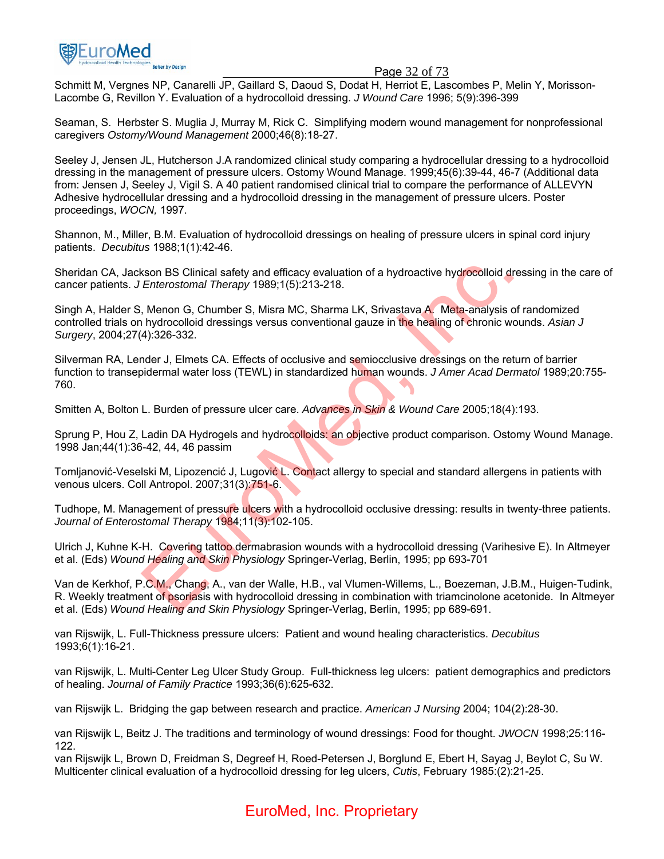

#### Page 32 of 73

Schmitt M, Vergnes NP, Canarelli JP, Gaillard S, Daoud S, Dodat H, Herriot E, Lascombes P, Melin Y, Morisson-Lacombe G, Revillon Y. Evaluation of a hydrocolloid dressing. *J Wound Care* 1996; 5(9):396-399

Seaman, S. Herbster S. Muglia J, Murray M, Rick C. Simplifying modern wound management for nonprofessional caregivers *Ostomy/Wound Management* 2000;46(8):18-27.

Seeley J, Jensen JL, Hutcherson J.A randomized clinical study comparing a hydrocellular dressing to a hydrocolloid dressing in the management of pressure ulcers. Ostomy Wound Manage. 1999;45(6):39-44, 46-7 (Additional data from: Jensen J, Seeley J, Vigil S. A 40 patient randomised clinical trial to compare the performance of ALLEVYN Adhesive hydrocellular dressing and a hydrocolloid dressing in the management of pressure ulcers. Poster proceedings, *WOCN,* 1997.

Shannon, M., Miller, B.M. Evaluation of hydrocolloid dressings on healing of pressure ulcers in spinal cord injury patients. *Decubitus* 1988;1(1):42-46.

Sheridan CA, Jackson BS Clinical safety and efficacy evaluation of a hydroactive hydrocolloid dressing in the care of cancer patients. *J Enterostomal Therapy* 1989;1(5):213-218.

Singh A, Halder S, Menon G, Chumber S, Misra MC, Sharma LK, Srivastava A. Meta-analysis of randomized controlled trials on hydrocolloid dressings versus conventional gauze in the healing of chronic wounds. *Asian J Surgery*, 2004;27(4):326-332. son BS Clinical safety and efficacy evaluation of a hydroactive hydrocolloid dres<br>
Enterostomal Therapy 1989;1(5):213-218.<br>
Menon G, Chumber S, Misra MC, Sharma LK, Srivastava A. Meta-analysis of n<br>
hydrocolloid dressings

Silverman RA, Lender J, Elmets CA. Effects of occlusive and semiocclusive dressings on the return of barrier function to transepidermal water loss (TEWL) in standardized human wounds. *J Amer Acad Dermatol* 1989;20:755- 760.

Smitten A, Bolton L. Burden of pressure ulcer care. *Advances in Skin & Wound Care* 2005;18(4):193.

Sprung P, Hou Z, Ladin DA Hydrogels and hydrocolloids: an objective product comparison. Ostomy Wound Manage. 1998 Jan;44(1):36-42, 44, 46 passim

Tomljanović-Veselski M, Lipozencić J, Lugović L. Contact allergy to special and standard allergens in patients with venous ulcers. Coll Antropol. 2007;31(3):751-6.

Tudhope, M. Management of pressure ulcers with a hydrocolloid occlusive dressing: results in twenty-three patients. *Journal of Enterostomal Therapy* 1984;11(3):102-105.

Ulrich J, Kuhne K-H. Covering tattoo dermabrasion wounds with a hydrocolloid dressing (Varihesive E). In Altmeyer et al. (Eds) *Wound Healing and Skin Physiology* Springer-Verlag, Berlin, 1995; pp 693-701

Van de Kerkhof, P.C.M., Chang, A., van der Walle, H.B., val Vlumen-Willems, L., Boezeman, J.B.M., Huigen-Tudink, R. Weekly treatment of psoriasis with hydrocolloid dressing in combination with triamcinolone acetonide.In Altmeyer et al. (Eds) *Wound Healing and Skin Physiology* Springer-Verlag, Berlin, 1995; pp 689-691.

van Rijswijk, L. Full-Thickness pressure ulcers: Patient and wound healing characteristics. *Decubitus* 1993;6(1):16-21.

van Rijswijk, L. Multi-Center Leg Ulcer Study Group. Full-thickness leg ulcers: patient demographics and predictors of healing. *Journal of Family Practice* 1993;36(6):625-632.

van Rijswijk L. Bridging the gap between research and practice. *American J Nursing* 2004; 104(2):28-30.

van Rijswijk L, Beitz J. The traditions and terminology of wound dressings: Food for thought. *JWOCN* 1998;25:116- 122.

van Rijswijk L, Brown D, Freidman S, Degreef H, Roed-Petersen J, Borglund E, Ebert H, Sayag J, Beylot C, Su W. Multicenter clinical evaluation of a hydrocolloid dressing for leg ulcers, *Cutis*, February 1985:(2):21-25.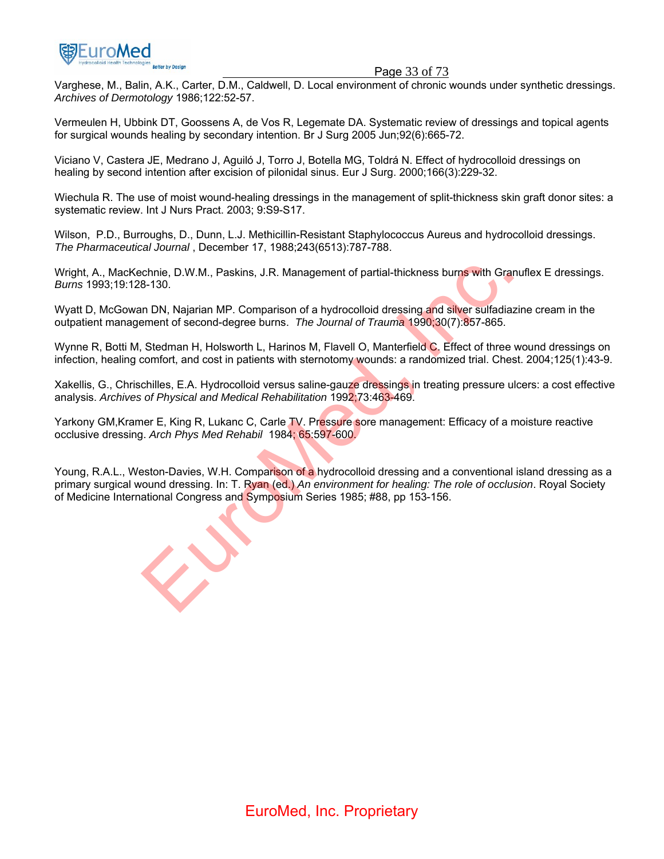

#### Page 33 of 73

Varghese, M., Balin, A.K., Carter, D.M., Caldwell, D. Local environment of chronic wounds under synthetic dressings. *Archives of Dermotology* 1986;122:52-57.

Vermeulen H, Ubbink DT, Goossens A, de Vos R, Legemate DA. Systematic review of dressings and topical agents for surgical wounds healing by secondary intention. Br J Surg 2005 Jun;92(6):665-72.

Viciano V, Castera JE, Medrano J, Aguiló J, Torro J, Botella MG, Toldrá N. Effect of hydrocolloid dressings on healing by second intention after excision of pilonidal sinus. Eur J Surg. 2000;166(3):229-32.

Wiechula R. The use of moist wound-healing dressings in the management of split-thickness skin graft donor sites: a systematic review. Int J Nurs Pract. 2003; 9:S9-S17.

Wilson, P.D., Burroughs, D., Dunn, L.J. Methicillin-Resistant Staphylococcus Aureus and hydrocolloid dressings. *The Pharmaceutical Journal* , December 17, 1988;243(6513):787-788.

Wright, A., MacKechnie, D.W.M., Paskins, J.R. Management of partial-thickness burns with Granuflex E dressings. *Burns* 1993;19:128-130.

Wyatt D, McGowan DN, Najarian MP. Comparison of a hydrocolloid dressing and silver sulfadiazine cream in the outpatient management of second-degree burns. *The Journal of Trauma* 1990;30(7):857-865.

Wynne R, Botti M, Stedman H, Holsworth L, Harinos M, Flavell O, Manterfield C. Effect of three wound dressings on infection, healing comfort, and cost in patients with sternotomy wounds: a randomized trial. Chest. 2004;125(1):43-9.

Xakellis, G., Chrischilles, E.A. Hydrocolloid versus saline-gauze dressings in treating pressure ulcers: a cost effective analysis. *Archives of Physical and Medical Rehabilitation* 1992;73:463-469.

Yarkony GM, Kramer E, King R, Lukanc C, Carle TV. Pressure sore management: Efficacy of a moisture reactive occlusive dressing. *Arch Phys Med Rehabil* 1984; 65:597-600.

Young, R.A.L., Weston-Davies, W.H. Comparison of a hydrocolloid dressing and a conventional island dressing as a primary surgical wound dressing. In: T. Ryan (ed.) *An environment for healing: The role of occlusion*. Royal Society of Medicine International Congress and Symposium Series 1985; #88, pp 153-156. chnie, D.W.M., Paskins, J.R. Management of partial-thickness burns with Granu<br>8-130.<br>In DN, Najarian MP. Comparison of a hydrocolloid dressing and silver sulfadiazine<br>ment of second-degree burns. The Journal of Trauma 1990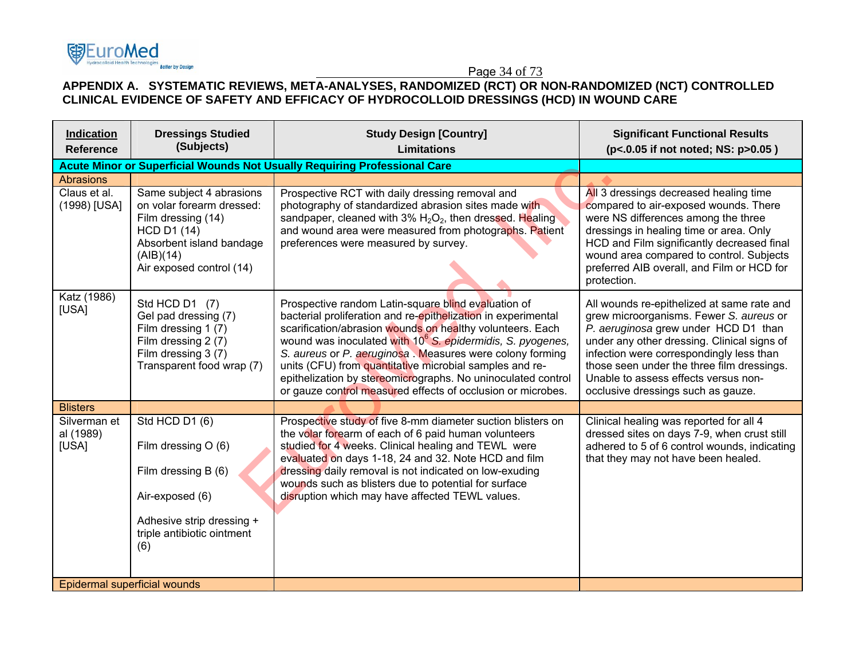## Page 34 of 73 **APPENDIX A. SYSTEMATIC REVIEWS, META-ANALYSES, RANDOMIZED (RCT) OR NON-RANDOMIZED (NCT) CONTROLLED CLINICAL EVIDENCE OF SAFETY AND EFFICACY OF HYDROCOLLOID DRESSINGS (HCD) IN WOUND CARE**

**零EuroMed** 

effer by Design

| Indication<br><b>Reference</b>     | <b>Dressings Studied</b><br>(Subjects)                                                                                                                                 | <b>Study Design [Country]</b><br><b>Limitations</b>                                                                                                                                                                                                                                                                                                                                                                                                                                                               | <b>Significant Functional Results</b><br>(p<.0.05 if not noted; NS: p>0.05)                                                                                                                                                                                                                                                                          |
|------------------------------------|------------------------------------------------------------------------------------------------------------------------------------------------------------------------|-------------------------------------------------------------------------------------------------------------------------------------------------------------------------------------------------------------------------------------------------------------------------------------------------------------------------------------------------------------------------------------------------------------------------------------------------------------------------------------------------------------------|------------------------------------------------------------------------------------------------------------------------------------------------------------------------------------------------------------------------------------------------------------------------------------------------------------------------------------------------------|
|                                    | <b>Acute Minor or Superficial Wounds Not Usually Requiring Professional Care</b>                                                                                       |                                                                                                                                                                                                                                                                                                                                                                                                                                                                                                                   |                                                                                                                                                                                                                                                                                                                                                      |
| Abrasions                          |                                                                                                                                                                        |                                                                                                                                                                                                                                                                                                                                                                                                                                                                                                                   |                                                                                                                                                                                                                                                                                                                                                      |
| Claus et al.<br>(1998) [USA]       | Same subject 4 abrasions<br>on volar forearm dressed:<br>Film dressing (14)<br><b>HCD D1 (14)</b><br>Absorbent island bandage<br>(AIB)(14)<br>Air exposed control (14) | Prospective RCT with daily dressing removal and<br>photography of standardized abrasion sites made with<br>sandpaper, cleaned with $3\%$ H <sub>2</sub> O <sub>2</sub> , then dressed. Healing<br>and wound area were measured from photographs. Patient<br>preferences were measured by survey.                                                                                                                                                                                                                  | All 3 dressings decreased healing time<br>compared to air-exposed wounds. There<br>were NS differences among the three<br>dressings in healing time or area. Only<br>HCD and Film significantly decreased final<br>wound area compared to control. Subjects<br>preferred AIB overall, and Film or HCD for<br>protection.                             |
| Katz (1986)<br>[USA]               | Std HCD D1 (7)<br>Gel pad dressing (7)<br>Film dressing 1 (7)<br>Film dressing 2 (7)<br>Film dressing 3 (7)<br>Transparent food wrap (7)                               | Prospective random Latin-square blind evaluation of<br>bacterial proliferation and re-epithelization in experimental<br>scarification/abrasion wounds on healthy volunteers. Each<br>wound was inoculated with 10 <sup>6</sup> S. epidermidis, S. pyogenes,<br>S. aureus or P. aeruginosa. Measures were colony forming<br>units (CFU) from quantitative microbial samples and re-<br>epithelization by stereomicrographs. No uninoculated control<br>or gauze control measured effects of occlusion or microbes. | All wounds re-epithelized at same rate and<br>grew microorganisms. Fewer S. aureus or<br>P. aeruginosa grew under HCD D1 than<br>under any other dressing. Clinical signs of<br>infection were correspondingly less than<br>those seen under the three film dressings.<br>Unable to assess effects versus non-<br>occlusive dressings such as gauze. |
| <b>Blisters</b>                    |                                                                                                                                                                        |                                                                                                                                                                                                                                                                                                                                                                                                                                                                                                                   |                                                                                                                                                                                                                                                                                                                                                      |
| Silverman et<br>al (1989)<br>[USA] | Std HCD D1 (6)<br>Film dressing $O(6)$<br>Film dressing B (6)<br>Air-exposed (6)<br>Adhesive strip dressing +<br>triple antibiotic ointment<br>(6)                     | Prospective study of five 8-mm diameter suction blisters on<br>the volar forearm of each of 6 paid human volunteers<br>studied for 4 weeks. Clinical healing and TEWL were<br>evaluated on days 1-18, 24 and 32. Note HCD and film<br>dressing daily removal is not indicated on low-exuding<br>wounds such as blisters due to potential for surface<br>disruption which may have affected TEWL values.                                                                                                           | Clinical healing was reported for all 4<br>dressed sites on days 7-9, when crust still<br>adhered to 5 of 6 control wounds, indicating<br>that they may not have been healed.                                                                                                                                                                        |
| Epidermal superficial wounds       |                                                                                                                                                                        |                                                                                                                                                                                                                                                                                                                                                                                                                                                                                                                   |                                                                                                                                                                                                                                                                                                                                                      |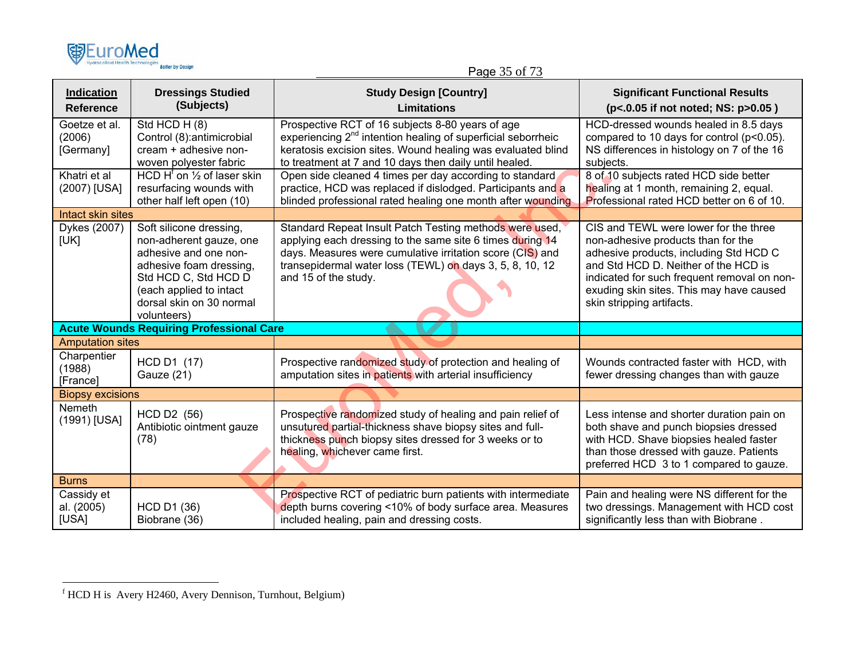| (的EuroMed                               |                         |
|-----------------------------------------|-------------------------|
| <b>Hydrocolloid Health Technologies</b> | <b>Better by Design</b> |

## Page 35 of 73

| <b>Indication</b><br><b>Reference</b> | <b>Dressings Studied</b><br>(Subjects)                                                                                                                                                               | <b>Study Design [Country]</b><br><b>Limitations</b>                                                                                                                                                                                                                   | <b>Significant Functional Results</b><br>(p<.0.05 if not noted; NS: p>0.05)                                                                                                                                                                                                           |
|---------------------------------------|------------------------------------------------------------------------------------------------------------------------------------------------------------------------------------------------------|-----------------------------------------------------------------------------------------------------------------------------------------------------------------------------------------------------------------------------------------------------------------------|---------------------------------------------------------------------------------------------------------------------------------------------------------------------------------------------------------------------------------------------------------------------------------------|
| Goetze et al.<br>(2006)<br>[Germany]  | Std HCD H (8)<br>Control (8): antimicrobial<br>cream + adhesive non-<br>woven polyester fabric                                                                                                       | Prospective RCT of 16 subjects 8-80 years of age<br>experiencing 2 <sup>nd</sup> intention healing of superficial seborrheic<br>keratosis excision sites. Wound healing was evaluated blind<br>to treatment at 7 and 10 days then daily until healed.                 | HCD-dressed wounds healed in 8.5 days<br>compared to 10 days for control (p<0.05).<br>NS differences in histology on 7 of the 16<br>subjects.                                                                                                                                         |
| Khatri et al<br>(2007) [USA]          | HCD $H^{\dagger}$ on $\frac{1}{2}$ of laser skin<br>resurfacing wounds with<br>other half left open (10)                                                                                             | Open side cleaned 4 times per day according to standard<br>practice, HCD was replaced if dislodged. Participants and a<br>blinded professional rated healing one month after wounding                                                                                 | 8 of 10 subjects rated HCD side better<br>healing at 1 month, remaining 2, equal.<br>Professional rated HCD better on 6 of 10.                                                                                                                                                        |
| Intact skin sites                     |                                                                                                                                                                                                      |                                                                                                                                                                                                                                                                       |                                                                                                                                                                                                                                                                                       |
| Dykes (2007)<br>[UK]                  | Soft silicone dressing,<br>non-adherent gauze, one<br>adhesive and one non-<br>adhesive foam dressing,<br>Std HCD C, Std HCD D<br>(each applied to intact<br>dorsal skin on 30 normal<br>volunteers) | Standard Repeat Insult Patch Testing methods were used,<br>applying each dressing to the same site 6 times during 14<br>days. Measures were cumulative irritation score (CIS) and<br>transepidermal water loss (TEWL) on days 3, 5, 8, 10, 12<br>and 15 of the study. | CIS and TEWL were lower for the three<br>non-adhesive products than for the<br>adhesive products, including Std HCD C<br>and Std HCD D. Neither of the HCD is<br>indicated for such frequent removal on non-<br>exuding skin sites. This may have caused<br>skin stripping artifacts. |
|                                       | <b>Acute Wounds Requiring Professional Care</b>                                                                                                                                                      |                                                                                                                                                                                                                                                                       |                                                                                                                                                                                                                                                                                       |
| <b>Amputation sites</b>               |                                                                                                                                                                                                      |                                                                                                                                                                                                                                                                       |                                                                                                                                                                                                                                                                                       |
| Charpentier<br>(1988)<br>[France]     | HCD D1 (17)<br>Gauze (21)                                                                                                                                                                            | Prospective randomized study of protection and healing of<br>amputation sites in patients with arterial insufficiency                                                                                                                                                 | Wounds contracted faster with HCD, with<br>fewer dressing changes than with gauze                                                                                                                                                                                                     |
| <b>Biopsy excisions</b>               |                                                                                                                                                                                                      |                                                                                                                                                                                                                                                                       |                                                                                                                                                                                                                                                                                       |
| Nemeth<br>(1991) [USA]                | HCD D2 (56)<br>Antibiotic ointment gauze<br>(78)                                                                                                                                                     | Prospective randomized study of healing and pain relief of<br>unsutured partial-thickness shave biopsy sites and full-<br>thickness punch biopsy sites dressed for 3 weeks or to<br>healing, whichever came first.                                                    | Less intense and shorter duration pain on<br>both shave and punch biopsies dressed<br>with HCD. Shave biopsies healed faster<br>than those dressed with gauze. Patients<br>preferred HCD 3 to 1 compared to gauze.                                                                    |
| <b>Burns</b>                          |                                                                                                                                                                                                      |                                                                                                                                                                                                                                                                       |                                                                                                                                                                                                                                                                                       |
| Cassidy et<br>al. (2005)<br>[USA]     | <b>HCD D1 (36)</b><br>Biobrane (36)                                                                                                                                                                  | Prospective RCT of pediatric burn patients with intermediate<br>depth burns covering <10% of body surface area. Measures<br>included healing, pain and dressing costs.                                                                                                | Pain and healing were NS different for the<br>two dressings. Management with HCD cost<br>significantly less than with Biobrane.                                                                                                                                                       |

f HCD H is Avery H2460, Avery Dennison, Turnhout, Belgium)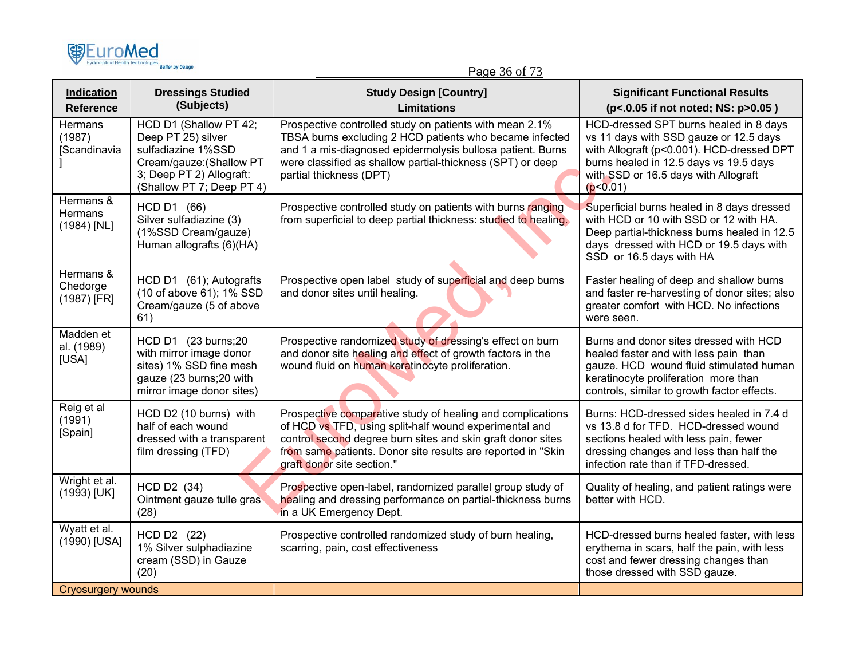| <b>国EuroMed</b>                            | <b>Better by Design</b>                                                                                                                                 | Page 36 of 73                                                                                                                                                                                                                                                                     |                                                                                                                                                                                                                             |
|--------------------------------------------|---------------------------------------------------------------------------------------------------------------------------------------------------------|-----------------------------------------------------------------------------------------------------------------------------------------------------------------------------------------------------------------------------------------------------------------------------------|-----------------------------------------------------------------------------------------------------------------------------------------------------------------------------------------------------------------------------|
| <b>Indication</b><br><b>Reference</b>      | <b>Dressings Studied</b><br>(Subjects)                                                                                                                  | <b>Study Design [Country]</b><br><b>Limitations</b>                                                                                                                                                                                                                               | <b>Significant Functional Results</b><br>(p<.0.05 if not noted; NS: p>0.05)                                                                                                                                                 |
| <b>Hermans</b><br>(1987)<br>[Scandinavia   | HCD D1 (Shallow PT 42;<br>Deep PT 25) silver<br>sulfadiazine 1%SSD<br>Cream/gauze: (Shallow PT<br>3; Deep PT 2) Allograft:<br>(Shallow PT 7; Deep PT 4) | Prospective controlled study on patients with mean 2.1%<br>TBSA burns excluding 2 HCD patients who became infected<br>and 1 a mis-diagnosed epidermolysis bullosa patient. Burns<br>were classified as shallow partial-thickness (SPT) or deep<br>partial thickness (DPT)         | HCD-dressed SPT burns healed in 8 days<br>vs 11 days with SSD gauze or 12.5 days<br>with Allograft (p<0.001). HCD-dressed DPT<br>burns healed in 12.5 days vs 19.5 days<br>with SSD or 16.5 days with Allograft<br>(p<0.01) |
| Hermans &<br><b>Hermans</b><br>(1984) [NL] | HCD D1 (66)<br>Silver sulfadiazine (3)<br>(1%SSD Cream/gauze)<br>Human allografts (6)(HA)                                                               | Prospective controlled study on patients with burns ranging<br>from superficial to deep partial thickness: studied to healing.                                                                                                                                                    | Superficial burns healed in 8 days dressed<br>with HCD or 10 with SSD or 12 with HA.<br>Deep partial-thickness burns healed in 12.5<br>days dressed with HCD or 19.5 days with<br>SSD or 16.5 days with HA                  |
| Hermans &<br>Chedorge<br>(1987) [FR]       | HCD D1 (61); Autografts<br>(10 of above 61); 1% SSD<br>Cream/gauze (5 of above<br>61)                                                                   | Prospective open label study of superficial and deep burns<br>and donor sites until healing.                                                                                                                                                                                      | Faster healing of deep and shallow burns<br>and faster re-harvesting of donor sites; also<br>greater comfort with HCD. No infections<br>were seen.                                                                          |
| Madden et<br>al. (1989)<br>[USA]           | HCD D1 (23 burns;20<br>with mirror image donor<br>sites) 1% SSD fine mesh<br>gauze (23 burns;20 with<br>mirror image donor sites)                       | Prospective randomized study of dressing's effect on burn<br>and donor site healing and effect of growth factors in the<br>wound fluid on human keratinocyte proliferation.                                                                                                       | Burns and donor sites dressed with HCD<br>healed faster and with less pain than<br>gauze. HCD wound fluid stimulated human<br>keratinocyte proliferation more than<br>controls, similar to growth factor effects.           |
| Reig et al<br>(1991)<br>[Spain]            | HCD D2 (10 burns) with<br>half of each wound<br>dressed with a transparent<br>film dressing (TFD)                                                       | Prospective comparative study of healing and complications<br>of HCD vs TFD, using split-half wound experimental and<br>control second degree burn sites and skin graft donor sites<br>from same patients. Donor site results are reported in "Skin<br>graft donor site section." | Burns: HCD-dressed sides healed in 7.4 d<br>vs 13.8 d for TFD. HCD-dressed wound<br>sections healed with less pain, fewer<br>dressing changes and less than half the<br>infection rate than if TFD-dressed.                 |
| Wright et al.<br>(1993) [UK]               | HCD D2 (34)<br>Ointment gauze tulle gras<br>(28)                                                                                                        | Prospective open-label, randomized parallel group study of<br>healing and dressing performance on partial-thickness burns<br>in a UK Emergency Dept.                                                                                                                              | Quality of healing, and patient ratings were<br>better with HCD.                                                                                                                                                            |
| Wyatt et al.<br>(1990) [USA]               | HCD D2 (22)<br>1% Silver sulphadiazine<br>cream (SSD) in Gauze<br>(20)                                                                                  | Prospective controlled randomized study of burn healing,<br>scarring, pain, cost effectiveness                                                                                                                                                                                    | HCD-dressed burns healed faster, with less<br>erythema in scars, half the pain, with less<br>cost and fewer dressing changes than<br>those dressed with SSD gauze.                                                          |
| Cryosurgery wounds                         |                                                                                                                                                         |                                                                                                                                                                                                                                                                                   |                                                                                                                                                                                                                             |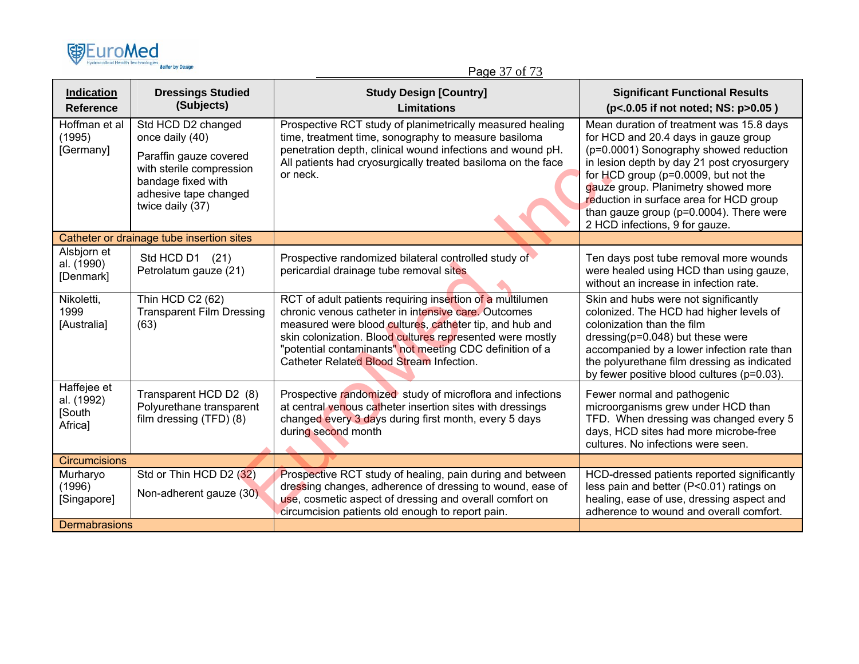

## Page 37 of 73

| <b>Indication</b><br><b>Reference</b>          | <b>Dressings Studied</b><br>(Subjects)                                                                                                                         | <b>Study Design [Country]</b><br>Limitations                                                                                                                                                                                                                                                                                                     | <b>Significant Functional Results</b><br>(p<.0.05 if not noted; NS: p>0.05)                                                                                                                                                                                                                                                                                                     |
|------------------------------------------------|----------------------------------------------------------------------------------------------------------------------------------------------------------------|--------------------------------------------------------------------------------------------------------------------------------------------------------------------------------------------------------------------------------------------------------------------------------------------------------------------------------------------------|---------------------------------------------------------------------------------------------------------------------------------------------------------------------------------------------------------------------------------------------------------------------------------------------------------------------------------------------------------------------------------|
| Hoffman et al<br>(1995)<br>[Germany]           | Std HCD D2 changed<br>once daily (40)<br>Paraffin gauze covered<br>with sterile compression<br>bandage fixed with<br>adhesive tape changed<br>twice daily (37) | Prospective RCT study of planimetrically measured healing<br>time, treatment time, sonography to measure basiloma<br>penetration depth, clinical wound infections and wound pH.<br>All patients had cryosurgically treated basiloma on the face<br>or neck.                                                                                      | Mean duration of treatment was 15.8 days<br>for HCD and 20.4 days in gauze group<br>(p=0.0001) Sonography showed reduction<br>in lesion depth by day 21 post cryosurgery<br>for HCD group (p=0.0009, but not the<br>gauze group. Planimetry showed more<br>reduction in surface area for HCD group<br>than gauze group (p=0.0004). There were<br>2 HCD infections, 9 for gauze. |
|                                                | Catheter or drainage tube insertion sites                                                                                                                      |                                                                                                                                                                                                                                                                                                                                                  |                                                                                                                                                                                                                                                                                                                                                                                 |
| Alsbjorn et<br>al. (1990)<br>[Denmark]         | Std HCD D1 (21)<br>Petrolatum gauze (21)                                                                                                                       | Prospective randomized bilateral controlled study of<br>pericardial drainage tube removal sites                                                                                                                                                                                                                                                  | Ten days post tube removal more wounds<br>were healed using HCD than using gauze,<br>without an increase in infection rate.                                                                                                                                                                                                                                                     |
| Nikoletti,<br>1999<br>[Australia]              | Thin HCD C2 (62)<br><b>Transparent Film Dressing</b><br>(63)                                                                                                   | RCT of adult patients requiring insertion of a multilumen<br>chronic venous catheter in intensive care. Outcomes<br>measured were blood cultures, catheter tip, and hub and<br>skin colonization. Blood cultures represented were mostly<br>"potential contaminants" not meeting CDC definition of a<br>Catheter Related Blood Stream Infection. | Skin and hubs were not significantly<br>colonized. The HCD had higher levels of<br>colonization than the film<br>dressing $(p=0.048)$ but these were<br>accompanied by a lower infection rate than<br>the polyurethane film dressing as indicated<br>by fewer positive blood cultures (p=0.03).                                                                                 |
| Haffejee et<br>al. (1992)<br>[South<br>Africa] | Transparent HCD D2 (8)<br>Polyurethane transparent<br>film dressing (TFD) (8)                                                                                  | Prospective randomized study of microflora and infections<br>at central venous catheter insertion sites with dressings<br>changed every 3 days during first month, every 5 days<br>during second month                                                                                                                                           | Fewer normal and pathogenic<br>microorganisms grew under HCD than<br>TFD. When dressing was changed every 5<br>days, HCD sites had more microbe-free<br>cultures. No infections were seen.                                                                                                                                                                                      |
| <b>Circumcisions</b>                           |                                                                                                                                                                |                                                                                                                                                                                                                                                                                                                                                  |                                                                                                                                                                                                                                                                                                                                                                                 |
| Murharyo<br>(1996)<br>[Singapore]              | Std or Thin HCD D2 (32)<br>Non-adherent gauze (30).                                                                                                            | Prospective RCT study of healing, pain during and between<br>dressing changes, adherence of dressing to wound, ease of<br>use, cosmetic aspect of dressing and overall comfort on<br>circumcision patients old enough to report pain.                                                                                                            | HCD-dressed patients reported significantly<br>less pain and better (P<0.01) ratings on<br>healing, ease of use, dressing aspect and<br>adherence to wound and overall comfort.                                                                                                                                                                                                 |
| <b>Dermabrasions</b>                           |                                                                                                                                                                |                                                                                                                                                                                                                                                                                                                                                  |                                                                                                                                                                                                                                                                                                                                                                                 |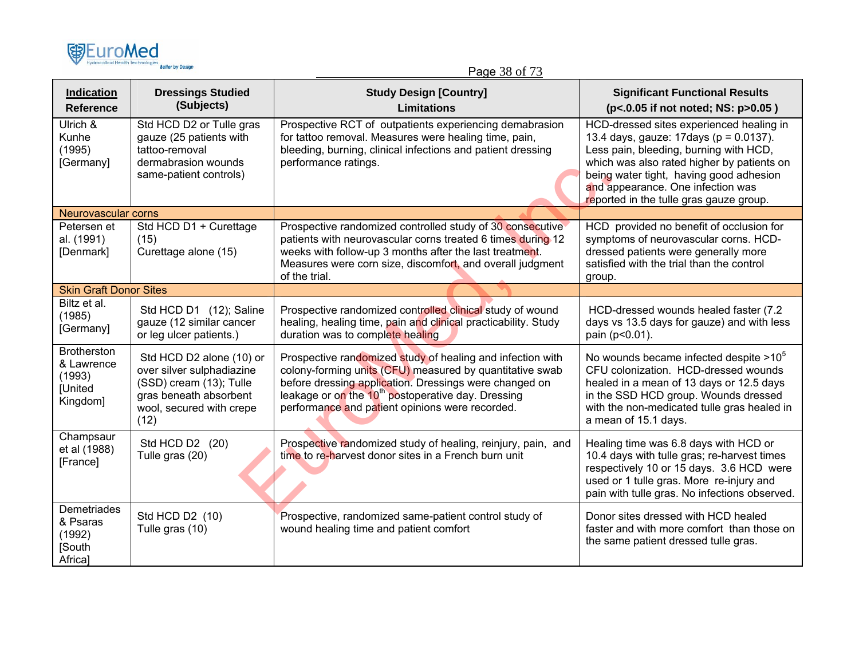

Page 38 of 73

| <b>Indication</b><br><b>Reference</b>                                    | <b>Dressings Studied</b><br>(Subjects)                                                                                                         | <b>Study Design [Country]</b><br><b>Limitations</b>                                                                                                                                                                                                                                                   | <b>Significant Functional Results</b><br>(p<.0.05 if not noted; NS: p>0.05)                                                                                                                                                                                                                           |
|--------------------------------------------------------------------------|------------------------------------------------------------------------------------------------------------------------------------------------|-------------------------------------------------------------------------------------------------------------------------------------------------------------------------------------------------------------------------------------------------------------------------------------------------------|-------------------------------------------------------------------------------------------------------------------------------------------------------------------------------------------------------------------------------------------------------------------------------------------------------|
| Ulrich &<br>Kunhe<br>(1995)<br>[Germany]                                 | Std HCD D2 or Tulle gras<br>gauze (25 patients with<br>tattoo-removal<br>dermabrasion wounds<br>same-patient controls)                         | Prospective RCT of outpatients experiencing demabrasion<br>for tattoo removal. Measures were healing time, pain,<br>bleeding, burning, clinical infections and patient dressing<br>performance ratings.                                                                                               | HCD-dressed sites experienced healing in<br>13.4 days, gauze: 17days (p = 0.0137).<br>Less pain, bleeding, burning with HCD,<br>which was also rated higher by patients on<br>being water tight, having good adhesion<br>and appearance. One infection was<br>reported in the tulle gras gauze group. |
| Neurovascular corns                                                      |                                                                                                                                                |                                                                                                                                                                                                                                                                                                       |                                                                                                                                                                                                                                                                                                       |
| Petersen et<br>al. (1991)<br>[Denmark]                                   | Std HCD D1 + Curettage<br>(15)<br>Curettage alone (15)                                                                                         | Prospective randomized controlled study of 30 consecutive<br>patients with neurovascular corns treated 6 times during 12<br>weeks with follow-up 3 months after the last treatment.<br>Measures were corn size, discomfort, and overall judgment<br>of the trial.                                     | HCD provided no benefit of occlusion for<br>symptoms of neurovascular corns. HCD-<br>dressed patients were generally more<br>satisfied with the trial than the control<br>group.                                                                                                                      |
| <b>Skin Graft Donor Sites</b>                                            |                                                                                                                                                |                                                                                                                                                                                                                                                                                                       |                                                                                                                                                                                                                                                                                                       |
| Biltz et al.<br>(1985)<br>[Germany]                                      | Std HCD D1 (12); Saline<br>gauze (12 similar cancer<br>or leg ulcer patients.)                                                                 | Prospective randomized controlled clinical study of wound<br>healing, healing time, pain and clinical practicability. Study<br>duration was to complete healing                                                                                                                                       | HCD-dressed wounds healed faster (7.2)<br>days vs 13.5 days for gauze) and with less<br>pain (p<0.01).                                                                                                                                                                                                |
| <b>Brotherston</b><br>& Lawrence<br>(1993)<br><b>[United</b><br>Kingdom] | Std HCD D2 alone (10) or<br>over silver sulphadiazine<br>(SSD) cream (13); Tulle<br>gras beneath absorbent<br>wool, secured with crepe<br>(12) | Prospective randomized study of healing and infection with<br>colony-forming units (CFU) measured by quantitative swab<br>before dressing application. Dressings were changed on<br>leakage or on the 10 <sup>th</sup> postoperative day. Dressing<br>performance and patient opinions were recorded. | No wounds became infected despite $>10^5$<br>CFU colonization. HCD-dressed wounds<br>healed in a mean of 13 days or 12.5 days<br>in the SSD HCD group. Wounds dressed<br>with the non-medicated tulle gras healed in<br>a mean of 15.1 days.                                                          |
| Champsaur<br>et al (1988)<br>[France]                                    | Std HCD D2 (20)<br>Tulle gras (20)                                                                                                             | Prospective randomized study of healing, reinjury, pain, and<br>time to re-harvest donor sites in a French burn unit                                                                                                                                                                                  | Healing time was 6.8 days with HCD or<br>10.4 days with tulle gras; re-harvest times<br>respectively 10 or 15 days. 3.6 HCD were<br>used or 1 tulle gras. More re-injury and<br>pain with tulle gras. No infections observed.                                                                         |
| <b>Demetriades</b><br>& Psaras<br>(1992)<br>[South<br>Africa]            | Std HCD D2 (10)<br>Tulle gras (10)                                                                                                             | Prospective, randomized same-patient control study of<br>wound healing time and patient comfort                                                                                                                                                                                                       | Donor sites dressed with HCD healed<br>faster and with more comfort than those on<br>the same patient dressed tulle gras.                                                                                                                                                                             |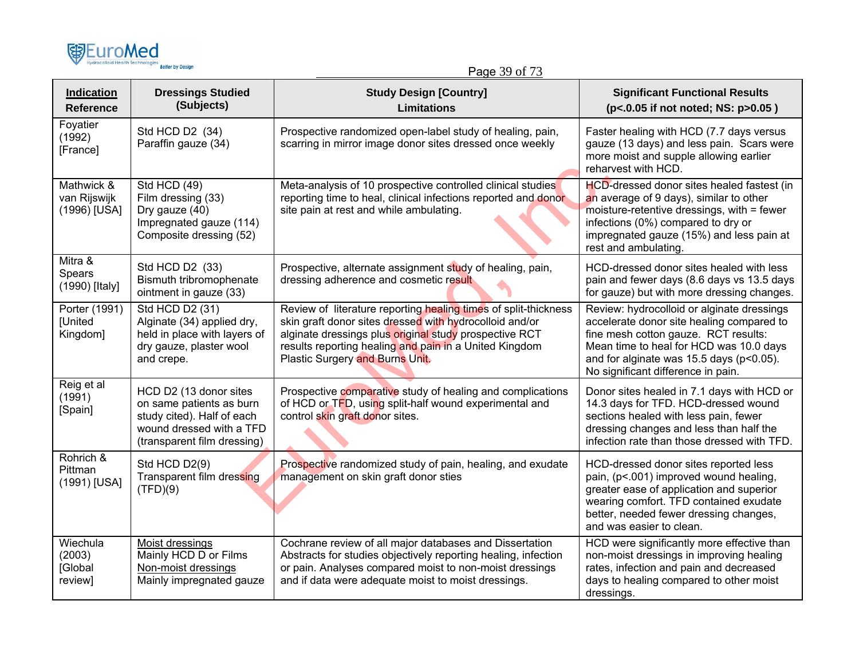

Page 39 of 73

| <b>Indication</b><br><b>Reference</b>       | <b>Dressings Studied</b><br>(Subjects)                                                                                                      | <b>Study Design [Country]</b><br><b>Limitations</b>                                                                                                                                                                                                                               | <b>Significant Functional Results</b><br>(p<.0.05 if not noted; NS: p>0.05)                                                                                                                                                                                  |
|---------------------------------------------|---------------------------------------------------------------------------------------------------------------------------------------------|-----------------------------------------------------------------------------------------------------------------------------------------------------------------------------------------------------------------------------------------------------------------------------------|--------------------------------------------------------------------------------------------------------------------------------------------------------------------------------------------------------------------------------------------------------------|
| Foyatier<br>(1992)<br>[France]              | Std HCD D2 (34)<br>Paraffin gauze (34)                                                                                                      | Prospective randomized open-label study of healing, pain,<br>scarring in mirror image donor sites dressed once weekly                                                                                                                                                             | Faster healing with HCD (7.7 days versus<br>gauze (13 days) and less pain. Scars were<br>more moist and supple allowing earlier<br>reharvest with HCD.                                                                                                       |
| Mathwick &<br>van Rijswijk<br>(1996) [USA]  | <b>Std HCD (49)</b><br>Film dressing (33)<br>Dry gauze (40)<br>Impregnated gauze (114)<br>Composite dressing (52)                           | Meta-analysis of 10 prospective controlled clinical studies<br>reporting time to heal, clinical infections reported and donor<br>site pain at rest and while ambulating.                                                                                                          | HCD-dressed donor sites healed fastest (in<br>an average of 9 days), similar to other<br>moisture-retentive dressings, with = fewer<br>infections (0%) compared to dry or<br>impregnated gauze (15%) and less pain at<br>rest and ambulating.                |
| Mitra &<br>Spears<br>(1990) [Italy]         | Std HCD D2 (33)<br>Bismuth tribromophenate<br>ointment in gauze (33)                                                                        | Prospective, alternate assignment study of healing, pain,<br>dressing adherence and cosmetic result                                                                                                                                                                               | HCD-dressed donor sites healed with less<br>pain and fewer days (8.6 days vs 13.5 days<br>for gauze) but with more dressing changes.                                                                                                                         |
| Porter (1991)<br><b>[United</b><br>Kingdom] | Std HCD D2 (31)<br>Alginate (34) applied dry,<br>held in place with layers of<br>dry gauze, plaster wool<br>and crepe.                      | Review of literature reporting healing times of split-thickness<br>skin graft donor sites dressed with hydrocolloid and/or<br>alginate dressings plus original study prospective RCT<br>results reporting healing and pain in a United Kingdom<br>Plastic Surgery and Burns Unit. | Review: hydrocolloid or alginate dressings<br>accelerate donor site healing compared to<br>fine mesh cotton gauze. RCT results:<br>Mean time to heal for HCD was 10.0 days<br>and for alginate was 15.5 days (p<0.05).<br>No significant difference in pain. |
| Reig et al<br>(1991)<br>[Spain]             | HCD D2 (13 donor sites<br>on same patients as burn<br>study cited). Half of each<br>wound dressed with a TFD<br>(transparent film dressing) | Prospective comparative study of healing and complications<br>of HCD or TFD, using split-half wound experimental and<br>control skin graft donor sites.                                                                                                                           | Donor sites healed in 7.1 days with HCD or<br>14.3 days for TFD. HCD-dressed wound<br>sections healed with less pain, fewer<br>dressing changes and less than half the<br>infection rate than those dressed with TFD.                                        |
| Rohrich &<br>Pittman<br>(1991) [USA]        | Std HCD D2(9)<br>Transparent film dressing<br>(TFD)(9)                                                                                      | Prospective randomized study of pain, healing, and exudate<br>management on skin graft donor sties                                                                                                                                                                                | HCD-dressed donor sites reported less<br>pain, (p<.001) improved wound healing,<br>greater ease of application and superior<br>wearing comfort. TFD contained exudate<br>better, needed fewer dressing changes,<br>and was easier to clean.                  |
| Wiechula<br>(2003)<br>[Global<br>review]    | Moist dressings<br>Mainly HCD D or Films<br>Non-moist dressings<br>Mainly impregnated gauze                                                 | Cochrane review of all major databases and Dissertation<br>Abstracts for studies objectively reporting healing, infection<br>or pain. Analyses compared moist to non-moist dressings<br>and if data were adequate moist to moist dressings.                                       | HCD were significantly more effective than<br>non-moist dressings in improving healing<br>rates, infection and pain and decreased<br>days to healing compared to other moist<br>dressings.                                                                   |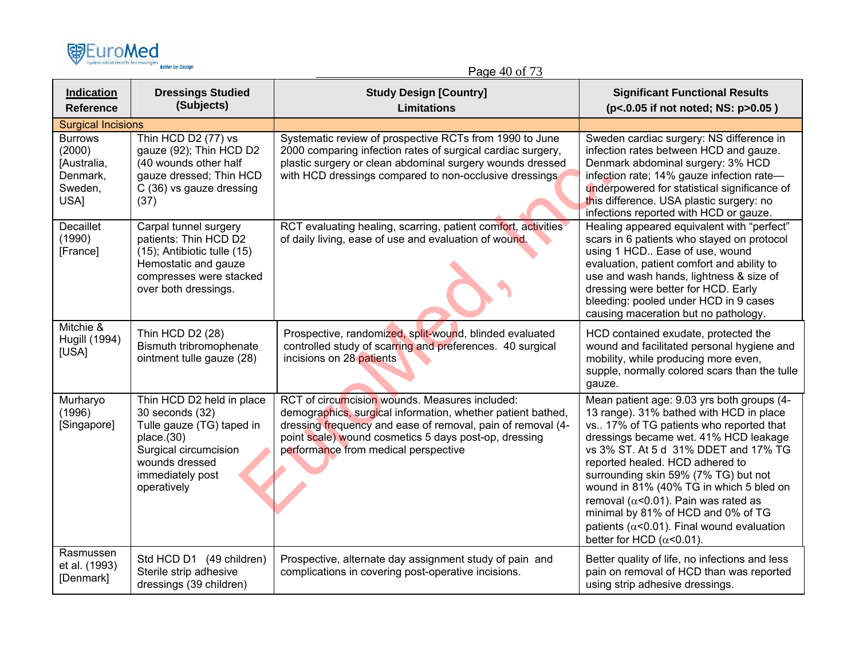

Page 40 of 73

| <b>Indication</b><br><b>Reference</b>                                                               | <b>Dressings Studied</b><br>(Subjects)                                                                                                                                | <b>Study Design [Country]</b><br><b>Limitations</b>                                                                                                                                                                                                                           | <b>Significant Functional Results</b><br>(p<.0.05 if not noted; NS: p>0.05)                                                                                                                                                                                                                                                                                                                                                                                                                                              |
|-----------------------------------------------------------------------------------------------------|-----------------------------------------------------------------------------------------------------------------------------------------------------------------------|-------------------------------------------------------------------------------------------------------------------------------------------------------------------------------------------------------------------------------------------------------------------------------|--------------------------------------------------------------------------------------------------------------------------------------------------------------------------------------------------------------------------------------------------------------------------------------------------------------------------------------------------------------------------------------------------------------------------------------------------------------------------------------------------------------------------|
| <b>Surgical Incisions</b><br><b>Burrows</b><br>(2000)<br>[Australia,<br>Denmark,<br>Sweden,<br>USA] | Thin HCD D2 (77) vs<br>gauze (92); Thin HCD D2<br>(40 wounds other half<br>gauze dressed; Thin HCD<br>C (36) vs gauze dressing<br>(37)                                | Systematic review of prospective RCTs from 1990 to June<br>2000 comparing infection rates of surgical cardiac surgery,<br>plastic surgery or clean abdominal surgery wounds dressed<br>with HCD dressings compared to non-occlusive dressings                                 | Sweden cardiac surgery: NS difference in<br>infection rates between HCD and gauze.<br>Denmark abdominal surgery: 3% HCD<br>infection rate; 14% gauze infection rate-<br>underpowered for statistical significance of<br>this difference. USA plastic surgery: no<br>infections reported with HCD or gauze.                                                                                                                                                                                                               |
| <b>Decaillet</b><br>(1990)<br>[France]                                                              | Carpal tunnel surgery<br>patients: Thin HCD D2<br>(15); Antibiotic tulle (15)<br>Hemostatic and gauze<br>compresses were stacked<br>over both dressings.              | RCT evaluating healing, scarring, patient comfort, activities<br>of daily living, ease of use and evaluation of wound.                                                                                                                                                        | Healing appeared equivalent with "perfect"<br>scars in 6 patients who stayed on protocol<br>using 1 HCD Ease of use, wound<br>evaluation, patient comfort and ability to<br>use and wash hands, lightness & size of<br>dressing were better for HCD. Early<br>bleeding: pooled under HCD in 9 cases<br>causing maceration but no pathology.                                                                                                                                                                              |
| Mitchie &<br><b>Hugill (1994)</b><br>[USA]                                                          | Thin HCD D2 (28)<br>Bismuth tribromophenate<br>ointment tulle gauze (28)                                                                                              | Prospective, randomized, split-wound, blinded evaluated<br>controlled study of scarring and preferences. 40 surgical<br>incisions on 28 patients                                                                                                                              | HCD contained exudate, protected the<br>wound and facilitated personal hygiene and<br>mobility, while producing more even,<br>supple, normally colored scars than the tulle<br>gauze.                                                                                                                                                                                                                                                                                                                                    |
| Murharyo<br>(1996)<br>[Singapore]                                                                   | Thin HCD D2 held in place<br>30 seconds (32)<br>Tulle gauze (TG) taped in<br>place.(30)<br>Surgical circumcision<br>wounds dressed<br>immediately post<br>operatively | RCT of circumcision wounds. Measures included:<br>demographics, surgical information, whether patient bathed,<br>dressing frequency and ease of removal, pain of removal (4-<br>point scale) wound cosmetics 5 days post-op, dressing<br>performance from medical perspective | Mean patient age: 9.03 yrs both groups (4-<br>13 range). 31% bathed with HCD in place<br>vs 17% of TG patients who reported that<br>dressings became wet. 41% HCD leakage<br>vs 3% ST. At 5 d 31% DDET and 17% TG<br>reported healed. HCD adhered to<br>surrounding skin 59% (7% TG) but not<br>wound in 81% (40% TG in which 5 bled on<br>removal ( $\alpha$ <0.01). Pain was rated as<br>minimal by 81% of HCD and 0% of TG<br>patients ( $\alpha$ <0.01). Final wound evaluation<br>better for HCD ( $\alpha$ <0.01). |
| Rasmussen<br>et al. (1993)<br>[Denmark]                                                             | Std HCD D1 (49 children)<br>Sterile strip adhesive<br>dressings (39 children)                                                                                         | Prospective, alternate day assignment study of pain and<br>complications in covering post-operative incisions.                                                                                                                                                                | Better quality of life, no infections and less<br>pain on removal of HCD than was reported<br>using strip adhesive dressings.                                                                                                                                                                                                                                                                                                                                                                                            |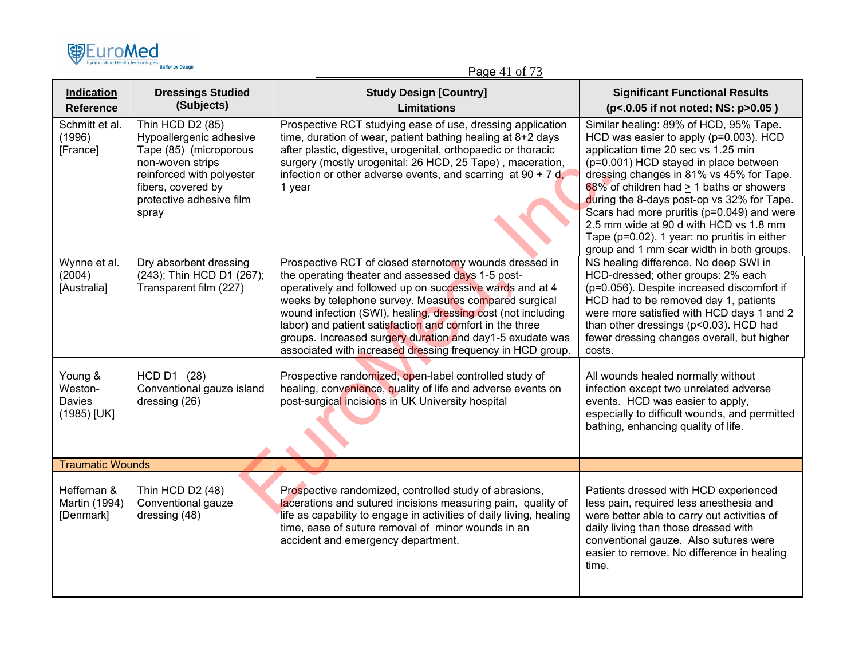

## Page 41 of 73

| Indication<br><b>Reference</b>                     | <b>Dressings Studied</b><br>(Subjects)                                                                                                                                            | <b>Study Design [Country]</b><br><b>Limitations</b>                                                                                                                                                                                                                                                                                                                                                                                                                                     | <b>Significant Functional Results</b><br>(p<.0.05 if not noted; NS: p>0.05)                                                                                                                                                                                                                                                                                                                                                                                                                     |
|----------------------------------------------------|-----------------------------------------------------------------------------------------------------------------------------------------------------------------------------------|-----------------------------------------------------------------------------------------------------------------------------------------------------------------------------------------------------------------------------------------------------------------------------------------------------------------------------------------------------------------------------------------------------------------------------------------------------------------------------------------|-------------------------------------------------------------------------------------------------------------------------------------------------------------------------------------------------------------------------------------------------------------------------------------------------------------------------------------------------------------------------------------------------------------------------------------------------------------------------------------------------|
| Schmitt et al.<br>(1996)<br>[France]               | Thin HCD D2 (85)<br>Hypoallergenic adhesive<br>Tape (85) (microporous<br>non-woven strips<br>reinforced with polyester<br>fibers, covered by<br>protective adhesive film<br>spray | Prospective RCT studying ease of use, dressing application<br>time, duration of wear, patient bathing healing at $8+2$ days<br>after plastic, digestive, urogenital, orthopaedic or thoracic<br>surgery (mostly urogenital: 26 HCD, 25 Tape), maceration,<br>infection or other adverse events, and scarring at $90 + 7$ d,<br>1 year                                                                                                                                                   | Similar healing: 89% of HCD, 95% Tape.<br>HCD was easier to apply (p=0.003). HCD<br>application time 20 sec vs 1.25 min<br>(p=0.001) HCD stayed in place between<br>dressing changes in 81% vs 45% for Tape.<br>68% of children had > 1 baths or showers<br>during the 8-days post-op vs 32% for Tape.<br>Scars had more pruritis (p=0.049) and were<br>2.5 mm wide at 90 d with HCD vs 1.8 mm<br>Tape ( $p=0.02$ ). 1 year: no pruritis in either<br>group and 1 mm scar width in both groups. |
| Wynne et al.<br>(2004)<br>[Australia]              | Dry absorbent dressing<br>(243); Thin HCD D1 (267);<br>Transparent film (227)                                                                                                     | Prospective RCT of closed sternotomy wounds dressed in<br>the operating theater and assessed days 1-5 post-<br>operatively and followed up on successive wards and at 4<br>weeks by telephone survey. Measures compared surgical<br>wound infection (SWI), healing, dressing cost (not including<br>labor) and patient satisfaction and comfort in the three<br>groups. Increased surgery duration and day1-5 exudate was<br>associated with increased dressing frequency in HCD group. | NS healing difference. No deep SWI in<br>HCD-dressed; other groups: 2% each<br>(p=0.056). Despite increased discomfort if<br>HCD had to be removed day 1, patients<br>were more satisfied with HCD days 1 and 2<br>than other dressings (p<0.03). HCD had<br>fewer dressing changes overall, but higher<br>costs.                                                                                                                                                                               |
| Young &<br>Weston-<br><b>Davies</b><br>(1985) [UK] | HCD D1 (28)<br>Conventional gauze island<br>dressing (26)                                                                                                                         | Prospective randomized, open-label controlled study of<br>healing, convenience, quality of life and adverse events on<br>post-surgical incisions in UK University hospital                                                                                                                                                                                                                                                                                                              | All wounds healed normally without<br>infection except two unrelated adverse<br>events. HCD was easier to apply,<br>especially to difficult wounds, and permitted<br>bathing, enhancing quality of life.                                                                                                                                                                                                                                                                                        |
| <b>Traumatic Wounds</b>                            |                                                                                                                                                                                   |                                                                                                                                                                                                                                                                                                                                                                                                                                                                                         |                                                                                                                                                                                                                                                                                                                                                                                                                                                                                                 |
| Heffernan &<br>Martin (1994)<br>[Denmark]          | Thin HCD D2 (48)<br>Conventional gauze<br>dressing (48)                                                                                                                           | Prospective randomized, controlled study of abrasions,<br>lacerations and sutured incisions measuring pain, quality of<br>life as capability to engage in activities of daily living, healing<br>time, ease of suture removal of minor wounds in an<br>accident and emergency department.                                                                                                                                                                                               | Patients dressed with HCD experienced<br>less pain, required less anesthesia and<br>were better able to carry out activities of<br>daily living than those dressed with<br>conventional gauze. Also sutures were<br>easier to remove. No difference in healing<br>time.                                                                                                                                                                                                                         |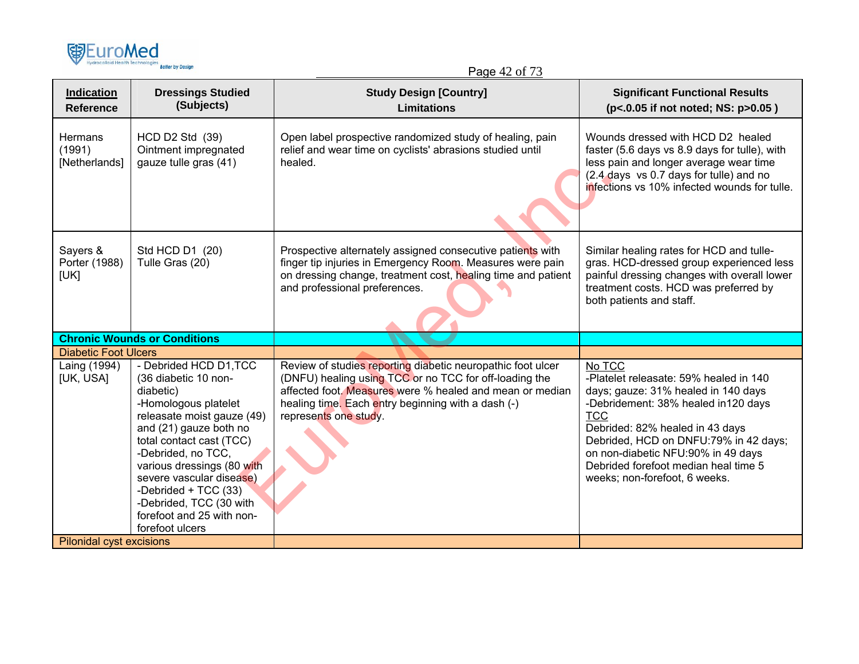

Page 42 of 73

| Indication<br><b>Reference</b>     | <b>Dressings Studied</b><br>(Subjects)                                                                                                                                                                                                                                                                                                                     | <b>Study Design [Country]</b><br><b>Limitations</b>                                                                                                                                                                                                              | <b>Significant Functional Results</b><br>(p<.0.05 if not noted; NS: p>0.05)                                                                                                                                                                                                                                                             |
|------------------------------------|------------------------------------------------------------------------------------------------------------------------------------------------------------------------------------------------------------------------------------------------------------------------------------------------------------------------------------------------------------|------------------------------------------------------------------------------------------------------------------------------------------------------------------------------------------------------------------------------------------------------------------|-----------------------------------------------------------------------------------------------------------------------------------------------------------------------------------------------------------------------------------------------------------------------------------------------------------------------------------------|
| Hermans<br>(1991)<br>[Netherlands] | HCD D2 Std (39)<br>Ointment impregnated<br>gauze tulle gras (41)                                                                                                                                                                                                                                                                                           | Open label prospective randomized study of healing, pain<br>relief and wear time on cyclists' abrasions studied until<br>healed.                                                                                                                                 | Wounds dressed with HCD D2 healed<br>faster (5.6 days vs 8.9 days for tulle), with<br>less pain and longer average wear time<br>(2.4 days vs 0.7 days for tulle) and no<br>infections vs 10% infected wounds for tulle.                                                                                                                 |
| Sayers &<br>Porter (1988)<br>[UK]  | Std HCD D1 (20)<br>Tulle Gras (20)                                                                                                                                                                                                                                                                                                                         | Prospective alternately assigned consecutive patients with<br>finger tip injuries in Emergency Room. Measures were pain<br>on dressing change, treatment cost, healing time and patient<br>and professional preferences.                                         | Similar healing rates for HCD and tulle-<br>gras. HCD-dressed group experienced less<br>painful dressing changes with overall lower<br>treatment costs. HCD was preferred by<br>both patients and staff.                                                                                                                                |
|                                    | <b>Chronic Wounds or Conditions</b>                                                                                                                                                                                                                                                                                                                        |                                                                                                                                                                                                                                                                  |                                                                                                                                                                                                                                                                                                                                         |
| <b>Diabetic Foot Ulcers</b>        |                                                                                                                                                                                                                                                                                                                                                            |                                                                                                                                                                                                                                                                  |                                                                                                                                                                                                                                                                                                                                         |
| Laing (1994)<br>[UK, USA]          | - Debrided HCD D1, TCC<br>(36 diabetic 10 non-<br>diabetic)<br>-Homologous platelet<br>releasate moist gauze (49)<br>and (21) gauze both no<br>total contact cast (TCC)<br>-Debrided, no TCC,<br>various dressings (80 with<br>severe vascular disease)<br>-Debrided + TCC (33)<br>-Debrided, TCC (30 with<br>forefoot and 25 with non-<br>forefoot ulcers | Review of studies reporting diabetic neuropathic foot ulcer<br>(DNFU) healing using TCC or no TCC for off-loading the<br>affected foot. Measures were % healed and mean or median<br>healing time. Each entry beginning with a dash (-)<br>represents one study. | No TCC<br>-Platelet releasate: 59% healed in 140<br>days; gauze: 31% healed in 140 days<br>-Debridement: 38% healed in120 days<br><b>TCC</b><br>Debrided: 82% healed in 43 days<br>Debrided, HCD on DNFU:79% in 42 days;<br>on non-diabetic NFU:90% in 49 days<br>Debrided forefoot median heal time 5<br>weeks; non-forefoot, 6 weeks. |
| <b>Pilonidal cyst excisions</b>    |                                                                                                                                                                                                                                                                                                                                                            |                                                                                                                                                                                                                                                                  |                                                                                                                                                                                                                                                                                                                                         |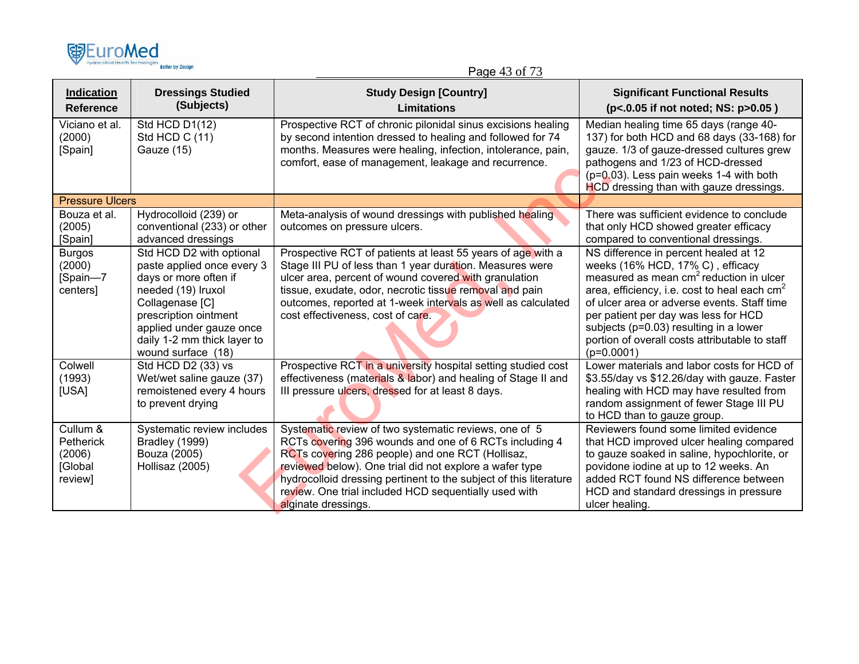

Page 43 of 73

| <b>Indication</b><br>Reference                        | <b>Dressings Studied</b><br>(Subjects)                                                                                                                                                                                             | <b>Study Design [Country]</b><br><b>Limitations</b>                                                                                                                                                                                                                                                                                                                                 | <b>Significant Functional Results</b><br>(p<.0.05 if not noted; NS: p>0.05)                                                                                                                                                                                                                                                                                                           |
|-------------------------------------------------------|------------------------------------------------------------------------------------------------------------------------------------------------------------------------------------------------------------------------------------|-------------------------------------------------------------------------------------------------------------------------------------------------------------------------------------------------------------------------------------------------------------------------------------------------------------------------------------------------------------------------------------|---------------------------------------------------------------------------------------------------------------------------------------------------------------------------------------------------------------------------------------------------------------------------------------------------------------------------------------------------------------------------------------|
| Viciano et al.<br>(2000)<br>[Spain]                   | Std HCD D1(12)<br>Std HCD C (11)<br>Gauze (15)                                                                                                                                                                                     | Prospective RCT of chronic pilonidal sinus excisions healing<br>by second intention dressed to healing and followed for 74<br>months. Measures were healing, infection, intolerance, pain,<br>comfort, ease of management, leakage and recurrence.                                                                                                                                  | Median healing time 65 days (range 40-<br>137) for both HCD and 68 days (33-168) for<br>gauze. 1/3 of gauze-dressed cultures grew<br>pathogens and 1/23 of HCD-dressed<br>$(p=0.03)$ . Less pain weeks 1-4 with both<br>HCD dressing than with gauze dressings.                                                                                                                       |
| <b>Pressure Ulcers</b>                                |                                                                                                                                                                                                                                    |                                                                                                                                                                                                                                                                                                                                                                                     |                                                                                                                                                                                                                                                                                                                                                                                       |
| Bouza et al.<br>(2005)<br>[Spain]                     | Hydrocolloid (239) or<br>conventional (233) or other<br>advanced dressings                                                                                                                                                         | Meta-analysis of wound dressings with published healing<br>outcomes on pressure ulcers.                                                                                                                                                                                                                                                                                             | There was sufficient evidence to conclude<br>that only HCD showed greater efficacy<br>compared to conventional dressings.                                                                                                                                                                                                                                                             |
| <b>Burgos</b><br>(2000)<br>[Spain-7<br>centers]       | Std HCD D2 with optional<br>paste applied once every 3<br>days or more often if<br>needed (19) Iruxol<br>Collagenase [C]<br>prescription ointment<br>applied under gauze once<br>daily 1-2 mm thick layer to<br>wound surface (18) | Prospective RCT of patients at least 55 years of age with a<br>Stage III PU of less than 1 year duration. Measures were<br>ulcer area, percent of wound covered with granulation<br>tissue, exudate, odor, necrotic tissue removal and pain<br>outcomes, reported at 1-week intervals as well as calculated<br>cost effectiveness, cost of care.                                    | NS difference in percent healed at 12<br>weeks (16% HCD, 17% C), efficacy<br>measured as mean cm <sup>2</sup> reduction in ulcer<br>area, efficiency, i.e. cost to heal each $cm2$<br>of ulcer area or adverse events. Staff time<br>per patient per day was less for HCD<br>subjects (p=0.03) resulting in a lower<br>portion of overall costs attributable to staff<br>$(p=0.0001)$ |
| Colwell<br>(1993)<br>[USA]                            | Std HCD D2 (33) vs<br>Wet/wet saline gauze (37)<br>remoistened every 4 hours<br>to prevent drying                                                                                                                                  | Prospective RCT in a university hospital setting studied cost<br>effectiveness (materials & labor) and healing of Stage II and<br>III pressure ulcers, dressed for at least 8 days.                                                                                                                                                                                                 | Lower materials and labor costs for HCD of<br>\$3.55/day vs \$12.26/day with gauze. Faster<br>healing with HCD may have resulted from<br>random assignment of fewer Stage III PU<br>to HCD than to gauze group.                                                                                                                                                                       |
| Cullum &<br>Petherick<br>(2006)<br>[Global<br>review] | Systematic review includes<br>Bradley (1999)<br>Bouza (2005)<br>Hollisaz (2005)                                                                                                                                                    | Systematic review of two systematic reviews, one of 5<br>RCTs covering 396 wounds and one of 6 RCTs including 4<br>RCTs covering 286 people) and one RCT (Hollisaz,<br>reviewed below). One trial did not explore a wafer type<br>hydrocolloid dressing pertinent to the subject of this literature<br>review. One trial included HCD sequentially used with<br>alginate dressings. | Reviewers found some limited evidence<br>that HCD improved ulcer healing compared<br>to gauze soaked in saline, hypochlorite, or<br>povidone iodine at up to 12 weeks. An<br>added RCT found NS difference between<br>HCD and standard dressings in pressure<br>ulcer healing.                                                                                                        |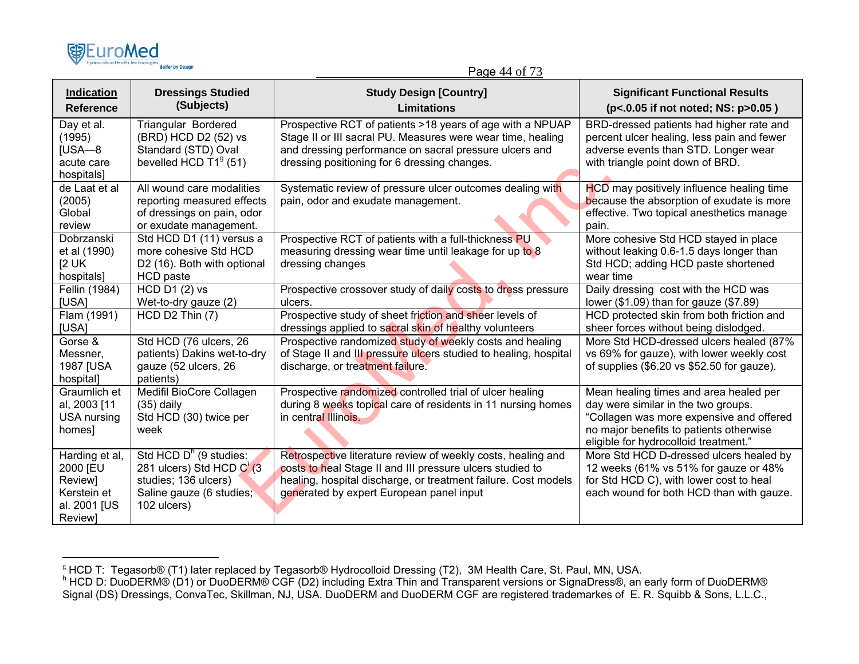| <b>图EuroMed</b>                  |                         |  |
|----------------------------------|-------------------------|--|
| Hydrocolloid Health Technologies | <b>Better by Design</b> |  |

#### Page 44 of 73

| <b>Indication</b><br><b>Reference</b>                                                 | <b>Dressings Studied</b><br>(Subjects)                                                                                  | <b>Study Design [Country]</b><br>Limitations                                                                                                                                                                                            | <b>Significant Functional Results</b><br>(p<.0.05 if not noted; NS: p>0.05)                                                                                                                                   |
|---------------------------------------------------------------------------------------|-------------------------------------------------------------------------------------------------------------------------|-----------------------------------------------------------------------------------------------------------------------------------------------------------------------------------------------------------------------------------------|---------------------------------------------------------------------------------------------------------------------------------------------------------------------------------------------------------------|
| Day et al.<br>(1995)<br>$IUSA - 8$<br>acute care<br>hospitals]                        | <b>Triangular Bordered</b><br>(BRD) HCD D2 (52) vs<br>Standard (STD) Oval<br>bevelled HCD $T19$ (51)                    | Prospective RCT of patients >18 years of age with a NPUAP<br>Stage II or III sacral PU. Measures were wear time, healing<br>and dressing performance on sacral pressure ulcers and<br>dressing positioning for 6 dressing changes.      | BRD-dressed patients had higher rate and<br>percent ulcer healing, less pain and fewer<br>adverse events than STD. Longer wear<br>with triangle point down of BRD.                                            |
| de Laat et al<br>(2005)<br>Global<br>review                                           | All wound care modalities<br>reporting measured effects<br>of dressings on pain, odor<br>or exudate management.         | Systematic review of pressure ulcer outcomes dealing with<br>pain, odor and exudate management.                                                                                                                                         | HCD may positively influence healing time<br>because the absorption of exudate is more<br>effective. Two topical anesthetics manage<br>pain.                                                                  |
| Dobrzanski<br>et al (1990)<br>[2 <sub>UK</sub> ]<br>hospitals]                        | Std HCD D1 (11) versus a<br>more cohesive Std HCD<br>D2 (16). Both with optional<br><b>HCD</b> paste                    | Prospective RCT of patients with a full-thickness PU<br>measuring dressing wear time until leakage for up to 8<br>dressing changes                                                                                                      | More cohesive Std HCD stayed in place<br>without leaking 0.6-1.5 days longer than<br>Std HCD; adding HCD paste shortened<br>wear time                                                                         |
| Fellin (1984)<br>[USA]                                                                | <b>HCD D1 (2) vs</b><br>Wet-to-dry gauze (2)                                                                            | Prospective crossover study of daily costs to dress pressure<br>ulcers.                                                                                                                                                                 | Daily dressing cost with the HCD was<br>lower $(\$1.09)$ than for gauze $(\$7.89)$                                                                                                                            |
| Flam (1991)<br>[USA]                                                                  | HCD D2 Thin (7)                                                                                                         | Prospective study of sheet friction and sheer levels of<br>dressings applied to sacral skin of healthy volunteers                                                                                                                       | HCD protected skin from both friction and<br>sheer forces without being dislodged.                                                                                                                            |
| Gorse &<br>Messner,<br>1987 [USA<br>hospital]                                         | Std HCD (76 ulcers, 26<br>patients) Dakins wet-to-dry<br>gauze (52 ulcers, 26<br>patients)                              | Prospective randomized study of weekly costs and healing<br>of Stage II and III pressure ulcers studied to healing, hospital<br>discharge, or treatment failure.                                                                        | More Std HCD-dressed ulcers healed (87%<br>vs 69% for gauze), with lower weekly cost<br>of supplies (\$6.20 vs \$52.50 for gauze).                                                                            |
| Graumlich et<br>al, 2003 [11<br><b>USA nursing</b><br>homes]                          | Medifil BioCore Collagen<br>$(35)$ daily<br>Std HCD (30) twice per<br>week                                              | Prospective randomized controlled trial of ulcer healing<br>during 8 weeks topical care of residents in 11 nursing homes<br>in central Illinois.                                                                                        | Mean healing times and area healed per<br>day were similar in the two groups.<br>"Collagen was more expensive and offered<br>no major benefits to patients otherwise<br>eligible for hydrocolloid treatment." |
| Harding et al,<br>2000 [EU<br>Review]<br>Kerstein et<br>al. 2001 [US<br><b>Review</b> | Std HCD $Dh$ (9 studies:<br>281 ulcers) Std HCD C'(3<br>studies; 136 ulcers)<br>Saline gauze (6 studies;<br>102 ulcers) | Retrospective literature review of weekly costs, healing and<br>costs to heal Stage II and III pressure ulcers studied to<br>healing, hospital discharge, or treatment failure. Cost models<br>generated by expert European panel input | More Std HCD D-dressed ulcers healed by<br>12 weeks (61% vs 51% for gauze or 48%<br>for Std HCD C), with lower cost to heal<br>each wound for both HCD than with gauze.                                       |

<sup>『</sup> HCD T: Tegasorb® (T1) later replaced by Tegasorb® Hydrocolloid Dressing (T2), 3M Health Care, St. Paul, MN, USA.<br><sup>h</sup> HCD D: DuoDERM® (D1) or DuoDERM® CGF (D2) including Extra Thin and Transparent versions or SignaDre Signal (DS) Dressings, ConvaTec, Skillman, NJ, USA. DuoDERM and DuoDERM CGF are registered trademarkes of E. R. Squibb & Sons, L.L.C.,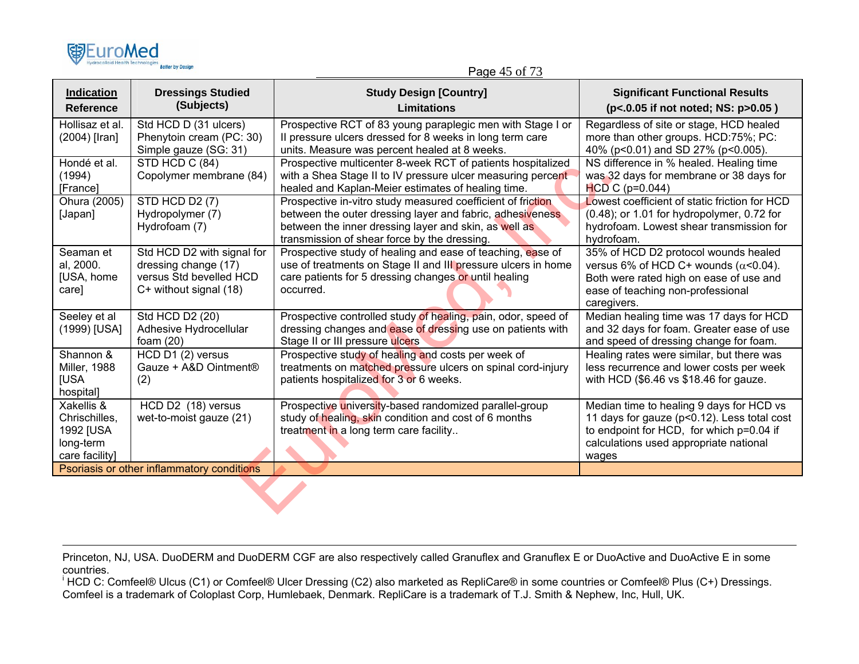| 国EuroMed                         |                         |
|----------------------------------|-------------------------|
| Hydrocolloid Health Technologies | <b>Better by Design</b> |

| Page 45 of 73 |  |  |
|---------------|--|--|
|               |  |  |

| Indication<br><b>Reference</b>                                          | <b>Dressings Studied</b><br>(Subjects)                                                                  | <b>Study Design [Country]</b><br>Limitations                                                                                                                                                                                      | <b>Significant Functional Results</b><br>(p<.0.05 if not noted; NS: p>0.05)                                                                                                            |
|-------------------------------------------------------------------------|---------------------------------------------------------------------------------------------------------|-----------------------------------------------------------------------------------------------------------------------------------------------------------------------------------------------------------------------------------|----------------------------------------------------------------------------------------------------------------------------------------------------------------------------------------|
| Hollisaz et al.<br>(2004) [Iran]                                        | Std HCD D (31 ulcers)<br>Phenytoin cream (PC: 30)<br>Simple gauze (SG: 31)                              | Prospective RCT of 83 young paraplegic men with Stage I or<br>Il pressure ulcers dressed for 8 weeks in long term care<br>units. Measure was percent healed at 8 weeks.                                                           | Regardless of site or stage, HCD healed<br>more than other groups. HCD:75%; PC:<br>40% (p<0.01) and SD 27% (p<0.005).                                                                  |
| Hondé et al.<br>(1994)<br>[France]                                      | STD HCD C (84)<br>Copolymer membrane (84)                                                               | Prospective multicenter 8-week RCT of patients hospitalized<br>with a Shea Stage II to IV pressure ulcer measuring percent<br>healed and Kaplan-Meier estimates of healing time.                                                  | NS difference in % healed. Healing time<br>was 32 days for membrane or 38 days for<br>$HCD$ C (p=0.044)                                                                                |
| Ohura (2005)<br>[Japan]                                                 | STD HCD D2 (7)<br>Hydropolymer (7)<br>Hydrofoam (7)                                                     | Prospective in-vitro study measured coefficient of friction<br>between the outer dressing layer and fabric, adhesiveness<br>between the inner dressing layer and skin, as well as<br>transmission of shear force by the dressing. | Lowest coefficient of static friction for HCD<br>$(0.48)$ ; or 1.01 for hydropolymer, 0.72 for<br>hydrofoam. Lowest shear transmission for<br>hydrofoam.                               |
| Seaman et<br>al, 2000.<br>[USA, home<br>care]                           | Std HCD D2 with signal for<br>dressing change (17)<br>versus Std bevelled HCD<br>C+ without signal (18) | Prospective study of healing and ease of teaching, ease of<br>use of treatments on Stage II and III pressure ulcers in home<br>care patients for 5 dressing changes or until healing<br>occurred.                                 | 35% of HCD D2 protocol wounds healed<br>versus 6% of HCD C+ wounds ( $\alpha$ <0.04).<br>Both were rated high on ease of use and<br>ease of teaching non-professional<br>caregivers.   |
| Seeley et al<br>(1999) [USA]                                            | Std HCD D2 (20)<br>Adhesive Hydrocellular<br>foam $(20)$                                                | Prospective controlled study of healing, pain, odor, speed of<br>dressing changes and ease of dressing use on patients with<br>Stage II or III pressure ulcers                                                                    | Median healing time was 17 days for HCD<br>and 32 days for foam. Greater ease of use<br>and speed of dressing change for foam.                                                         |
| Shannon &<br><b>Miller, 1988</b><br><b>IUSA</b><br>hospital]            | HCD D1 (2) versus<br>Gauze + A&D Ointment®<br>(2)                                                       | Prospective study of healing and costs per week of<br>treatments on matched pressure ulcers on spinal cord-injury<br>patients hospitalized for 3 or 6 weeks.                                                                      | Healing rates were similar, but there was<br>less recurrence and lower costs per week<br>with HCD (\$6.46 vs \$18.46 for gauze.                                                        |
| Xakellis &<br>Chrischilles,<br>1992 [USA<br>long-term<br>care facility] | HCD D2 (18) versus<br>wet-to-moist gauze (21)                                                           | Prospective university-based randomized parallel-group<br>study of healing, skin condition and cost of 6 months<br>treatment in a long term care facility                                                                         | Median time to healing 9 days for HCD vs<br>11 days for gauze (p<0.12). Less total cost<br>to endpoint for HCD, for which p=0.04 if<br>calculations used appropriate national<br>wages |
|                                                                         | Psoriasis or other inflammatory conditions                                                              |                                                                                                                                                                                                                                   |                                                                                                                                                                                        |
|                                                                         |                                                                                                         |                                                                                                                                                                                                                                   |                                                                                                                                                                                        |

Princeton, NJ, USA. DuoDERM and DuoDERM CGF are also respectively called Granuflex and Granuflex E or DuoActive and DuoActive E in some countries.

<sup>i</sup> HCD C: Comfeel® Ulcus (C1) or Comfeel® Ulcer Dressing (C2) also marketed as RepliCare® in some countries or Comfeel® Plus (C+) Dressings. Comfeel is a trademark of Coloplast Corp, Humlebaek, Denmark. RepliCare is a trademark of T.J. Smith & Nephew, Inc, Hull, UK.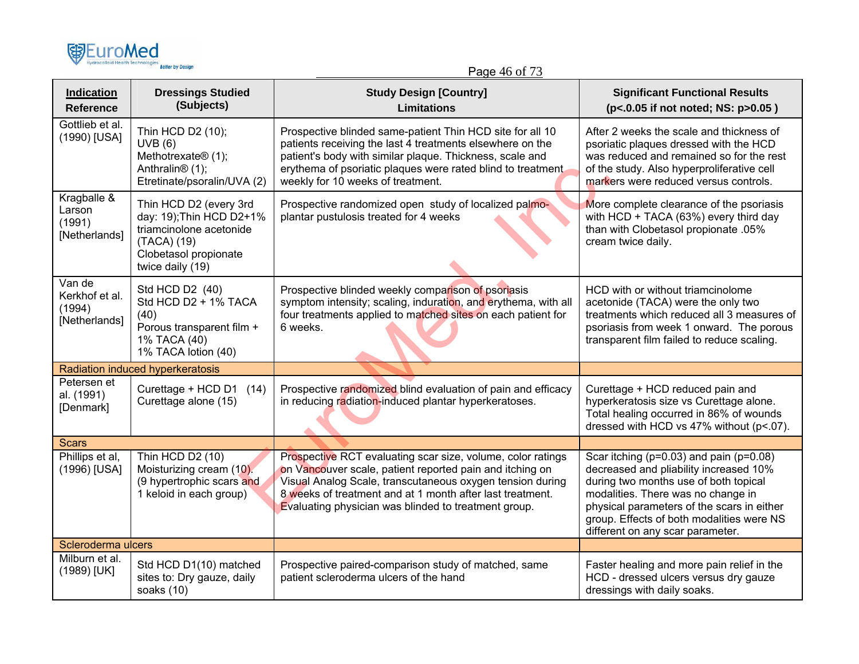| 嘲EuroMed                                            | <b>Retter by Design</b>                                                                                                                   | Page 46 of 73                                                                                                                                                                                                                                                                                             |                                                                                                                                                                                                                                                                                                         |
|-----------------------------------------------------|-------------------------------------------------------------------------------------------------------------------------------------------|-----------------------------------------------------------------------------------------------------------------------------------------------------------------------------------------------------------------------------------------------------------------------------------------------------------|---------------------------------------------------------------------------------------------------------------------------------------------------------------------------------------------------------------------------------------------------------------------------------------------------------|
| <b>Indication</b><br><b>Reference</b>               | <b>Dressings Studied</b><br>(Subjects)                                                                                                    | <b>Study Design [Country]</b><br><b>Limitations</b>                                                                                                                                                                                                                                                       | <b>Significant Functional Results</b><br>(p<.0.05 if not noted; NS: p>0.05)                                                                                                                                                                                                                             |
| Gottlieb et al.<br>(1990) [USA]                     | Thin HCD D2 (10);<br>UVB(6)<br>Methotrexate® (1);<br>Anthralin <sup>®</sup> (1);<br>Etretinate/psoralin/UVA (2)                           | Prospective blinded same-patient Thin HCD site for all 10<br>patients receiving the last 4 treatments elsewhere on the<br>patient's body with similar plaque. Thickness, scale and<br>erythema of psoriatic plaques were rated blind to treatment.<br>weekly for 10 weeks of treatment.                   | After 2 weeks the scale and thickness of<br>psoriatic plaques dressed with the HCD<br>was reduced and remained so for the rest<br>of the study. Also hyperproliferative cell<br>markers were reduced versus controls.                                                                                   |
| Kragballe &<br>Larson<br>(1991)<br>[Netherlands]    | Thin HCD D2 (every 3rd<br>day: 19); Thin HCD D2+1%<br>triamcinolone acetonide<br>(TACA) (19)<br>Clobetasol propionate<br>twice daily (19) | Prospective randomized open study of localized palmo-<br>plantar pustulosis treated for 4 weeks                                                                                                                                                                                                           | More complete clearance of the psoriasis<br>with HCD + TACA (63%) every third day<br>than with Clobetasol propionate .05%<br>cream twice daily.                                                                                                                                                         |
| Van de<br>Kerkhof et al.<br>(1994)<br>[Netherlands] | Std HCD D2 (40)<br>Std HCD D2 + 1% TACA<br>(40)<br>Porous transparent film +<br>1% TACA (40)<br>1% TACA lotion (40)                       | Prospective blinded weekly comparison of psoriasis<br>symptom intensity; scaling, induration, and erythema, with all<br>four treatments applied to matched sites on each patient for<br>6 weeks.                                                                                                          | HCD with or without triamcinolome<br>acetonide (TACA) were the only two<br>treatments which reduced all 3 measures of<br>psoriasis from week 1 onward. The porous<br>transparent film failed to reduce scaling.                                                                                         |
|                                                     | Radiation induced hyperkeratosis                                                                                                          |                                                                                                                                                                                                                                                                                                           |                                                                                                                                                                                                                                                                                                         |
| Petersen et<br>al. (1991)<br>[Denmark]              | Curettage + HCD D1 (14)<br>Curettage alone (15)                                                                                           | Prospective randomized blind evaluation of pain and efficacy<br>in reducing radiation-induced plantar hyperkeratoses.                                                                                                                                                                                     | Curettage + HCD reduced pain and<br>hyperkeratosis size vs Curettage alone.<br>Total healing occurred in 86% of wounds<br>dressed with HCD vs 47% without (p<.07).                                                                                                                                      |
| <b>Scars</b>                                        |                                                                                                                                           |                                                                                                                                                                                                                                                                                                           |                                                                                                                                                                                                                                                                                                         |
| Phillips et al,<br>(1996) [USA]                     | Thin HCD D2 (10)<br>Moisturizing cream (10).<br>(9 hypertrophic scars and<br>1 keloid in each group)                                      | Prospective RCT evaluating scar size, volume, color ratings<br>on Vancouver scale, patient reported pain and itching on<br>Visual Analog Scale, transcutaneous oxygen tension during<br>8 weeks of treatment and at 1 month after last treatment.<br>Evaluating physician was blinded to treatment group. | Scar itching ( $p=0.03$ ) and pain ( $p=0.08$ )<br>decreased and pliability increased 10%<br>during two months use of both topical<br>modalities. There was no change in<br>physical parameters of the scars in either<br>group. Effects of both modalities were NS<br>different on any scar parameter. |
| Scleroderma ulcers                                  |                                                                                                                                           |                                                                                                                                                                                                                                                                                                           |                                                                                                                                                                                                                                                                                                         |
| Milburn et al.<br>(1989) [UK]                       | Std HCD D1(10) matched<br>sites to: Dry gauze, daily<br>soaks (10)                                                                        | Prospective paired-comparison study of matched, same<br>patient scleroderma ulcers of the hand                                                                                                                                                                                                            | Faster healing and more pain relief in the<br>HCD - dressed ulcers versus dry gauze<br>dressings with daily soaks.                                                                                                                                                                                      |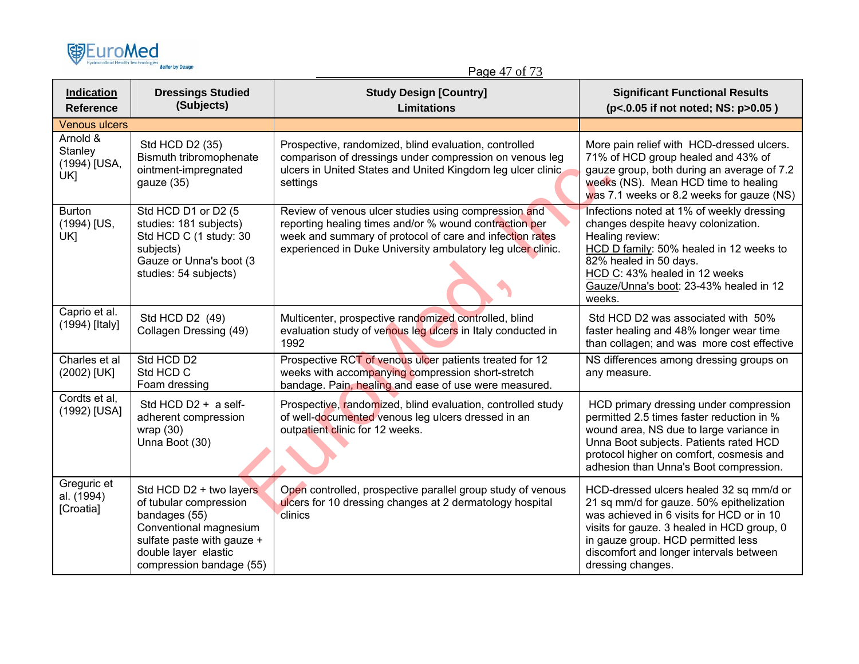

Page 47 of 73

| <b>Indication</b><br><b>Reference</b>      | <b>Dressings Studied</b><br>(Subjects)                                                                                                                                         | <b>Study Design [Country]</b><br><b>Limitations</b>                                                                                                                                                                                       | <b>Significant Functional Results</b><br>(p<.0.05 if not noted; NS: p>0.05)                                                                                                                                                                                                          |
|--------------------------------------------|--------------------------------------------------------------------------------------------------------------------------------------------------------------------------------|-------------------------------------------------------------------------------------------------------------------------------------------------------------------------------------------------------------------------------------------|--------------------------------------------------------------------------------------------------------------------------------------------------------------------------------------------------------------------------------------------------------------------------------------|
| <b>Venous ulcers</b>                       |                                                                                                                                                                                |                                                                                                                                                                                                                                           |                                                                                                                                                                                                                                                                                      |
| Arnold &<br>Stanley<br>(1994) [USA,<br>UK1 | Std HCD D2 (35)<br>Bismuth tribromophenate<br>ointment-impregnated<br>gauze (35)                                                                                               | Prospective, randomized, blind evaluation, controlled<br>comparison of dressings under compression on venous leg<br>ulcers in United States and United Kingdom leg ulcer clinic<br>settings                                               | More pain relief with HCD-dressed ulcers.<br>71% of HCD group healed and 43% of<br>gauze group, both during an average of 7.2<br>weeks (NS). Mean HCD time to healing<br>was 7.1 weeks or 8.2 weeks for gauze (NS)                                                                   |
| <b>Burton</b><br>(1994) [US,<br>UK]        | Std HCD D1 or D2 (5<br>studies: 181 subjects)<br>Std HCD C (1 study: 30<br>subjects)<br>Gauze or Unna's boot (3<br>studies: 54 subjects)                                       | Review of venous ulcer studies using compression and<br>reporting healing times and/or % wound contraction per<br>week and summary of protocol of care and infection rates<br>experienced in Duke University ambulatory leg ulcer clinic. | Infections noted at 1% of weekly dressing<br>changes despite heavy colonization.<br>Healing review:<br>HCD D family: 50% healed in 12 weeks to<br>82% healed in 50 days.<br>HCD C: 43% healed in 12 weeks<br>Gauze/Unna's boot: 23-43% healed in 12<br>weeks.                        |
| Caprio et al.<br>(1994) [Italy]            | Std HCD D2 (49)<br>Collagen Dressing (49)                                                                                                                                      | Multicenter, prospective randomized controlled, blind<br>evaluation study of venous leg ulcers in Italy conducted in<br>1992                                                                                                              | Std HCD D2 was associated with 50%<br>faster healing and 48% longer wear time<br>than collagen; and was more cost effective                                                                                                                                                          |
| Charles et al<br>(2002) [UK]               | Std HCD D2<br>Std HCD C<br>Foam dressing                                                                                                                                       | Prospective RCT of venous ulcer patients treated for 12<br>weeks with accompanying compression short-stretch<br>bandage. Pain, healing and ease of use were measured.                                                                     | NS differences among dressing groups on<br>any measure.                                                                                                                                                                                                                              |
| Cordts et al,<br>(1992) [USA]              | Std HCD D2 + a self-<br>adherent compression<br>wrap $(30)$<br>Unna Boot (30)                                                                                                  | Prospective, randomized, blind evaluation, controlled study<br>of well-documented venous leg ulcers dressed in an<br>outpatient clinic for 12 weeks.                                                                                      | HCD primary dressing under compression<br>permitted 2.5 times faster reduction in %<br>wound area, NS due to large variance in<br>Unna Boot subjects. Patients rated HCD<br>protocol higher on comfort, cosmesis and<br>adhesion than Unna's Boot compression.                       |
| Greguric et<br>al. (1994)<br>[Croatia]     | Std HCD D2 + two layers<br>of tubular compression<br>bandages (55)<br>Conventional magnesium<br>sulfate paste with gauze +<br>double layer elastic<br>compression bandage (55) | Open controlled, prospective parallel group study of venous<br>ulcers for 10 dressing changes at 2 dermatology hospital<br>clinics                                                                                                        | HCD-dressed ulcers healed 32 sq mm/d or<br>21 sq mm/d for gauze. 50% epithelization<br>was achieved in 6 visits for HCD or in 10<br>visits for gauze. 3 healed in HCD group, 0<br>in gauze group. HCD permitted less<br>discomfort and longer intervals between<br>dressing changes. |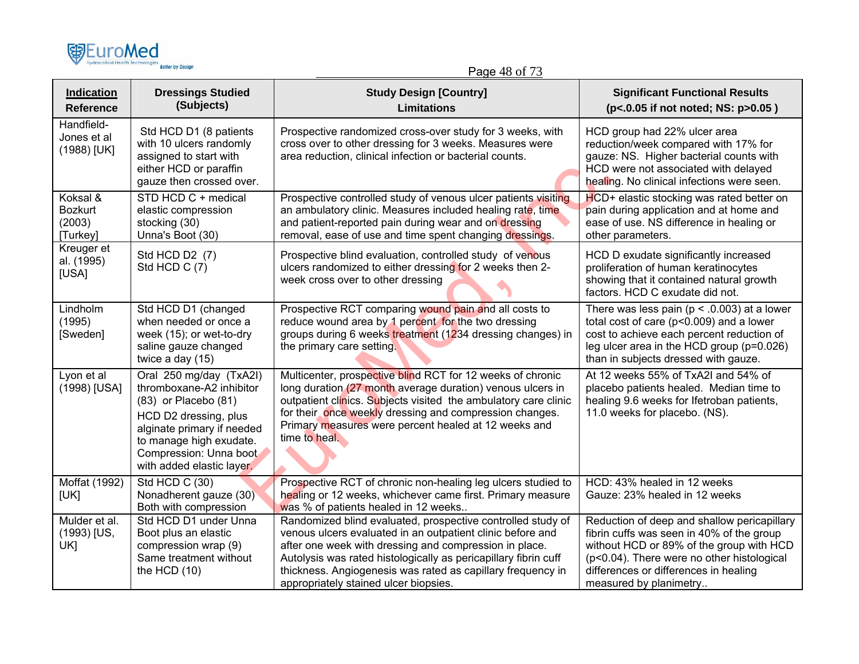

Page 48 of 73

| <b>Indication</b><br><b>Reference</b>            | <b>Dressings Studied</b><br>(Subjects)                                                                                                                                                                               | <b>Study Design [Country]</b><br><b>Limitations</b>                                                                                                                                                                                                                                                                                                            | <b>Significant Functional Results</b><br>(p<.0.05 if not noted; NS: p>0.05)                                                                                                                                                                           |
|--------------------------------------------------|----------------------------------------------------------------------------------------------------------------------------------------------------------------------------------------------------------------------|----------------------------------------------------------------------------------------------------------------------------------------------------------------------------------------------------------------------------------------------------------------------------------------------------------------------------------------------------------------|-------------------------------------------------------------------------------------------------------------------------------------------------------------------------------------------------------------------------------------------------------|
| Handfield-<br>Jones et al<br>(1988) [UK]         | Std HCD D1 (8 patients<br>with 10 ulcers randomly<br>assigned to start with<br>either HCD or paraffin<br>gauze then crossed over.                                                                                    | Prospective randomized cross-over study for 3 weeks, with<br>cross over to other dressing for 3 weeks. Measures were<br>area reduction, clinical infection or bacterial counts.                                                                                                                                                                                | HCD group had 22% ulcer area<br>reduction/week compared with 17% for<br>gauze: NS. Higher bacterial counts with<br>HCD were not associated with delayed<br>healing. No clinical infections were seen.                                                 |
| Koksal &<br><b>Bozkurt</b><br>(2003)<br>[Turkey] | STD HCD C + medical<br>elastic compression<br>stocking (30)<br>Unna's Boot (30)                                                                                                                                      | Prospective controlled study of venous ulcer patients visiting<br>an ambulatory clinic. Measures included healing rate, time<br>and patient-reported pain during wear and on dressing<br>removal, ease of use and time spent changing dressings.                                                                                                               | HCD+ elastic stocking was rated better on<br>pain during application and at home and<br>ease of use. NS difference in healing or<br>other parameters.                                                                                                 |
| Kreuger et<br>al. (1995)<br>[USA]                | Std HCD D2 (7)<br>Std HCD C (7)                                                                                                                                                                                      | Prospective blind evaluation, controlled study of venous<br>ulcers randomized to either dressing for 2 weeks then 2-<br>week cross over to other dressing                                                                                                                                                                                                      | HCD D exudate significantly increased<br>proliferation of human keratinocytes<br>showing that it contained natural growth<br>factors. HCD C exudate did not.                                                                                          |
| Lindholm<br>(1995)<br>[Sweden]                   | Std HCD D1 (changed<br>when needed or once a<br>week (15); or wet-to-dry<br>saline gauze changed<br>twice a day (15)                                                                                                 | Prospective RCT comparing wound pain and all costs to<br>reduce wound area by 1 percent for the two dressing<br>groups during 6 weeks treatment (1234 dressing changes) in<br>the primary care setting.                                                                                                                                                        | There was less pain ( $p < .0.003$ ) at a lower<br>total cost of care (p<0.009) and a lower<br>cost to achieve each percent reduction of<br>leg ulcer area in the HCD group (p=0.026)<br>than in subjects dressed with gauze.                         |
| Lyon et al<br>(1998) [USA]                       | Oral 250 mg/day (TxA2l)<br>thromboxane-A2 inhibitor<br>(83) or Placebo (81)<br>HCD D2 dressing, plus<br>alginate primary if needed<br>to manage high exudate.<br>Compression: Unna boot<br>with added elastic layer. | Multicenter, prospective blind RCT for 12 weeks of chronic<br>long duration (27 month average duration) venous ulcers in<br>outpatient clinics. Subjects visited the ambulatory care clinic<br>for their once weekly dressing and compression changes.<br>Primary measures were percent healed at 12 weeks and<br>time to heal.                                | At 12 weeks 55% of TxA2I and 54% of<br>placebo patients healed. Median time to<br>healing 9.6 weeks for Ifetroban patients,<br>11.0 weeks for placebo. (NS).                                                                                          |
| Moffat (1992)<br>[UK]                            | Std HCD C (30)<br>Nonadherent gauze (30)<br>Both with compression                                                                                                                                                    | Prospective RCT of chronic non-healing leg ulcers studied to<br>healing or 12 weeks, whichever came first. Primary measure<br>was % of patients healed in 12 weeks                                                                                                                                                                                             | HCD: 43% healed in 12 weeks<br>Gauze: 23% healed in 12 weeks                                                                                                                                                                                          |
| Mulder et al.<br>(1993) [US,<br>UK]              | Std HCD D1 under Unna<br>Boot plus an elastic<br>compression wrap (9)<br>Same treatment without<br>the HCD $(10)$                                                                                                    | Randomized blind evaluated, prospective controlled study of<br>venous ulcers evaluated in an outpatient clinic before and<br>after one week with dressing and compression in place.<br>Autolysis was rated histologically as pericapillary fibrin cuff<br>thickness. Angiogenesis was rated as capillary frequency in<br>appropriately stained ulcer biopsies. | Reduction of deep and shallow pericapillary<br>fibrin cuffs was seen in 40% of the group<br>without HCD or 89% of the group with HCD<br>(p<0.04). There were no other histological<br>differences or differences in healing<br>measured by planimetry |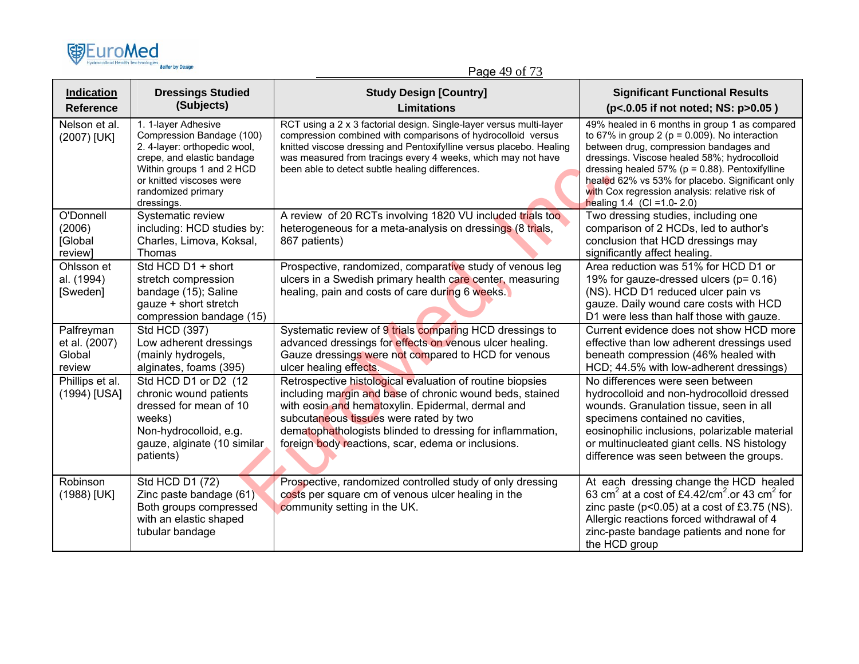

Page 49 of 73

| <b>Indication</b><br><b>Reference</b>           | <b>Dressings Studied</b><br>(Subjects)                                                                                                                                                                      | <b>Study Design [Country]</b><br>Limitations                                                                                                                                                                                                                                                                                            | <b>Significant Functional Results</b><br>(p<.0.05 if not noted; NS: p>0.05)                                                                                                                                                                                                                                                                                                            |
|-------------------------------------------------|-------------------------------------------------------------------------------------------------------------------------------------------------------------------------------------------------------------|-----------------------------------------------------------------------------------------------------------------------------------------------------------------------------------------------------------------------------------------------------------------------------------------------------------------------------------------|----------------------------------------------------------------------------------------------------------------------------------------------------------------------------------------------------------------------------------------------------------------------------------------------------------------------------------------------------------------------------------------|
| Nelson et al.<br>(2007) [UK]                    | 1. 1-layer Adhesive<br>Compression Bandage (100)<br>2. 4-layer: orthopedic wool,<br>crepe, and elastic bandage<br>Within groups 1 and 2 HCD<br>or knitted viscoses were<br>randomized primary<br>dressings. | RCT using a 2 x 3 factorial design. Single-layer versus multi-layer<br>compression combined with comparisons of hydrocolloid versus<br>knitted viscose dressing and Pentoxifylline versus placebo. Healing<br>was measured from tracings every 4 weeks, which may not have<br>been able to detect subtle healing differences.           | 49% healed in 6 months in group 1 as compared<br>to 67% in group 2 ( $p = 0.009$ ). No interaction<br>between drug, compression bandages and<br>dressings. Viscose healed 58%; hydrocolloid<br>dressing healed 57% ( $p = 0.88$ ). Pentoxifylline<br>healed 62% vs 53% for placebo. Significant only<br>with Cox regression analysis: relative risk of<br>healing $1.4$ (CI = 1.0-2.0) |
| O'Donnell<br>(2006)<br>[Global<br>review]       | Systematic review<br>including: HCD studies by:<br>Charles, Limova, Koksal,<br>Thomas                                                                                                                       | A review of 20 RCTs involving 1820 VU included trials too<br>heterogeneous for a meta-analysis on dressings (8 trials,<br>867 patients)                                                                                                                                                                                                 | Two dressing studies, including one<br>comparison of 2 HCDs, led to author's<br>conclusion that HCD dressings may<br>significantly affect healing.                                                                                                                                                                                                                                     |
| Ohlsson et<br>al. (1994)<br>[Sweden]            | Std HCD D1 + short<br>stretch compression<br>bandage (15); Saline<br>gauze + short stretch<br>compression bandage (15)                                                                                      | Prospective, randomized, comparative study of venous leg<br>ulcers in a Swedish primary health care center, measuring<br>healing, pain and costs of care during 6 weeks.                                                                                                                                                                | Area reduction was 51% for HCD D1 or<br>19% for gauze-dressed ulcers (p= 0.16)<br>(NS). HCD D1 reduced ulcer pain vs<br>gauze. Daily wound care costs with HCD<br>D1 were less than half those with gauze.                                                                                                                                                                             |
| Palfreyman<br>et al. (2007)<br>Global<br>review | Std HCD (397)<br>Low adherent dressings<br>(mainly hydrogels,<br>alginates, foams (395)                                                                                                                     | Systematic review of 9 trials comparing HCD dressings to<br>advanced dressings for effects on venous ulcer healing.<br>Gauze dressings were not compared to HCD for venous<br>ulcer healing effects.                                                                                                                                    | Current evidence does not show HCD more<br>effective than low adherent dressings used<br>beneath compression (46% healed with<br>HCD; 44.5% with low-adherent dressings)                                                                                                                                                                                                               |
| Phillips et al.<br>(1994) [USA]                 | Std HCD D1 or D2 (12<br>chronic wound patients<br>dressed for mean of 10<br>weeks)<br>Non-hydrocolloid, e.g.<br>gauze, alginate (10 similar<br>patients)                                                    | Retrospective histological evaluation of routine biopsies<br>including margin and base of chronic wound beds, stained<br>with eosin and hematoxylin. Epidermal, dermal and<br>subcutaneous tissues were rated by two<br>dematophathologists blinded to dressing for inflammation,<br>foreign body reactions, scar, edema or inclusions. | No differences were seen between<br>hydrocolloid and non-hydrocolloid dressed<br>wounds. Granulation tissue, seen in all<br>specimens contained no cavities,<br>eosinophilic inclusions, polarizable material<br>or multinucleated giant cells. NS histology<br>difference was seen between the groups.                                                                                |
| Robinson<br>(1988) [UK]                         | Std HCD D1 (72)<br>Zinc paste bandage (61)<br>Both groups compressed<br>with an elastic shaped<br>tubular bandage                                                                                           | Prospective, randomized controlled study of only dressing<br>costs per square cm of venous ulcer healing in the<br>community setting in the UK.                                                                                                                                                                                         | At each dressing change the HCD healed<br>63 cm <sup>2</sup> at a cost of £4.42/cm <sup>2</sup> or 43 cm <sup>2</sup> for<br>zinc paste ( $p<0.05$ ) at a cost of £3.75 (NS).<br>Allergic reactions forced withdrawal of 4<br>zinc-paste bandage patients and none for<br>the HCD group                                                                                                |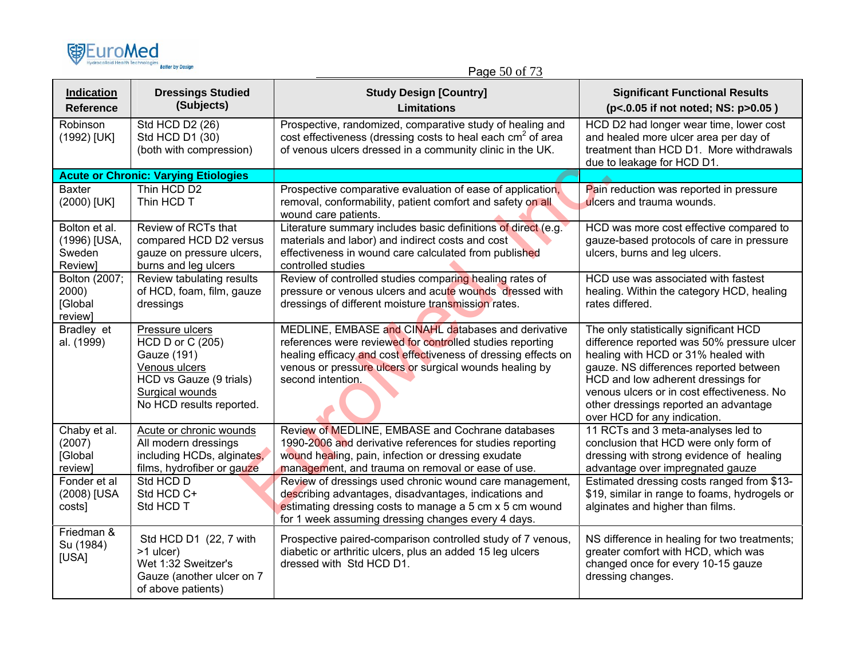

## Page 50 of 73

| Indication<br><b>Reference</b>                     | <b>Dressings Studied</b><br>(Subjects)                                                                                                        | <b>Study Design [Country]</b><br><b>Limitations</b>                                                                                                                                                                                                                | <b>Significant Functional Results</b><br>(p<.0.05 if not noted; NS: p>0.05)                                                                                                                                                                                                                                                        |
|----------------------------------------------------|-----------------------------------------------------------------------------------------------------------------------------------------------|--------------------------------------------------------------------------------------------------------------------------------------------------------------------------------------------------------------------------------------------------------------------|------------------------------------------------------------------------------------------------------------------------------------------------------------------------------------------------------------------------------------------------------------------------------------------------------------------------------------|
| Robinson<br>(1992) [UK]                            | Std HCD D2 (26)<br>Std HCD D1 (30)<br>(both with compression)                                                                                 | Prospective, randomized, comparative study of healing and<br>cost effectiveness (dressing costs to heal each cm <sup>2</sup> of area<br>of venous ulcers dressed in a community clinic in the UK.                                                                  | HCD D2 had longer wear time, lower cost<br>and healed more ulcer area per day of<br>treatment than HCD D1. More withdrawals<br>due to leakage for HCD D1.                                                                                                                                                                          |
|                                                    | <b>Acute or Chronic: Varying Etiologies</b>                                                                                                   |                                                                                                                                                                                                                                                                    |                                                                                                                                                                                                                                                                                                                                    |
| <b>Baxter</b><br>(2000) [UK]                       | Thin HCD D2<br>Thin HCD T                                                                                                                     | Prospective comparative evaluation of ease of application,<br>removal, conformability, patient comfort and safety on all<br>wound care patients.                                                                                                                   | Pain reduction was reported in pressure<br>ulcers and trauma wounds.                                                                                                                                                                                                                                                               |
| Bolton et al.<br>(1996) [USA,<br>Sweden<br>Review] | Review of RCTs that<br>compared HCD D2 versus<br>gauze on pressure ulcers,<br>burns and leg ulcers                                            | Literature summary includes basic definitions of direct (e.g.<br>materials and labor) and indirect costs and cost<br>effectiveness in wound care calculated from published<br>controlled studies                                                                   | HCD was more cost effective compared to<br>gauze-based protocols of care in pressure<br>ulcers, burns and leg ulcers.                                                                                                                                                                                                              |
| Bolton (2007;<br>2000<br>[Global<br>review]        | Review tabulating results<br>of HCD, foam, film, gauze<br>dressings                                                                           | Review of controlled studies comparing healing rates of<br>pressure or venous ulcers and acute wounds dressed with<br>dressings of different moisture transmission rates.                                                                                          | HCD use was associated with fastest<br>healing. Within the category HCD, healing<br>rates differed.                                                                                                                                                                                                                                |
| Bradley et<br>al. (1999)                           | Pressure ulcers<br>HCD D or C (205)<br>Gauze (191)<br>Venous ulcers<br>HCD vs Gauze (9 trials)<br>Surgical wounds<br>No HCD results reported. | MEDLINE, EMBASE and CINAHL databases and derivative<br>references were reviewed for controlled studies reporting<br>healing efficacy and cost effectiveness of dressing effects on<br>venous or pressure ulcers or surgical wounds healing by<br>second intention. | The only statistically significant HCD<br>difference reported was 50% pressure ulcer<br>healing with HCD or 31% healed with<br>gauze. NS differences reported between<br>HCD and low adherent dressings for<br>venous ulcers or in cost effectiveness. No<br>other dressings reported an advantage<br>over HCD for any indication. |
| Chaby et al.<br>(2007)<br>[Global<br>review]       | Acute or chronic wounds<br>All modern dressings<br>including HCDs, alginates,<br>films, hydrofiber or gauze                                   | Review of MEDLINE, EMBASE and Cochrane databases<br>1990-2006 and derivative references for studies reporting<br>wound healing, pain, infection or dressing exudate<br>management, and trauma on removal or ease of use.                                           | 11 RCTs and 3 meta-analyses led to<br>conclusion that HCD were only form of<br>dressing with strong evidence of healing<br>advantage over impregnated gauze                                                                                                                                                                        |
| Fonder et al<br>(2008) [USA<br>costs]              | Std HCD D<br>Std HCD C+<br>Std HCD T                                                                                                          | Review of dressings used chronic wound care management,<br>describing advantages, disadvantages, indications and<br>estimating dressing costs to manage a 5 cm x 5 cm wound<br>for 1 week assuming dressing changes every 4 days.                                  | Estimated dressing costs ranged from \$13-<br>\$19, similar in range to foams, hydrogels or<br>alginates and higher than films.                                                                                                                                                                                                    |
| Friedman &<br>Su (1984)<br>[USA]                   | Std HCD D1 (22, 7 with<br>>1 ulcer)<br>Wet 1:32 Sweitzer's<br>Gauze (another ulcer on 7<br>of above patients)                                 | Prospective paired-comparison controlled study of 7 venous,<br>diabetic or arthritic ulcers, plus an added 15 leg ulcers<br>dressed with Std HCD D1.                                                                                                               | NS difference in healing for two treatments;<br>greater comfort with HCD, which was<br>changed once for every 10-15 gauze<br>dressing changes.                                                                                                                                                                                     |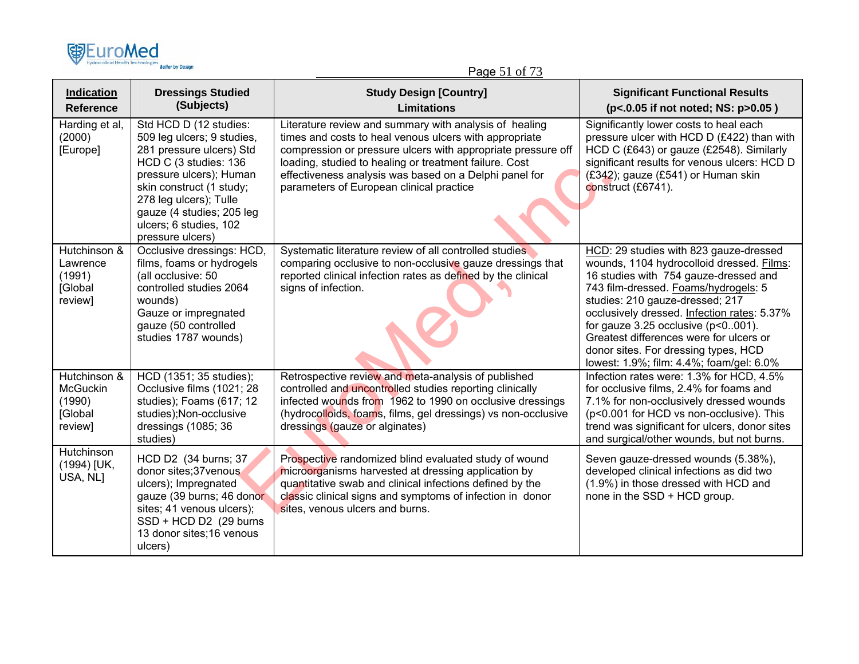

Page 51 of 73

| Indication<br><b>Reference</b>                                  | <b>Dressings Studied</b><br>(Subjects)                                                                                                                                                                                                                                | <b>Study Design [Country]</b><br><b>Limitations</b>                                                                                                                                                                                                                                                                                              | <b>Significant Functional Results</b><br>(p<.0.05 if not noted; NS: p>0.05)                                                                                                                                                                                                                                                                                                                                                        |
|-----------------------------------------------------------------|-----------------------------------------------------------------------------------------------------------------------------------------------------------------------------------------------------------------------------------------------------------------------|--------------------------------------------------------------------------------------------------------------------------------------------------------------------------------------------------------------------------------------------------------------------------------------------------------------------------------------------------|------------------------------------------------------------------------------------------------------------------------------------------------------------------------------------------------------------------------------------------------------------------------------------------------------------------------------------------------------------------------------------------------------------------------------------|
| Harding et al,<br>(2000)<br>[Europe]                            | Std HCD D (12 studies:<br>509 leg ulcers; 9 studies,<br>281 pressure ulcers) Std<br>HCD C (3 studies: 136<br>pressure ulcers); Human<br>skin construct (1 study;<br>278 leg ulcers); Tulle<br>gauze (4 studies; 205 leg<br>ulcers; 6 studies, 102<br>pressure ulcers) | Literature review and summary with analysis of healing<br>times and costs to heal venous ulcers with appropriate<br>compression or pressure ulcers with appropriate pressure off<br>loading, studied to healing or treatment failure. Cost<br>effectiveness analysis was based on a Delphi panel for<br>parameters of European clinical practice | Significantly lower costs to heal each<br>pressure ulcer with HCD D (£422) than with<br>HCD C (£643) or gauze (£2548). Similarly<br>significant results for venous ulcers: HCD D<br>(£342); gauze (£541) or Human skin<br>construct (£6741).                                                                                                                                                                                       |
| Hutchinson &<br>Lawrence<br>(1991)<br>[Global<br>review]        | Occlusive dressings: HCD,<br>films, foams or hydrogels<br>(all occlusive: 50<br>controlled studies 2064<br>wounds)<br>Gauze or impregnated<br>gauze (50 controlled<br>studies 1787 wounds)                                                                            | Systematic literature review of all controlled studies<br>comparing occlusive to non-occlusive gauze dressings that<br>reported clinical infection rates as defined by the clinical<br>signs of infection.                                                                                                                                       | HCD: 29 studies with 823 gauze-dressed<br>wounds, 1104 hydrocolloid dressed. Films:<br>16 studies with 754 gauze-dressed and<br>743 film-dressed. Foams/hydrogels: 5<br>studies: 210 gauze-dressed; 217<br>occlusively dressed. Infection rates: 5.37%<br>for gauze $3.25$ occlusive ( $p<0.001$ ).<br>Greatest differences were for ulcers or<br>donor sites. For dressing types, HCD<br>lowest: 1.9%; film: 4.4%; foam/gel: 6.0% |
| Hutchinson &<br><b>McGuckin</b><br>(1990)<br>[Global<br>review] | HCD (1351; 35 studies);<br>Occlusive films (1021; 28<br>studies); Foams (617; 12<br>studies); Non-occlusive<br>dressings (1085; 36<br>studies)                                                                                                                        | Retrospective review and meta-analysis of published<br>controlled and uncontrolled studies reporting clinically<br>infected wounds from 1962 to 1990 on occlusive dressings<br>(hydrocolloids, foams, films, gel dressings) vs non-occlusive<br>dressings (gauze or alginates)                                                                   | Infection rates were: 1.3% for HCD, 4.5%<br>for occlusive films, 2.4% for foams and<br>7.1% for non-occlusively dressed wounds<br>(p<0.001 for HCD vs non-occlusive). This<br>trend was significant for ulcers, donor sites<br>and surgical/other wounds, but not burns.                                                                                                                                                           |
| Hutchinson<br>(1994) [UK,<br>USA, NL]                           | HCD D2 (34 burns; 37<br>donor sites;37venous<br>ulcers); Impregnated<br>gauze (39 burns; 46 donor<br>sites; 41 venous ulcers);<br>SSD + HCD D2 (29 burns<br>13 donor sites; 16 venous<br>ulcers)                                                                      | Prospective randomized blind evaluated study of wound<br>microorganisms harvested at dressing application by<br>quantitative swab and clinical infections defined by the<br>classic clinical signs and symptoms of infection in donor<br>sites, venous ulcers and burns.                                                                         | Seven gauze-dressed wounds (5.38%),<br>developed clinical infections as did two<br>(1.9%) in those dressed with HCD and<br>none in the SSD + HCD group.                                                                                                                                                                                                                                                                            |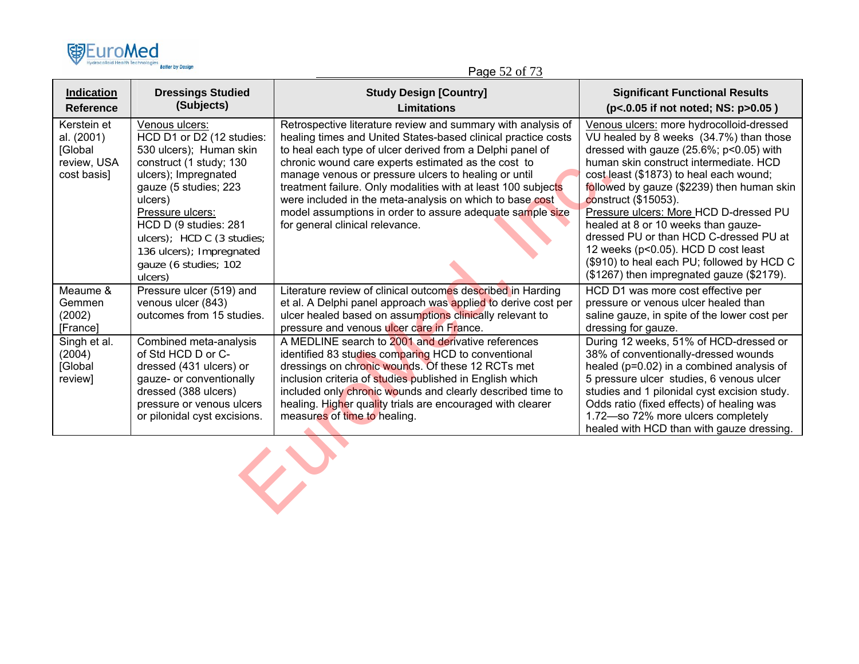

Page 52 of 73

| <b>Indication</b><br><b>Reference</b>                              | <b>Dressings Studied</b><br>(Subjects)                                                                                                                                                                                                                                                                   | <b>Study Design [Country]</b><br><b>Limitations</b>                                                                                                                                                                                                                                                                                                                                                                                                                                                                                    | <b>Significant Functional Results</b><br>(p<.0.05 if not noted; NS: p>0.05)                                                                                                                                                                                                                                                                                                                                                                                                                                                                            |  |
|--------------------------------------------------------------------|----------------------------------------------------------------------------------------------------------------------------------------------------------------------------------------------------------------------------------------------------------------------------------------------------------|----------------------------------------------------------------------------------------------------------------------------------------------------------------------------------------------------------------------------------------------------------------------------------------------------------------------------------------------------------------------------------------------------------------------------------------------------------------------------------------------------------------------------------------|--------------------------------------------------------------------------------------------------------------------------------------------------------------------------------------------------------------------------------------------------------------------------------------------------------------------------------------------------------------------------------------------------------------------------------------------------------------------------------------------------------------------------------------------------------|--|
| Kerstein et<br>al. (2001)<br>[Global<br>review, USA<br>cost basis] | Venous ulcers:<br>HCD D1 or D2 (12 studies:<br>530 ulcers); Human skin<br>construct (1 study; 130<br>ulcers); Impregnated<br>gauze (5 studies; 223<br>ulcers)<br>Pressure ulcers:<br>HCD D (9 studies: 281<br>ulcers); HCD C (3 studies;<br>136 ulcers); Impregnated<br>gauze (6 studies; 102<br>ulcers) | Retrospective literature review and summary with analysis of<br>healing times and United States-based clinical practice costs<br>to heal each type of ulcer derived from a Delphi panel of<br>chronic wound care experts estimated as the cost to<br>manage venous or pressure ulcers to healing or until<br>treatment failure. Only modalities with at least 100 subjects<br>were included in the meta-analysis on which to base cost<br>model assumptions in order to assure adequate sample size<br>for general clinical relevance. | Venous ulcers: more hydrocolloid-dressed<br>VU healed by 8 weeks (34.7%) than those<br>dressed with gauze (25.6%; p<0.05) with<br>human skin construct intermediate. HCD<br>cost least (\$1873) to heal each wound;<br>followed by gauze (\$2239) then human skin<br>construct (\$15053).<br>Pressure ulcers: More HCD D-dressed PU<br>healed at 8 or 10 weeks than gauze-<br>dressed PU or than HCD C-dressed PU at<br>12 weeks (p<0.05). HCD D cost least<br>(\$910) to heal each PU; followed by HCD C<br>(\$1267) then impregnated gauze (\$2179). |  |
| Meaume &<br>Gemmen<br>(2002)<br>[France]                           | Pressure ulcer (519) and<br>venous ulcer (843)<br>outcomes from 15 studies.                                                                                                                                                                                                                              | Literature review of clinical outcomes described in Harding<br>et al. A Delphi panel approach was applied to derive cost per<br>ulcer healed based on assumptions clinically relevant to<br>pressure and venous ulcer care in France.                                                                                                                                                                                                                                                                                                  | HCD D1 was more cost effective per<br>pressure or venous ulcer healed than<br>saline gauze, in spite of the lower cost per<br>dressing for gauze.                                                                                                                                                                                                                                                                                                                                                                                                      |  |
| Singh et al.<br>(2004)<br>[Global<br>review]                       | Combined meta-analysis<br>of Std HCD D or C-<br>dressed (431 ulcers) or<br>gauze- or conventionally<br>dressed (388 ulcers)<br>pressure or venous ulcers<br>or pilonidal cyst excisions.                                                                                                                 | A MEDLINE search to 2001 and derivative references<br>identified 83 studies comparing HCD to conventional<br>dressings on chronic wounds. Of these 12 RCTs met<br>inclusion criteria of studies published in English which<br>included only chronic wounds and clearly described time to<br>healing. Higher quality trials are encouraged with clearer<br>measures of time to healing.                                                                                                                                                 | During 12 weeks, 51% of HCD-dressed or<br>38% of conventionally-dressed wounds<br>healed (p=0.02) in a combined analysis of<br>5 pressure ulcer studies, 6 venous ulcer<br>studies and 1 pilonidal cyst excision study.<br>Odds ratio (fixed effects) of healing was<br>1.72-so 72% more ulcers completely<br>healed with HCD than with gauze dressing.                                                                                                                                                                                                |  |
|                                                                    |                                                                                                                                                                                                                                                                                                          |                                                                                                                                                                                                                                                                                                                                                                                                                                                                                                                                        |                                                                                                                                                                                                                                                                                                                                                                                                                                                                                                                                                        |  |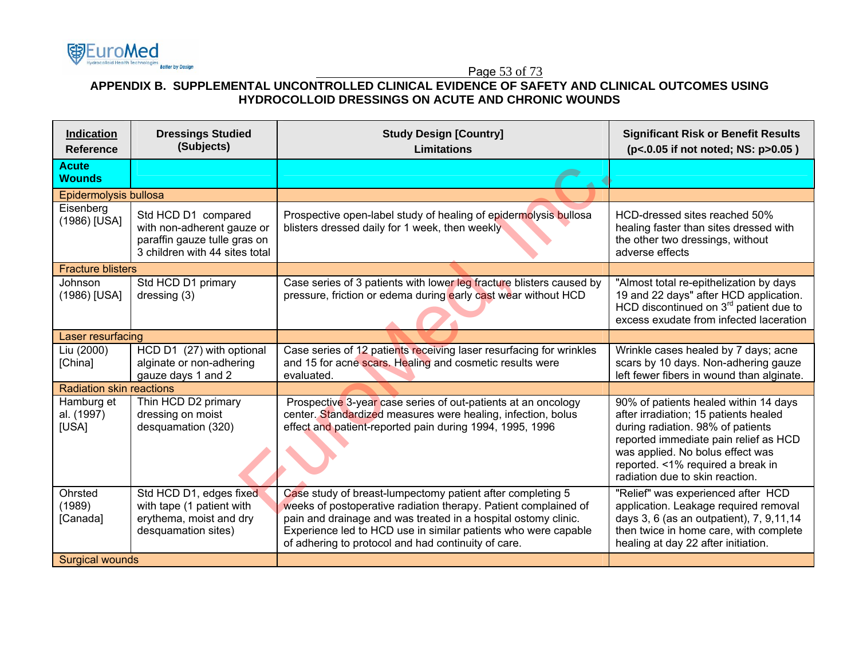## Page 53 of 73

## **APPENDIX B. SUPPLEMENTAL UNCONTROLLED CLINICAL EVIDENCE OF SAFETY AND CLINICAL OUTCOMES USING HYDROCOLLOID DRESSINGS ON ACUTE AND CHRONIC WOUNDS**

| Indication<br><b>Reference</b>    | <b>Dressings Studied</b><br>(Subjects)                                                                              | <b>Study Design [Country]</b><br><b>Limitations</b>                                                                                                                                                                                                                                                                      | <b>Significant Risk or Benefit Results</b><br>(p<.0.05 if not noted; NS: p>0.05)                                                                                                                                                                                         |
|-----------------------------------|---------------------------------------------------------------------------------------------------------------------|--------------------------------------------------------------------------------------------------------------------------------------------------------------------------------------------------------------------------------------------------------------------------------------------------------------------------|--------------------------------------------------------------------------------------------------------------------------------------------------------------------------------------------------------------------------------------------------------------------------|
| <b>Acute</b><br><b>Wounds</b>     |                                                                                                                     |                                                                                                                                                                                                                                                                                                                          |                                                                                                                                                                                                                                                                          |
| Epidermolysis bullosa             |                                                                                                                     |                                                                                                                                                                                                                                                                                                                          |                                                                                                                                                                                                                                                                          |
| Eisenberg<br>(1986) [USA]         | Std HCD D1 compared<br>with non-adherent gauze or<br>paraffin gauze tulle gras on<br>3 children with 44 sites total | Prospective open-label study of healing of epidermolysis bullosa<br>blisters dressed daily for 1 week, then weekly                                                                                                                                                                                                       | HCD-dressed sites reached 50%<br>healing faster than sites dressed with<br>the other two dressings, without<br>adverse effects                                                                                                                                           |
| <b>Fracture blisters</b>          |                                                                                                                     |                                                                                                                                                                                                                                                                                                                          |                                                                                                                                                                                                                                                                          |
| Johnson<br>(1986) [USA]           | Std HCD D1 primary<br>dressing (3)                                                                                  | Case series of 3 patients with lower leg fracture blisters caused by<br>pressure, friction or edema during early cast wear without HCD                                                                                                                                                                                   | "Almost total re-epithelization by days<br>19 and 22 days" after HCD application.<br>HCD discontinued on $3rd$ patient due to<br>excess exudate from infected laceration                                                                                                 |
| Laser resurfacing                 |                                                                                                                     |                                                                                                                                                                                                                                                                                                                          |                                                                                                                                                                                                                                                                          |
| Liu (2000)<br>[China]             | HCD D1 (27) with optional<br>alginate or non-adhering<br>gauze days 1 and 2                                         | Case series of 12 patients receiving laser resurfacing for wrinkles<br>and 15 for acne scars. Healing and cosmetic results were<br>evaluated.                                                                                                                                                                            | Wrinkle cases healed by 7 days; acne<br>scars by 10 days. Non-adhering gauze<br>left fewer fibers in wound than alginate.                                                                                                                                                |
| <b>Radiation skin reactions</b>   |                                                                                                                     |                                                                                                                                                                                                                                                                                                                          |                                                                                                                                                                                                                                                                          |
| Hamburg et<br>al. (1997)<br>[USA] | Thin HCD D2 primary<br>dressing on moist<br>desquamation (320)                                                      | Prospective 3-year case series of out-patients at an oncology<br>center. Standardized measures were healing, infection, bolus<br>effect and patient-reported pain during 1994, 1995, 1996                                                                                                                                | 90% of patients healed within 14 days<br>after irradiation; 15 patients healed<br>during radiation. 98% of patients<br>reported immediate pain relief as HCD<br>was applied. No bolus effect was<br>reported. <1% required a break in<br>radiation due to skin reaction. |
| Ohrsted<br>(1989)<br>[Canada]     | Std HCD D1, edges fixed.<br>with tape (1 patient with<br>erythema, moist and dry<br>desquamation sites)             | Case study of breast-lumpectomy patient after completing 5<br>weeks of postoperative radiation therapy. Patient complained of<br>pain and drainage and was treated in a hospital ostomy clinic.<br>Experience led to HCD use in similar patients who were capable<br>of adhering to protocol and had continuity of care. | "Relief" was experienced after HCD<br>application. Leakage required removal<br>days 3, 6 (as an outpatient), 7, 9,11,14<br>then twice in home care, with complete<br>healing at day 22 after initiation.                                                                 |
| <b>Surgical wounds</b>            |                                                                                                                     |                                                                                                                                                                                                                                                                                                                          |                                                                                                                                                                                                                                                                          |

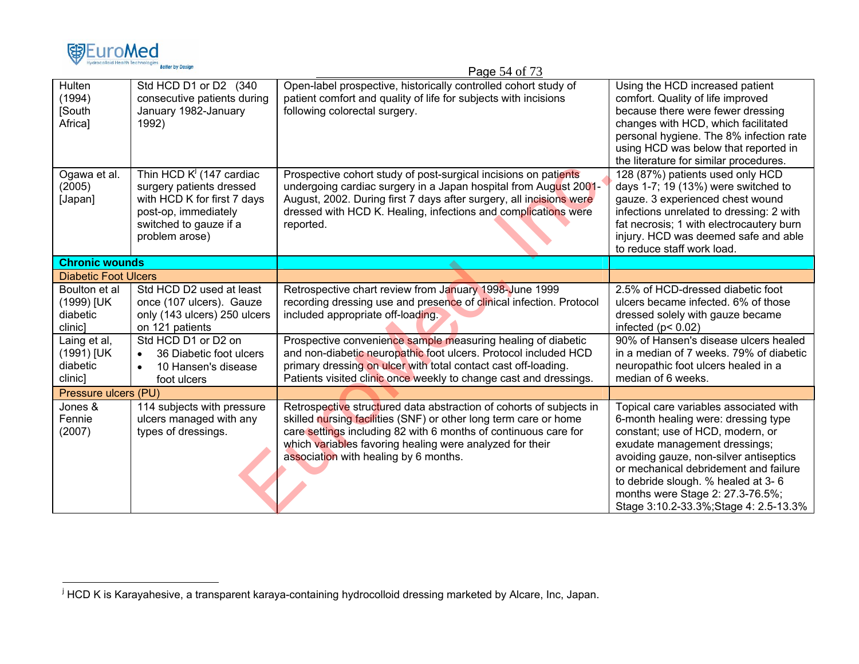

|                                                    |                                                                                                                                                            | $P_4 = 34$ OI 13                                                                                                                                                                                                                                                                                                |                                                                                                                                                                                                                                                                                                                                                           |
|----------------------------------------------------|------------------------------------------------------------------------------------------------------------------------------------------------------------|-----------------------------------------------------------------------------------------------------------------------------------------------------------------------------------------------------------------------------------------------------------------------------------------------------------------|-----------------------------------------------------------------------------------------------------------------------------------------------------------------------------------------------------------------------------------------------------------------------------------------------------------------------------------------------------------|
| Hulten<br>(1994)<br>[South<br>Africa]              | Std HCD D1 or D2 (340)<br>consecutive patients during<br>January 1982-January<br>1992)                                                                     | Open-label prospective, historically controlled cohort study of<br>patient comfort and quality of life for subjects with incisions<br>following colorectal surgery.                                                                                                                                             | Using the HCD increased patient<br>comfort. Quality of life improved<br>because there were fewer dressing<br>changes with HCD, which facilitated<br>personal hygiene. The 8% infection rate<br>using HCD was below that reported in<br>the literature for similar procedures.                                                                             |
| Ogawa et al.<br>(2005)<br>[Japan]                  | Thin HCD $K^J$ (147 cardiac<br>surgery patients dressed<br>with HCD K for first 7 days<br>post-op, immediately<br>switched to gauze if a<br>problem arose) | Prospective cohort study of post-surgical incisions on patients<br>undergoing cardiac surgery in a Japan hospital from August 2001-<br>August, 2002. During first 7 days after surgery, all incisions were<br>dressed with HCD K. Healing, infections and complications were<br>reported.                       | 128 (87%) patients used only HCD<br>days 1-7; 19 (13%) were switched to<br>gauze. 3 experienced chest wound<br>infections unrelated to dressing: 2 with<br>fat necrosis; 1 with electrocautery burn<br>injury. HCD was deemed safe and able<br>to reduce staff work load.                                                                                 |
| <b>Chronic wounds</b>                              |                                                                                                                                                            |                                                                                                                                                                                                                                                                                                                 |                                                                                                                                                                                                                                                                                                                                                           |
| <b>Diabetic Foot Ulcers</b>                        |                                                                                                                                                            |                                                                                                                                                                                                                                                                                                                 |                                                                                                                                                                                                                                                                                                                                                           |
| Boulton et al<br>(1999) [UK<br>diabetic<br>clinic] | Std HCD D2 used at least<br>once (107 ulcers). Gauze<br>only (143 ulcers) 250 ulcers<br>on 121 patients                                                    | Retrospective chart review from January 1998-June 1999<br>recording dressing use and presence of clinical infection. Protocol<br>included appropriate off-loading.                                                                                                                                              | 2.5% of HCD-dressed diabetic foot<br>ulcers became infected. 6% of those<br>dressed solely with gauze became<br>infected ( $p$ < 0.02)                                                                                                                                                                                                                    |
| Laing et al,<br>(1991) [UK<br>diabetic<br>clinic]  | Std HCD D1 or D2 on<br>36 Diabetic foot ulcers<br>$\bullet$<br>10 Hansen's disease<br>foot ulcers                                                          | Prospective convenience sample measuring healing of diabetic<br>and non-diabetic neuropathic foot ulcers. Protocol included HCD<br>primary dressing on ulcer with total contact cast off-loading.<br>Patients visited clinic once weekly to change cast and dressings.                                          | 90% of Hansen's disease ulcers healed<br>in a median of 7 weeks. 79% of diabetic<br>neuropathic foot ulcers healed in a<br>median of 6 weeks.                                                                                                                                                                                                             |
| Pressure ulcers (PU)                               |                                                                                                                                                            |                                                                                                                                                                                                                                                                                                                 |                                                                                                                                                                                                                                                                                                                                                           |
| Jones &<br>Fennie<br>(2007)                        | 114 subjects with pressure<br>ulcers managed with any<br>types of dressings.                                                                               | Retrospective structured data abstraction of cohorts of subjects in<br>skilled nursing facilities (SNF) or other long term care or home<br>care settings including 82 with 6 months of continuous care for<br>which variables favoring healing were analyzed for their<br>association with healing by 6 months. | Topical care variables associated with<br>6-month healing were: dressing type<br>constant; use of HCD, modern, or<br>exudate management dressings;<br>avoiding gauze, non-silver antiseptics<br>or mechanical debridement and failure<br>to debride slough. % healed at 3-6<br>months were Stage 2: 27.3-76.5%;<br>Stage 3:10.2-33.3%; Stage 4: 2.5-13.3% |

Page 54 of  $73$ 

<sup>&</sup>lt;sup>j</sup> HCD K is Karayahesive, a transparent karaya-containing hydrocolloid dressing marketed by Alcare, Inc, Japan.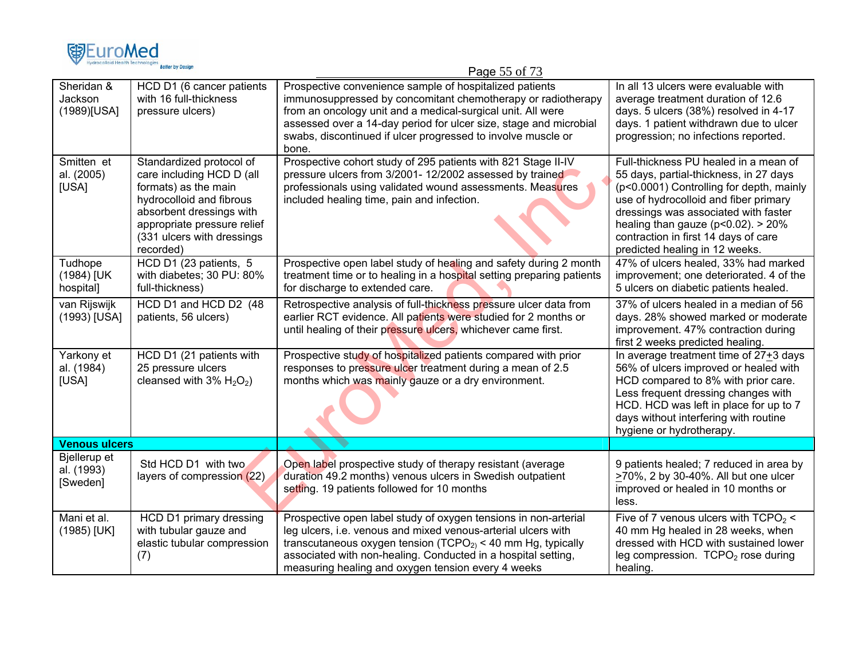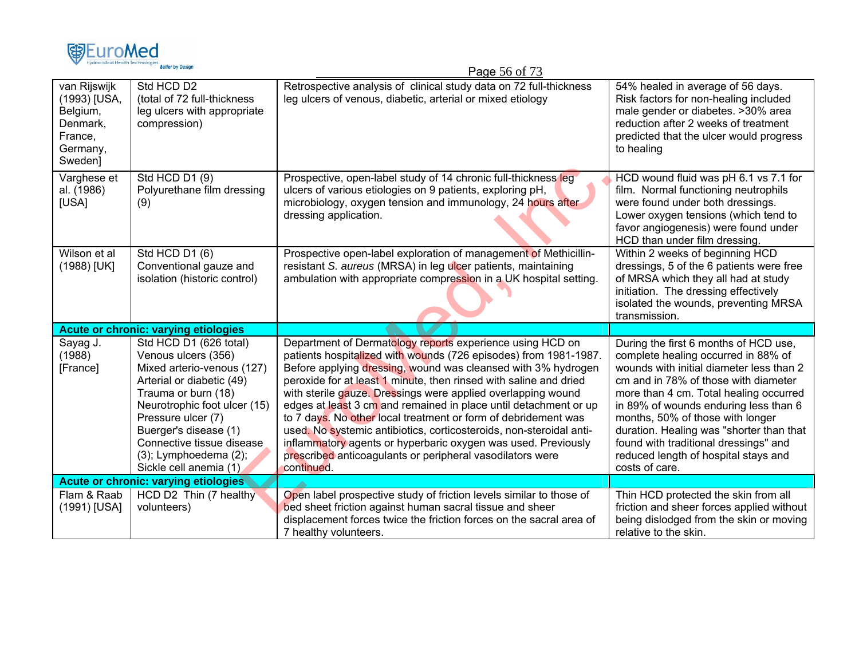

|                                                                                        |                                                                                                                                                                                                                                                                                                | r ayc July 75                                                                                                                                                                                                                                                                                                                                                                                                                                                                                                                                                                                                                                                                                |                                                                                                                                                                                                                                                                                                                                                                                                                                        |
|----------------------------------------------------------------------------------------|------------------------------------------------------------------------------------------------------------------------------------------------------------------------------------------------------------------------------------------------------------------------------------------------|----------------------------------------------------------------------------------------------------------------------------------------------------------------------------------------------------------------------------------------------------------------------------------------------------------------------------------------------------------------------------------------------------------------------------------------------------------------------------------------------------------------------------------------------------------------------------------------------------------------------------------------------------------------------------------------------|----------------------------------------------------------------------------------------------------------------------------------------------------------------------------------------------------------------------------------------------------------------------------------------------------------------------------------------------------------------------------------------------------------------------------------------|
| van Rijswijk<br>(1993) [USA,<br>Belgium,<br>Denmark,<br>France,<br>Germany,<br>Sweden] | Std HCD D2<br>(total of 72 full-thickness<br>leg ulcers with appropriate<br>compression)                                                                                                                                                                                                       | Retrospective analysis of clinical study data on 72 full-thickness<br>leg ulcers of venous, diabetic, arterial or mixed etiology                                                                                                                                                                                                                                                                                                                                                                                                                                                                                                                                                             | 54% healed in average of 56 days.<br>Risk factors for non-healing included<br>male gender or diabetes. > 30% area<br>reduction after 2 weeks of treatment<br>predicted that the ulcer would progress<br>to healing                                                                                                                                                                                                                     |
| Varghese et<br>al. (1986)<br>[USA]                                                     | Std HCD D1 (9)<br>Polyurethane film dressing<br>(9)                                                                                                                                                                                                                                            | Prospective, open-label study of 14 chronic full-thickness leg<br>ulcers of various etiologies on 9 patients, exploring pH,<br>microbiology, oxygen tension and immunology, 24 hours after<br>dressing application.                                                                                                                                                                                                                                                                                                                                                                                                                                                                          | HCD wound fluid was pH 6.1 vs 7.1 for<br>film. Normal functioning neutrophils<br>were found under both dressings.<br>Lower oxygen tensions (which tend to<br>favor angiogenesis) were found under<br>HCD than under film dressing.                                                                                                                                                                                                     |
| Wilson et al<br>(1988) [UK]                                                            | Std HCD D1 (6)<br>Conventional gauze and<br>isolation (historic control)                                                                                                                                                                                                                       | Prospective open-label exploration of management of Methicillin-<br>resistant S. aureus (MRSA) in leg ulcer patients, maintaining<br>ambulation with appropriate compression in a UK hospital setting.                                                                                                                                                                                                                                                                                                                                                                                                                                                                                       | Within 2 weeks of beginning HCD<br>dressings, 5 of the 6 patients were free<br>of MRSA which they all had at study<br>initiation. The dressing effectively<br>isolated the wounds, preventing MRSA<br>transmission.                                                                                                                                                                                                                    |
|                                                                                        | <b>Acute or chronic: varying etiologies</b>                                                                                                                                                                                                                                                    |                                                                                                                                                                                                                                                                                                                                                                                                                                                                                                                                                                                                                                                                                              |                                                                                                                                                                                                                                                                                                                                                                                                                                        |
| Sayag J.<br>(1988)<br>[France]                                                         | Std HCD D1 (626 total)<br>Venous ulcers (356)<br>Mixed arterio-venous (127)<br>Arterial or diabetic (49)<br>Trauma or burn (18)<br>Neurotrophic foot ulcer (15)<br>Pressure ulcer (7)<br>Buerger's disease (1)<br>Connective tissue disease<br>(3); Lymphoedema (2);<br>Sickle cell anemia (1) | Department of Dermatology reports experience using HCD on<br>patients hospitalized with wounds (726 episodes) from 1981-1987.<br>Before applying dressing, wound was cleansed with 3% hydrogen<br>peroxide for at least 1 minute, then rinsed with saline and dried<br>with sterile gauze. Dressings were applied overlapping wound<br>edges at least 3 cm and remained in place until detachment or up<br>to 7 days. No other local treatment or form of debridement was<br>used. No systemic antibiotics, corticosteroids, non-steroidal anti-<br>inflammatory agents or hyperbaric oxygen was used. Previously<br>prescribed anticoagulants or peripheral vasodilators were<br>continued. | During the first 6 months of HCD use,<br>complete healing occurred in 88% of<br>wounds with initial diameter less than 2<br>cm and in 78% of those with diameter<br>more than 4 cm. Total healing occurred<br>in 89% of wounds enduring less than 6<br>months, 50% of those with longer<br>duration. Healing was "shorter than that<br>found with traditional dressings" and<br>reduced length of hospital stays and<br>costs of care. |
|                                                                                        | <b>Acute or chronic: varying etiologies</b>                                                                                                                                                                                                                                                    |                                                                                                                                                                                                                                                                                                                                                                                                                                                                                                                                                                                                                                                                                              |                                                                                                                                                                                                                                                                                                                                                                                                                                        |
| Flam & Raab<br>(1991) [USA]                                                            | HCD D2 Thin (7 healthy<br>volunteers)                                                                                                                                                                                                                                                          | Open label prospective study of friction levels similar to those of<br>bed sheet friction against human sacral tissue and sheer<br>displacement forces twice the friction forces on the sacral area of<br>7 healthy volunteers.                                                                                                                                                                                                                                                                                                                                                                                                                                                              | Thin HCD protected the skin from all<br>friction and sheer forces applied without<br>being dislodged from the skin or moving<br>relative to the skin.                                                                                                                                                                                                                                                                                  |

Page 56 of 73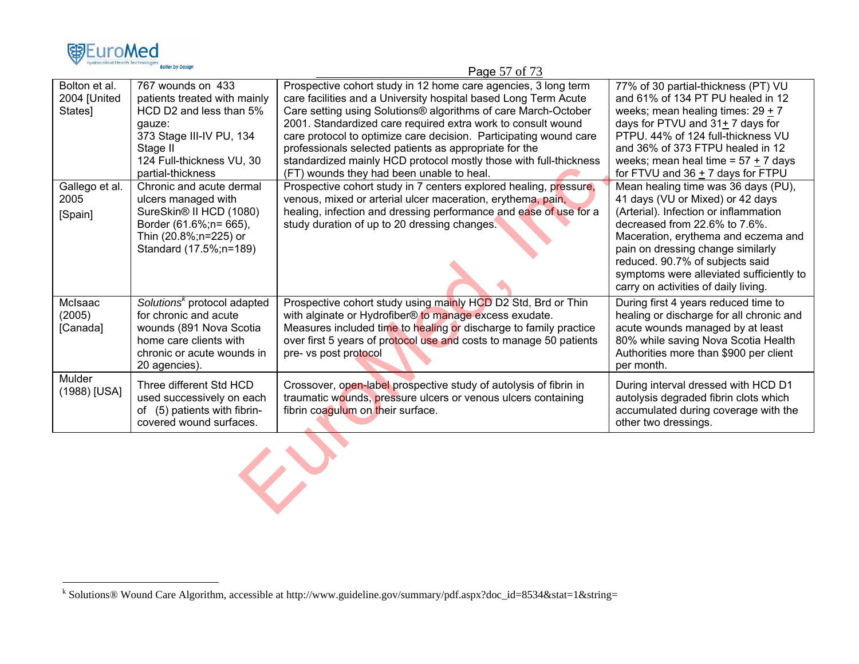|                                          | <b>DELICI DE DESIG</b>                                                                                                                                                           | Page 57 of 73                                                                                                                                                                                                                                                                                                                                                                                                                                                                                                        |                                                                                                                                                                                                                                                                                                                                                      |  |  |
|------------------------------------------|----------------------------------------------------------------------------------------------------------------------------------------------------------------------------------|----------------------------------------------------------------------------------------------------------------------------------------------------------------------------------------------------------------------------------------------------------------------------------------------------------------------------------------------------------------------------------------------------------------------------------------------------------------------------------------------------------------------|------------------------------------------------------------------------------------------------------------------------------------------------------------------------------------------------------------------------------------------------------------------------------------------------------------------------------------------------------|--|--|
| Bolton et al.<br>2004 [United<br>States] | 767 wounds on 433<br>patients treated with mainly<br>HCD D2 and less than 5%<br>qauze:<br>373 Stage III-IV PU, 134<br>Stage II<br>124 Full-thickness VU, 30<br>partial-thickness | Prospective cohort study in 12 home care agencies, 3 long term<br>care facilities and a University hospital based Long Term Acute<br>Care setting using Solutions® algorithms of care March-October<br>2001. Standardized care required extra work to consult wound<br>care protocol to optimize care decision. Participating wound care<br>professionals selected patients as appropriate for the<br>standardized mainly HCD protocol mostly those with full-thickness<br>(FT) wounds they had been unable to heal. | 77% of 30 partial-thickness (PT) VU<br>and 61% of 134 PT PU healed in 12<br>weeks; mean healing times: $29 \pm 7$<br>days for PTVU and $31 + 7$ days for<br>PTPU. 44% of 124 full-thickness VU<br>and 36% of 373 FTPU healed in 12<br>weeks; mean heal time = $57 + 7$ days<br>for FTVU and 36 + 7 days for FTPU                                     |  |  |
| Gallego et al.<br>2005<br>[Spain]        | Chronic and acute dermal<br>ulcers managed with<br>SureSkin® II HCD (1080)<br>Border (61.6%; n= 665),<br>Thin (20.8%;n=225) or<br>Standard (17.5%;n=189)                         | Prospective cohort study in 7 centers explored healing, pressure,<br>venous, mixed or arterial ulcer maceration, erythema, pain,<br>healing, infection and dressing performance and ease of use for a<br>study duration of up to 20 dressing changes.                                                                                                                                                                                                                                                                | Mean healing time was 36 days (PU),<br>41 days (VU or Mixed) or 42 days<br>(Arterial). Infection or inflammation<br>decreased from 22.6% to 7.6%.<br>Maceration, erythema and eczema and<br>pain on dressing change similarly<br>reduced. 90.7% of subjects said<br>symptoms were alleviated sufficiently to<br>carry on activities of daily living. |  |  |
| McIsaac<br>(2005)<br>[Canada]            | Solutions <sup>k</sup> protocol adapted<br>for chronic and acute<br>wounds (891 Nova Scotia<br>home care clients with<br>chronic or acute wounds in<br>20 agencies).             | Prospective cohort study using mainly HCD D2 Std, Brd or Thin<br>with alginate or Hydrofiber® to manage excess exudate.<br>Measures included time to healing or discharge to family practice<br>over first 5 years of protocol use and costs to manage 50 patients<br>pre- vs post protocol                                                                                                                                                                                                                          | During first 4 years reduced time to<br>healing or discharge for all chronic and<br>acute wounds managed by at least<br>80% while saving Nova Scotia Health<br>Authorities more than \$900 per client<br>per month.                                                                                                                                  |  |  |
| Mulder<br>(1988) [USA]                   | Three different Std HCD<br>used successively on each<br>of (5) patients with fibrin-<br>covered wound surfaces.                                                                  | Crossover, open-label prospective study of autolysis of fibrin in<br>traumatic wounds, pressure ulcers or venous ulcers containing<br>fibrin coagulum on their surface.                                                                                                                                                                                                                                                                                                                                              | During interval dressed with HCD D1<br>autolysis degraded fibrin clots which<br>accumulated during coverage with the<br>other two dressings.                                                                                                                                                                                                         |  |  |
|                                          |                                                                                                                                                                                  |                                                                                                                                                                                                                                                                                                                                                                                                                                                                                                                      |                                                                                                                                                                                                                                                                                                                                                      |  |  |

EuroMed

k Solutions® Wound Care Algorithm, accessible at http://www.guideline.gov/summary/pdf.aspx?doc\_id=8534&stat=1&string=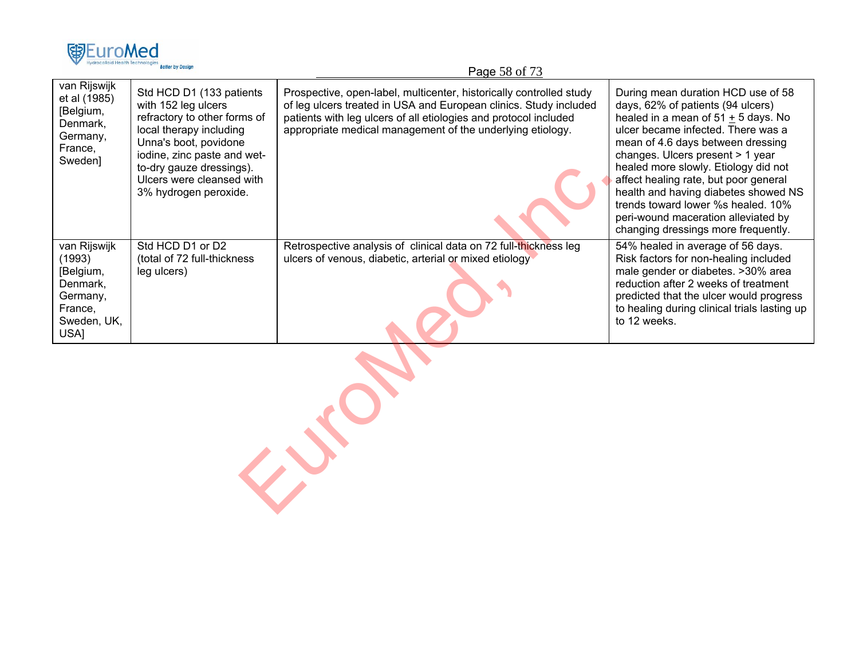|                                                                                               | <b>Better by Design</b>                                                                                                                                                                                                                              | Page 58 of 73                                                                                                                                                                                                                                                              |                                                                                                                                                                                                                                                                                                                                                                                                                                                                              |
|-----------------------------------------------------------------------------------------------|------------------------------------------------------------------------------------------------------------------------------------------------------------------------------------------------------------------------------------------------------|----------------------------------------------------------------------------------------------------------------------------------------------------------------------------------------------------------------------------------------------------------------------------|------------------------------------------------------------------------------------------------------------------------------------------------------------------------------------------------------------------------------------------------------------------------------------------------------------------------------------------------------------------------------------------------------------------------------------------------------------------------------|
| van Rijswijk<br>et al (1985)<br>[Belgium,<br>Denmark,<br>Germany,<br>France,<br>Sweden]       | Std HCD D1 (133 patients<br>with 152 leg ulcers<br>refractory to other forms of<br>local therapy including<br>Unna's boot, povidone<br>iodine, zinc paste and wet-<br>to-dry gauze dressings).<br>Ulcers were cleansed with<br>3% hydrogen peroxide. | Prospective, open-label, multicenter, historically controlled study<br>of leg ulcers treated in USA and European clinics. Study included<br>patients with leg ulcers of all etiologies and protocol included<br>appropriate medical management of the underlying etiology. | During mean duration HCD use of 58<br>days, 62% of patients (94 ulcers)<br>healed in a mean of $51 + 5$ days. No<br>ulcer became infected. There was a<br>mean of 4.6 days between dressing<br>changes. Ulcers present > 1 year<br>healed more slowly. Etiology did not<br>affect healing rate, but poor general<br>health and having diabetes showed NS<br>trends toward lower %s healed. 10%<br>peri-wound maceration alleviated by<br>changing dressings more frequently. |
| van Rijswijk<br>(1993)<br>[Belgium,<br>Denmark,<br>Germany,<br>France,<br>Sweden, UK,<br>USA] | Std HCD D1 or D2<br>(total of 72 full-thickness<br>leg ulcers)                                                                                                                                                                                       | Retrospective analysis of clinical data on 72 full-thickness leg<br>ulcers of venous, diabetic, arterial or mixed etiology                                                                                                                                                 | 54% healed in average of 56 days.<br>Risk factors for non-healing included<br>male gender or diabetes. >30% area<br>reduction after 2 weeks of treatment<br>predicted that the ulcer would progress<br>to healing during clinical trials lasting up<br>to 12 weeks.                                                                                                                                                                                                          |
|                                                                                               |                                                                                                                                                                                                                                                      |                                                                                                                                                                                                                                                                            |                                                                                                                                                                                                                                                                                                                                                                                                                                                                              |

EuroMed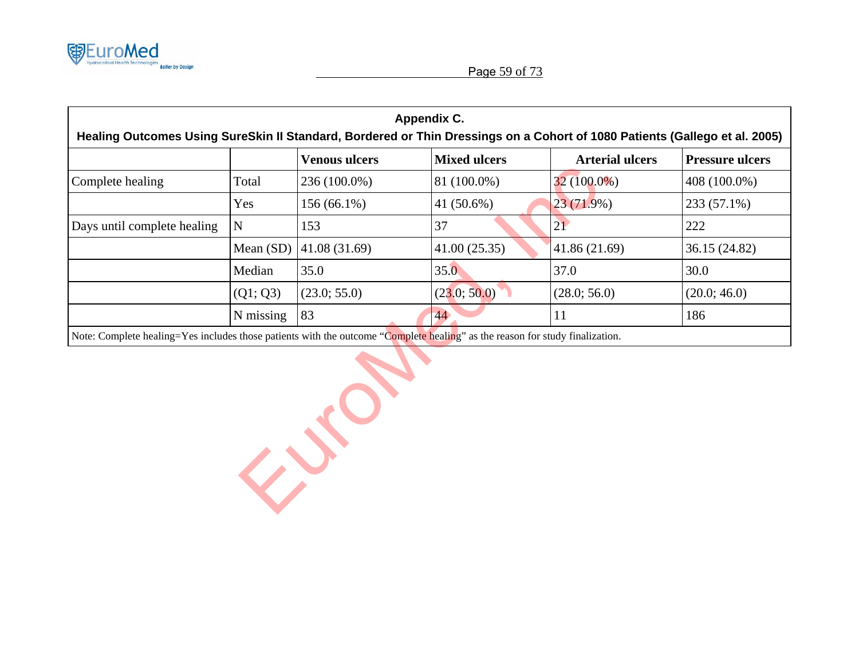

| Appendix C.<br>Healing Outcomes Using SureSkin II Standard, Bordered or Thin Dressings on a Cohort of 1080 Patients (Gallego et al. 2005) |                                                                                                                              |                      |                     |                        |                        |  |  |  |
|-------------------------------------------------------------------------------------------------------------------------------------------|------------------------------------------------------------------------------------------------------------------------------|----------------------|---------------------|------------------------|------------------------|--|--|--|
|                                                                                                                                           |                                                                                                                              | <b>Venous ulcers</b> | <b>Mixed ulcers</b> | <b>Arterial ulcers</b> | <b>Pressure ulcers</b> |  |  |  |
| Complete healing                                                                                                                          | Total                                                                                                                        | 236 (100.0%)         | 81 (100.0%)         | $32(100.0\%)$          | 408 (100.0%)           |  |  |  |
|                                                                                                                                           | Yes                                                                                                                          | $156(66.1\%)$        | 41 (50.6%)          | $23(71.9\%)$           | 233 (57.1%)            |  |  |  |
| Days until complete healing                                                                                                               | $\mathbf N$                                                                                                                  | 153                  | 37                  | 21                     | 222                    |  |  |  |
|                                                                                                                                           | Mean (SD)                                                                                                                    | 41.08(31.69)         | 41.00(25.35)        | 41.86 (21.69)          | 36.15 (24.82)          |  |  |  |
|                                                                                                                                           | Median                                                                                                                       | 35.0                 | 35.0                | 37.0                   | 30.0                   |  |  |  |
|                                                                                                                                           | (Q1; Q3)                                                                                                                     | (23.0; 55.0)         | (23.0; 50.0)        | (28.0; 56.0)           | (20.0; 46.0)           |  |  |  |
|                                                                                                                                           | N missing                                                                                                                    | 83                   | 44                  | 11                     | 186                    |  |  |  |
|                                                                                                                                           | Note: Complete healing=Yes includes those patients with the outcome "Complete healing" as the reason for study finalization. |                      |                     |                        |                        |  |  |  |
|                                                                                                                                           |                                                                                                                              |                      |                     |                        |                        |  |  |  |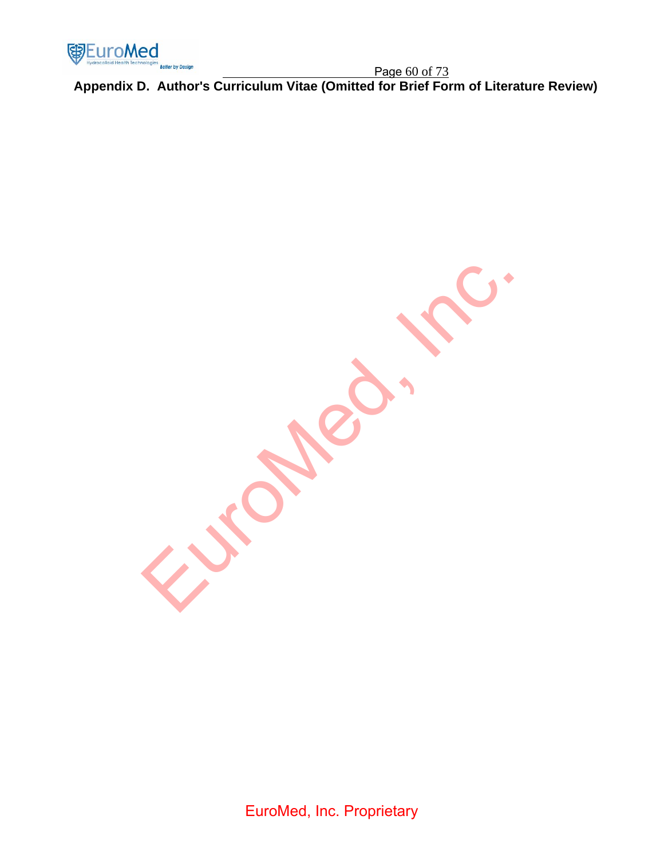

Page 60 of 73 **Appendix D. Author's Curriculum Vitae (Omitted for Brief Form of Literature Review)** 

Europee. Inc.